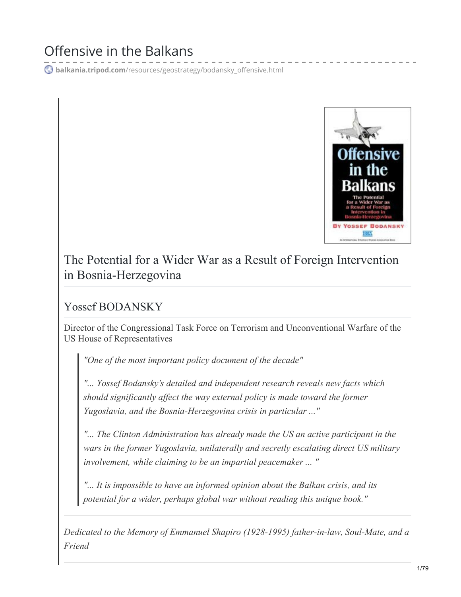# Offensive in the Balkans

**balkania.tripod.com**[/resources/geostrategy/bodansky\\_offensive.html](http://balkania.tripod.com/resources/geostrategy/bodansky_offensive.html)



The Potential for a Wider War as a Result of Foreign Intervention in Bosnia-Herzegovina

Yossef BODANSKY

Director of the Congressional Task Force on Terrorism and Unconventional Warfare of the US House of Representatives

*"One of the most important policy document of the decade"*

*"... Yossef Bodansky's detailed and independent research reveals new facts which should significantly af ect the way external policy is made toward the former Yugoslavia, and the Bosnia-Herzegovina crisis in particular ..."*

*"... The Clinton Administration has already made the US an active participant in the wars in the former Yugoslavia, unilaterally and secretly escalating direct US military involvement, while claiming to be an impartial peacemaker ... "*

*"... It is impossible to have an informed opinion about the Balkan crisis, and its potential for a wider, perhaps global war without reading this unique book."*

*Dedicated to the Memory of Emmanuel Shapiro (1928-1995) father-in-law, Soul-Mate, and a Friend*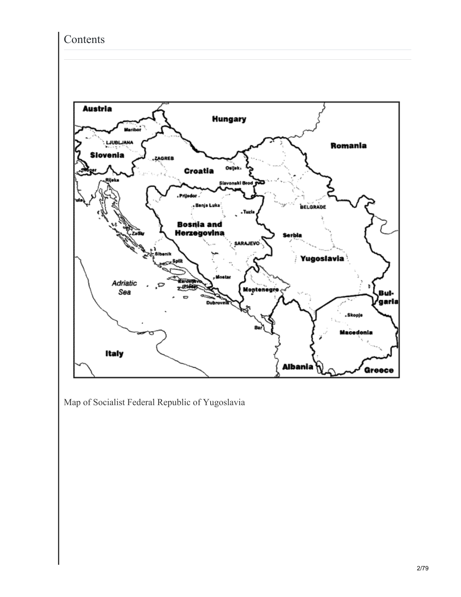#### Contents



Map of Socialist Federal Republic of Yugoslavia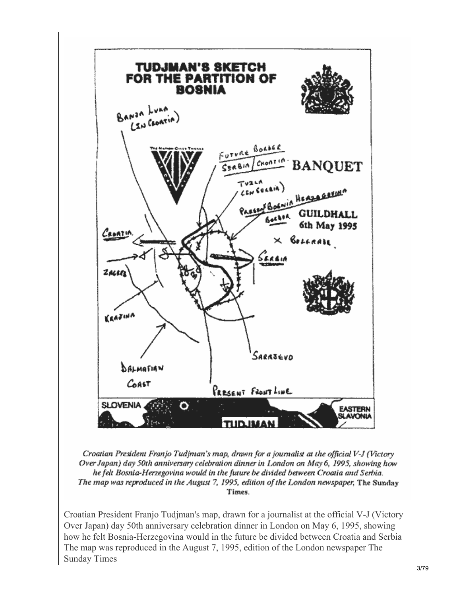

Croatian President Franjo Tudjman's map, drawn for a journalist at the official V-J (Victory Over Japan) day 50th anniversary celebration dinner in London on May 6, 1995, showing how he felt Bosnia-Herzegovina would in the future be divided between Croatia and Serbia. The map was reproduced in the August 7, 1995, edition of the London newspaper, The Sunday Times.

Croatian President Franjo Tudjman's map, drawn for a journalist at the official V-J (Victory Over Japan) day 50th anniversary celebration dinner in London on May 6, 1995, showing how he felt Bosnia-Herzegovina would in the future be divided between Croatia and Serbia The map was reproduced in the August 7, 1995, edition of the London newspaper The Sunday Times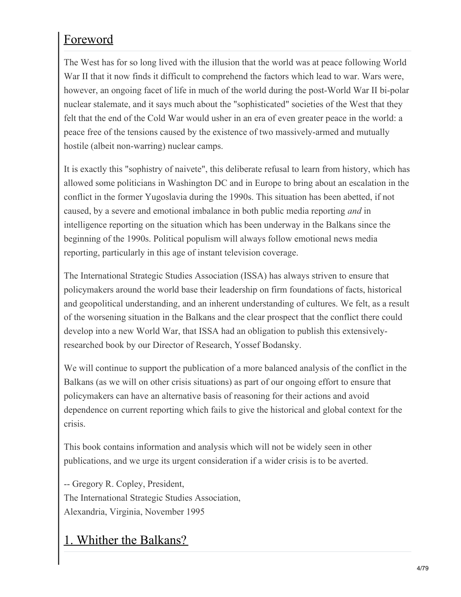# Foreword

The West has for so long lived with the illusion that the world was at peace following World War II that it now finds it difficult to comprehend the factors which lead to war. Wars were, however, an ongoing facet of life in much of the world during the post-World War II bi-polar nuclear stalemate, and it says much about the "sophisticated" societies of the West that they felt that the end of the Cold War would usher in an era of even greater peace in the world: a peace free of the tensions caused by the existence of two massively-armed and mutually hostile (albeit non-warring) nuclear camps.

It is exactly this "sophistry of naivete", this deliberate refusal to learn from history, which has allowed some politicians in Washington DC and in Europe to bring about an escalation in the conflict in the former Yugoslavia during the 1990s. This situation has been abetted, if not caused, by a severe and emotional imbalance in both public media reporting *and* in intelligence reporting on the situation which has been underway in the Balkans since the beginning of the 1990s. Political populism will always follow emotional news media reporting, particularly in this age of instant television coverage.

The International Strategic Studies Association (ISSA) has always striven to ensure that policymakers around the world base their leadership on firm foundations of facts, historical and geopolitical understanding, and an inherent understanding of cultures. We felt, as a result of the worsening situation in the Balkans and the clear prospect that the conflict there could develop into a new World War, that ISSA had an obligation to publish this extensivelyresearched book by our Director of Research, Yossef Bodansky.

We will continue to support the publication of a more balanced analysis of the conflict in the Balkans (as we will on other crisis situations) as part of our ongoing effort to ensure that policymakers can have an alternative basis of reasoning for their actions and avoid dependence on current reporting which fails to give the historical and global context for the crisis.

This book contains information and analysis which will not be widely seen in other publications, and we urge its urgent consideration if a wider crisis is to be averted.

-- Gregory R. Copley, President, The International Strategic Studies Association, Alexandria, Virginia, November 1995

### 1. Whither the Balkans?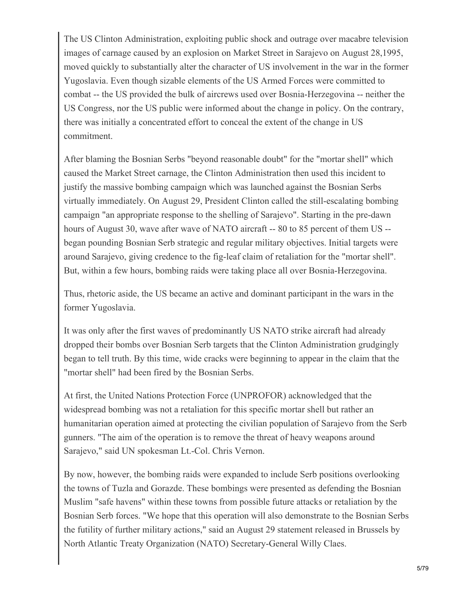The US Clinton Administration, exploiting public shock and outrage over macabre television images of carnage caused by an explosion on Market Street in Sarajevo on August 28,1995, moved quickly to substantially alter the character of US involvement in the war in the former Yugoslavia. Even though sizable elements of the US Armed Forces were committed to combat -- the US provided the bulk of aircrews used over Bosnia-Herzegovina -- neither the US Congress, nor the US public were informed about the change in policy. On the contrary, there was initially a concentrated effort to conceal the extent of the change in US commitment.

After blaming the Bosnian Serbs "beyond reasonable doubt" for the "mortar shell" which caused the Market Street carnage, the Clinton Administration then used this incident to justify the massive bombing campaign which was launched against the Bosnian Serbs virtually immediately. On August 29, President Clinton called the still-escalating bombing campaign "an appropriate response to the shelling of Sarajevo". Starting in the pre-dawn hours of August 30, wave after wave of NATO aircraft -- 80 to 85 percent of them US - began pounding Bosnian Serb strategic and regular military objectives. Initial targets were around Sarajevo, giving credence to the fig-leaf claim of retaliation for the "mortar shell". But, within a few hours, bombing raids were taking place all over Bosnia-Herzegovina.

Thus, rhetoric aside, the US became an active and dominant participant in the wars in the former Yugoslavia.

It was only after the first waves of predominantly US NATO strike aircraft had already dropped their bombs over Bosnian Serb targets that the Clinton Administration grudgingly began to tell truth. By this time, wide cracks were beginning to appear in the claim that the "mortar shell" had been fired by the Bosnian Serbs.

At first, the United Nations Protection Force (UNPROFOR) acknowledged that the widespread bombing was not a retaliation for this specific mortar shell but rather an humanitarian operation aimed at protecting the civilian population of Sarajevo from the Serb gunners. "The aim of the operation is to remove the threat of heavy weapons around Sarajevo," said UN spokesman Lt.-Col. Chris Vernon.

By now, however, the bombing raids were expanded to include Serb positions overlooking the towns of Tuzla and Gorazde. These bombings were presented as defending the Bosnian Muslim "safe havens" within these towns from possible future attacks or retaliation by the Bosnian Serb forces. "We hope that this operation will also demonstrate to the Bosnian Serbs the futility of further military actions," said an August 29 statement released in Brussels by North Atlantic Treaty Organization (NATO) Secretary-General Willy Claes.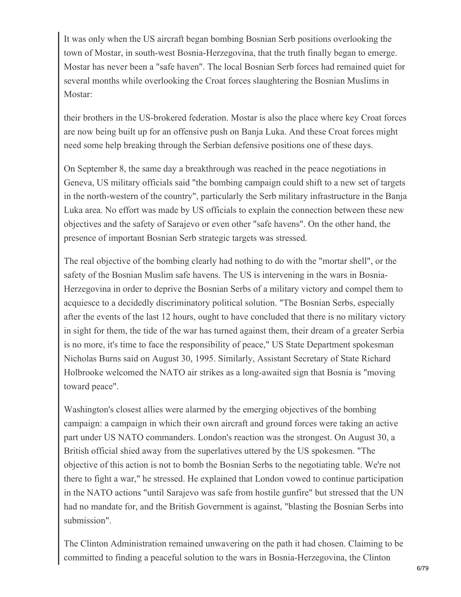It was only when the US aircraft began bombing Bosnian Serb positions overlooking the town of Mostar, in south-west Bosnia-Herzegovina, that the truth finally began to emerge. Mostar has never been a "safe haven". The local Bosnian Serb forces had remained quiet for several months while overlooking the Croat forces slaughtering the Bosnian Muslims in Mostar:

their brothers in the US-brokered federation. Mostar is also the place where key Croat forces are now being built up for an offensive push on Banja Luka. And these Croat forces might need some help breaking through the Serbian defensive positions one of these days.

On September 8, the same day a breakthrough was reached in the peace negotiations in Geneva, US military officials said "the bombing campaign could shift to a new set of targets in the north-western of the country", particularly the Serb military infrastructure in the Banja Luka area. No effort was made by US officials to explain the connection between these new objectives and the safety of Sarajevo or even other "safe havens". On the other hand, the presence of important Bosnian Serb strategic targets was stressed.

The real objective of the bombing clearly had nothing to do with the "mortar shell", or the safety of the Bosnian Muslim safe havens. The US is intervening in the wars in Bosnia-Herzegovina in order to deprive the Bosnian Serbs of a military victory and compel them to acquiesce to a decidedly discriminatory political solution. "The Bosnian Serbs, especially after the events of the last 12 hours, ought to have concluded that there is no military victory in sight for them, the tide of the war has turned against them, their dream of a greater Serbia is no more, it's time to face the responsibility of peace," US State Department spokesman Nicholas Burns said on August 30, 1995. Similarly, Assistant Secretary of State Richard Holbrooke welcomed the NATO air strikes as a long-awaited sign that Bosnia is "moving toward peace".

Washington's closest allies were alarmed by the emerging objectives of the bombing campaign: a campaign in which their own aircraft and ground forces were taking an active part under US NATO commanders. London's reaction was the strongest. On August 30, a British official shied away from the superlatives uttered by the US spokesmen. "The objective of this action is not to bomb the Bosnian Serbs to the negotiating table. We're not there to fight a war," he stressed. He explained that London vowed to continue participation in the NATO actions "until Sarajevo was safe from hostile gunfire" but stressed that the UN had no mandate for, and the British Government is against, "blasting the Bosnian Serbs into submission".

The Clinton Administration remained unwavering on the path it had chosen. Claiming to be committed to finding a peaceful solution to the wars in Bosnia-Herzegovina, the Clinton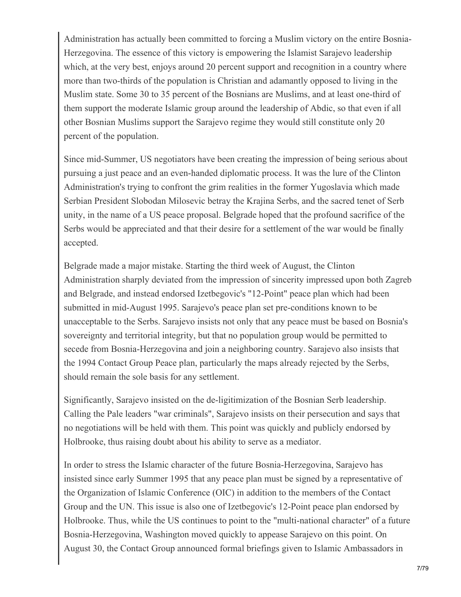Administration has actually been committed to forcing a Muslim victory on the entire Bosnia-Herzegovina. The essence of this victory is empowering the Islamist Sarajevo leadership which, at the very best, enjoys around 20 percent support and recognition in a country where more than two-thirds of the population is Christian and adamantly opposed to living in the Muslim state. Some 30 to 35 percent of the Bosnians are Muslims, and at least one-third of them support the moderate Islamic group around the leadership of Abdic, so that even if all other Bosnian Muslims support the Sarajevo regime they would still constitute only 20 percent of the population.

Since mid-Summer, US negotiators have been creating the impression of being serious about pursuing a just peace and an even-handed diplomatic process. It was the lure of the Clinton Administration's trying to confront the grim realities in the former Yugoslavia which made Serbian President Slobodan Milosevic betray the Krajina Serbs, and the sacred tenet of Serb unity, in the name of a US peace proposal. Belgrade hoped that the profound sacrifice of the Serbs would be appreciated and that their desire for a settlement of the war would be finally accepted.

Belgrade made a major mistake. Starting the third week of August, the Clinton Administration sharply deviated from the impression of sincerity impressed upon both Zagreb and Belgrade, and instead endorsed Izetbegovic's "12-Point" peace plan which had been submitted in mid-August 1995. Sarajevo's peace plan set pre-conditions known to be unacceptable to the Serbs. Sarajevo insists not only that any peace must be based on Bosnia's sovereignty and territorial integrity, but that no population group would be permitted to secede from Bosnia-Herzegovina and join a neighboring country. Sarajevo also insists that the 1994 Contact Group Peace plan, particularly the maps already rejected by the Serbs, should remain the sole basis for any settlement.

Significantly, Sarajevo insisted on the de-ligitimization of the Bosnian Serb leadership. Calling the Pale leaders "war criminals", Sarajevo insists on their persecution and says that no negotiations will be held with them. This point was quickly and publicly endorsed by Holbrooke, thus raising doubt about his ability to serve as a mediator.

In order to stress the Islamic character of the future Bosnia-Herzegovina, Sarajevo has insisted since early Summer 1995 that any peace plan must be signed by a representative of the Organization of Islamic Conference (OIC) in addition to the members of the Contact Group and the UN. This issue is also one of Izetbegovic's 12-Point peace plan endorsed by Holbrooke. Thus, while the US continues to point to the "multi-national character" of a future Bosnia-Herzegovina, Washington moved quickly to appease Sarajevo on this point. On August 30, the Contact Group announced formal briefings given to Islamic Ambassadors in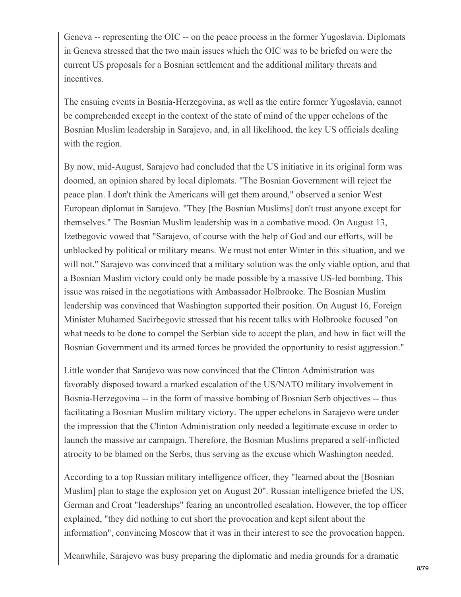Geneva -- representing the OIC -- on the peace process in the former Yugoslavia. Diplomats in Geneva stressed that the two main issues which the OIC was to be briefed on were the current US proposals for a Bosnian settlement and the additional military threats and incentives.

The ensuing events in Bosnia-Herzegovina, as well as the entire former Yugoslavia, cannot be comprehended except in the context of the state of mind of the upper echelons of the Bosnian Muslim leadership in Sarajevo, and, in all likelihood, the key US officials dealing with the region.

By now, mid-August, Sarajevo had concluded that the US initiative in its original form was doomed, an opinion shared by local diplomats. "The Bosnian Government will reject the peace plan. I don't think the Americans will get them around," observed a senior West European diplomat in Sarajevo. "They [the Bosnian Muslims] don't trust anyone except for themselves." The Bosnian Muslim leadership was in a combative mood. On August 13, Izetbegovic vowed that "Sarajevo, of course with the help of God and our efforts, will be unblocked by political or military means. We must not enter Winter in this situation, and we will not." Sarajevo was convinced that a military solution was the only viable option, and that a Bosnian Muslim victory could only be made possible by a massive US-led bombing. This issue was raised in the negotiations with Ambassador Holbrooke. The Bosnian Muslim leadership was convinced that Washington supported their position. On August 16, Foreign Minister Muhamed Sacirbegovic stressed that his recent talks with Holbrooke focused "on what needs to be done to compel the Serbian side to accept the plan, and how in fact will the Bosnian Government and its armed forces be provided the opportunity to resist aggression."

Little wonder that Sarajevo was now convinced that the Clinton Administration was favorably disposed toward a marked escalation of the US/NATO military involvement in Bosnia-Herzegovina -- in the form of massive bombing of Bosnian Serb objectives -- thus facilitating a Bosnian Muslim military victory. The upper echelons in Sarajevo were under the impression that the Clinton Administration only needed a legitimate excuse in order to launch the massive air campaign. Therefore, the Bosnian Muslims prepared a self-inflicted atrocity to be blamed on the Serbs, thus serving as the excuse which Washington needed.

According to a top Russian military intelligence officer, they "learned about the [Bosnian Muslim] plan to stage the explosion yet on August 20". Russian intelligence briefed the US, German and Croat "leaderships" fearing an uncontrolled escalation. However, the top officer explained, "they did nothing to cut short the provocation and kept silent about the information", convincing Moscow that it was in their interest to see the provocation happen.

Meanwhile, Sarajevo was busy preparing the diplomatic and media grounds for a dramatic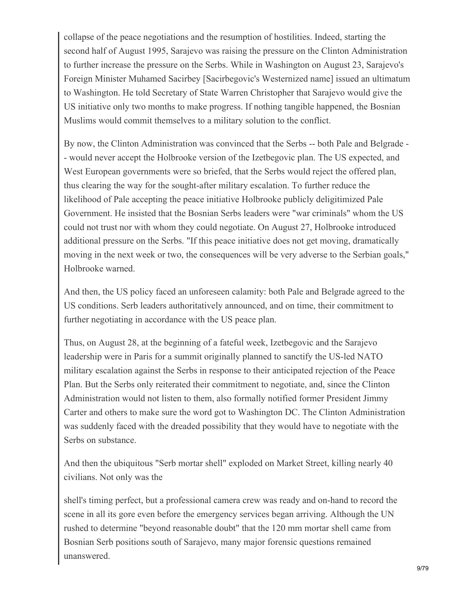collapse of the peace negotiations and the resumption of hostilities. Indeed, starting the second half of August 1995, Sarajevo was raising the pressure on the Clinton Administration to further increase the pressure on the Serbs. While in Washington on August 23, Sarajevo's Foreign Minister Muhamed Sacirbey [Sacirbegovic's Westernized name] issued an ultimatum to Washington. He told Secretary of State Warren Christopher that Sarajevo would give the US initiative only two months to make progress. If nothing tangible happened, the Bosnian Muslims would commit themselves to a military solution to the conflict.

By now, the Clinton Administration was convinced that the Serbs -- both Pale and Belgrade - - would never accept the Holbrooke version of the Izetbegovic plan. The US expected, and West European governments were so briefed, that the Serbs would reject the offered plan, thus clearing the way for the sought-after military escalation. To further reduce the likelihood of Pale accepting the peace initiative Holbrooke publicly deligitimized Pale Government. He insisted that the Bosnian Serbs leaders were "war criminals" whom the US could not trust nor with whom they could negotiate. On August 27, Holbrooke introduced additional pressure on the Serbs. "If this peace initiative does not get moving, dramatically moving in the next week or two, the consequences will be very adverse to the Serbian goals," Holbrooke warned.

And then, the US policy faced an unforeseen calamity: both Pale and Belgrade agreed to the US conditions. Serb leaders authoritatively announced, and on time, their commitment to further negotiating in accordance with the US peace plan.

Thus, on August 28, at the beginning of a fateful week, Izetbegovic and the Sarajevo leadership were in Paris for a summit originally planned to sanctify the US-led NATO military escalation against the Serbs in response to their anticipated rejection of the Peace Plan. But the Serbs only reiterated their commitment to negotiate, and, since the Clinton Administration would not listen to them, also formally notified former President Jimmy Carter and others to make sure the word got to Washington DC. The Clinton Administration was suddenly faced with the dreaded possibility that they would have to negotiate with the Serbs on substance.

And then the ubiquitous "Serb mortar shell" exploded on Market Street, killing nearly 40 civilians. Not only was the

shell's timing perfect, but a professional camera crew was ready and on-hand to record the scene in all its gore even before the emergency services began arriving. Although the UN rushed to determine "beyond reasonable doubt" that the 120 mm mortar shell came from Bosnian Serb positions south of Sarajevo, many major forensic questions remained unanswered.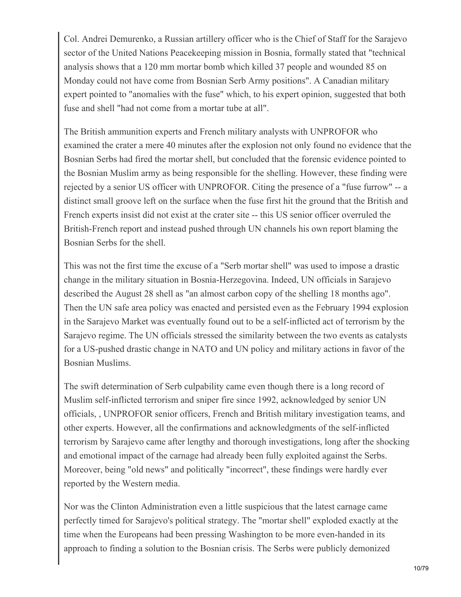Col. Andrei Demurenko, a Russian artillery officer who is the Chief of Staff for the Sarajevo sector of the United Nations Peacekeeping mission in Bosnia, formally stated that "technical analysis shows that a 120 mm mortar bomb which killed 37 people and wounded 85 on Monday could not have come from Bosnian Serb Army positions". A Canadian military expert pointed to "anomalies with the fuse" which, to his expert opinion, suggested that both fuse and shell "had not come from a mortar tube at all".

The British ammunition experts and French military analysts with UNPROFOR who examined the crater a mere 40 minutes after the explosion not only found no evidence that the Bosnian Serbs had fired the mortar shell, but concluded that the forensic evidence pointed to the Bosnian Muslim army as being responsible for the shelling. However, these finding were rejected by a senior US officer with UNPROFOR. Citing the presence of a "fuse furrow" -- a distinct small groove left on the surface when the fuse first hit the ground that the British and French experts insist did not exist at the crater site -- this US senior officer overruled the British-French report and instead pushed through UN channels his own report blaming the Bosnian Serbs for the shell.

This was not the first time the excuse of a "Serb mortar shell" was used to impose a drastic change in the military situation in Bosnia-Herzegovina. Indeed, UN officials in Sarajevo described the August 28 shell as "an almost carbon copy of the shelling 18 months ago". Then the UN safe area policy was enacted and persisted even as the February 1994 explosion in the Sarajevo Market was eventually found out to be a self-inflicted act of terrorism by the Sarajevo regime. The UN officials stressed the similarity between the two events as catalysts for a US-pushed drastic change in NATO and UN policy and military actions in favor of the Bosnian Muslims.

The swift determination of Serb culpability came even though there is a long record of Muslim self-inflicted terrorism and sniper fire since 1992, acknowledged by senior UN officials, , UNPROFOR senior officers, French and British military investigation teams, and other experts. However, all the confirmations and acknowledgments of the self-inflicted terrorism by Sarajevo came after lengthy and thorough investigations, long after the shocking and emotional impact of the carnage had already been fully exploited against the Serbs. Moreover, being "old news" and politically "incorrect", these findings were hardly ever reported by the Western media.

Nor was the Clinton Administration even a little suspicious that the latest carnage came perfectly timed for Sarajevo's political strategy. The "mortar shell" exploded exactly at the time when the Europeans had been pressing Washington to be more even-handed in its approach to finding a solution to the Bosnian crisis. The Serbs were publicly demonized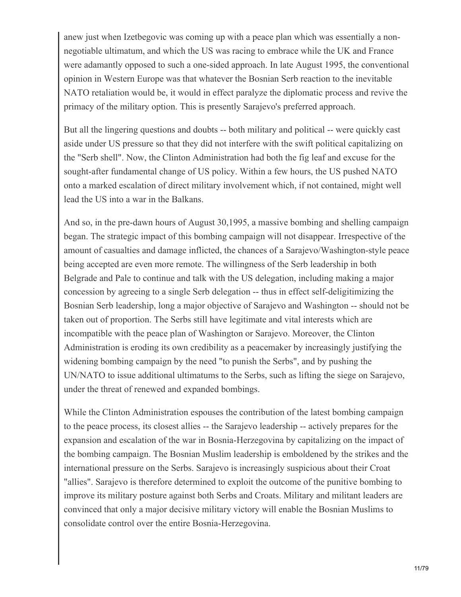anew just when Izetbegovic was coming up with a peace plan which was essentially a nonnegotiable ultimatum, and which the US was racing to embrace while the UK and France were adamantly opposed to such a one-sided approach. In late August 1995, the conventional opinion in Western Europe was that whatever the Bosnian Serb reaction to the inevitable NATO retaliation would be, it would in effect paralyze the diplomatic process and revive the primacy of the military option. This is presently Sarajevo's preferred approach.

But all the lingering questions and doubts -- both military and political -- were quickly cast aside under US pressure so that they did not interfere with the swift political capitalizing on the "Serb shell". Now, the Clinton Administration had both the fig leaf and excuse for the sought-after fundamental change of US policy. Within a few hours, the US pushed NATO onto a marked escalation of direct military involvement which, if not contained, might well lead the US into a war in the Balkans.

And so, in the pre-dawn hours of August 30,1995, a massive bombing and shelling campaign began. The strategic impact of this bombing campaign will not disappear. Irrespective of the amount of casualties and damage inflicted, the chances of a Sarajevo/Washington-style peace being accepted are even more remote. The willingness of the Serb leadership in both Belgrade and Pale to continue and talk with the US delegation, including making a major concession by agreeing to a single Serb delegation -- thus in effect self-deligitimizing the Bosnian Serb leadership, long a major objective of Sarajevo and Washington -- should not be taken out of proportion. The Serbs still have legitimate and vital interests which are incompatible with the peace plan of Washington or Sarajevo. Moreover, the Clinton Administration is eroding its own credibility as a peacemaker by increasingly justifying the widening bombing campaign by the need "to punish the Serbs", and by pushing the UN/NATO to issue additional ultimatums to the Serbs, such as lifting the siege on Sarajevo, under the threat of renewed and expanded bombings.

While the Clinton Administration espouses the contribution of the latest bombing campaign to the peace process, its closest allies -- the Sarajevo leadership -- actively prepares for the expansion and escalation of the war in Bosnia-Herzegovina by capitalizing on the impact of the bombing campaign. The Bosnian Muslim leadership is emboldened by the strikes and the international pressure on the Serbs. Sarajevo is increasingly suspicious about their Croat "allies". Sarajevo is therefore determined to exploit the outcome of the punitive bombing to improve its military posture against both Serbs and Croats. Military and militant leaders are convinced that only a major decisive military victory will enable the Bosnian Muslims to consolidate control over the entire Bosnia-Herzegovina.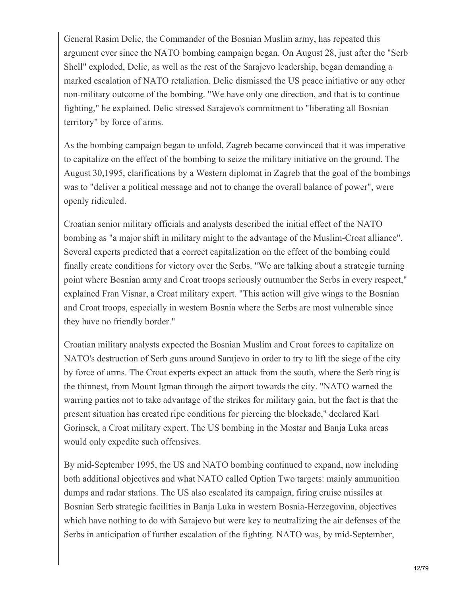General Rasim Delic, the Commander of the Bosnian Muslim army, has repeated this argument ever since the NATO bombing campaign began. On August 28, just after the "Serb Shell" exploded, Delic, as well as the rest of the Sarajevo leadership, began demanding a marked escalation of NATO retaliation. Delic dismissed the US peace initiative or any other non-military outcome of the bombing. "We have only one direction, and that is to continue fighting," he explained. Delic stressed Sarajevo's commitment to "liberating all Bosnian territory" by force of arms.

As the bombing campaign began to unfold, Zagreb became convinced that it was imperative to capitalize on the effect of the bombing to seize the military initiative on the ground. The August 30,1995, clarifications by a Western diplomat in Zagreb that the goal of the bombings was to "deliver a political message and not to change the overall balance of power", were openly ridiculed.

Croatian senior military officials and analysts described the initial effect of the NATO bombing as "a major shift in military might to the advantage of the Muslim-Croat alliance". Several experts predicted that a correct capitalization on the effect of the bombing could finally create conditions for victory over the Serbs. "We are talking about a strategic turning point where Bosnian army and Croat troops seriously outnumber the Serbs in every respect," explained Fran Visnar, a Croat military expert. "This action will give wings to the Bosnian and Croat troops, especially in western Bosnia where the Serbs are most vulnerable since they have no friendly border."

Croatian military analysts expected the Bosnian Muslim and Croat forces to capitalize on NATO's destruction of Serb guns around Sarajevo in order to try to lift the siege of the city by force of arms. The Croat experts expect an attack from the south, where the Serb ring is the thinnest, from Mount Igman through the airport towards the city. "NATO warned the warring parties not to take advantage of the strikes for military gain, but the fact is that the present situation has created ripe conditions for piercing the blockade," declared Karl Gorinsek, a Croat military expert. The US bombing in the Mostar and Banja Luka areas would only expedite such offensives.

By mid-September 1995, the US and NATO bombing continued to expand, now including both additional objectives and what NATO called Option Two targets: mainly ammunition dumps and radar stations. The US also escalated its campaign, firing cruise missiles at Bosnian Serb strategic facilities in Banja Luka in western Bosnia-Herzegovina, objectives which have nothing to do with Sarajevo but were key to neutralizing the air defenses of the Serbs in anticipation of further escalation of the fighting. NATO was, by mid-September,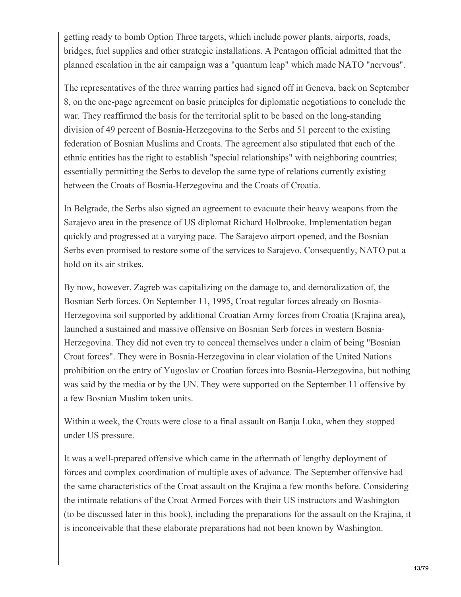getting ready to bomb Option Three targets, which include power plants, airports, roads, bridges, fuel supplies and other strategic installations. A Pentagon official admitted that the planned escalation in the air campaign was a "quantum leap" which made NATO "nervous".

The representatives of the three warring parties had signed off in Geneva, back on September 8, on the one-page agreement on basic principles for diplomatic negotiations to conclude the war. They reaffirmed the basis for the territorial split to be based on the long-standing division of 49 percent of Bosnia-Herzegovina to the Serbs and 51 percent to the existing federation of Bosnian Muslims and Croats. The agreement also stipulated that each of the ethnic entities has the right to establish "special relationships" with neighboring countries; essentially permitting the Serbs to develop the same type of relations currently existing between the Croats of Bosnia-Herzegovina and the Croats of Croatia.

In Belgrade, the Serbs also signed an agreement to evacuate their heavy weapons from the Sarajevo area in the presence of US diplomat Richard Holbrooke. Implementation began quickly and progressed at a varying pace. The Sarajevo airport opened, and the Bosnian Serbs even promised to restore some of the services to Sarajevo. Consequently, NATO put a hold on its air strikes.

By now, however, Zagreb was capitalizing on the damage to, and demoralization of, the Bosnian Serb forces. On September 11, 1995, Croat regular forces already on Bosnia-Herzegovina soil supported by additional Croatian Army forces from Croatia (Krajina area), launched a sustained and massive offensive on Bosnian Serb forces in western Bosnia-Herzegovina. They did not even try to conceal themselves under a claim of being "Bosnian Croat forces". They were in Bosnia-Herzegovina in clear violation of the United Nations prohibition on the entry of Yugoslav or Croatian forces into Bosnia-Herzegovina, but nothing was said by the media or by the UN. They were supported on the September 11 offensive by a few Bosnian Muslim token units.

Within a week, the Croats were close to a final assault on Banja Luka, when they stopped under US pressure.

It was a well-prepared offensive which came in the aftermath of lengthy deployment of forces and complex coordination of multiple axes of advance. The September offensive had the same characteristics of the Croat assault on the Krajina a few months before. Considering the intimate relations of the Croat Armed Forces with their US instructors and Washington (to be discussed later in this book), including the preparations for the assault on the Krajina, it is inconceivable that these elaborate preparations had not been known by Washington.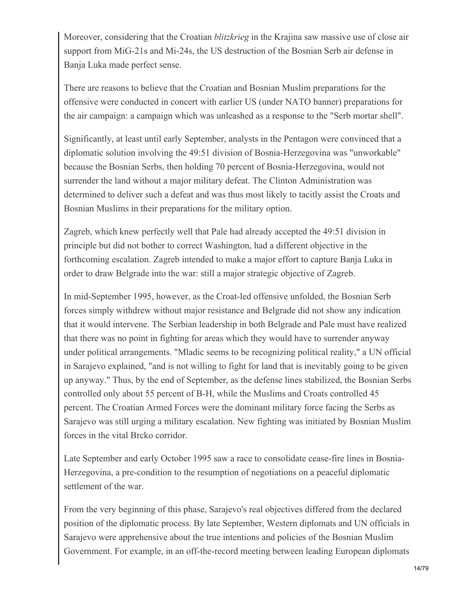Moreover, considering that the Croatian *blitzkrieg* in the Krajina saw massive use of close air support from MiG-21s and Mi-24s, the US destruction of the Bosnian Serb air defense in Banja Luka made perfect sense.

There are reasons to believe that the Croatian and Bosnian Muslim preparations for the offensive were conducted in concert with earlier US (under NATO banner) preparations for the air campaign: a campaign which was unleashed as a response to the "Serb mortar shell".

Significantly, at least until early September, analysts in the Pentagon were convinced that a diplomatic solution involving the 49:51 division of Bosnia-Herzegovina was "unworkable" because the Bosnian Serbs, then holding 70 percent of Bosnia-Herzegovina, would not surrender the land without a major military defeat. The Clinton Administration was determined to deliver such a defeat and was thus most likely to tacitly assist the Croats and Bosnian Muslims in their preparations for the military option.

Zagreb, which knew perfectly well that Pale had already accepted the 49:51 division in principle but did not bother to correct Washington, had a different objective in the forthcoming escalation. Zagreb intended to make a major effort to capture Banja Luka in order to draw Belgrade into the war: still a major strategic objective of Zagreb.

In mid-September 1995, however, as the Croat-led offensive unfolded, the Bosnian Serb forces simply withdrew without major resistance and Belgrade did not show any indication that it would intervene. The Serbian leadership in both Belgrade and Pale must have realized that there was no point in fighting for areas which they would have to surrender anyway under political arrangements. "Mladic seems to be recognizing political reality," a UN official in Sarajevo explained, "and is not willing to fight for land that is inevitably going to be given up anyway." Thus, by the end of September, as the defense lines stabilized, the Bosnian Serbs controlled only about 55 percent of B-H, while the Muslims and Croats controlled 45 percent. The Croatian Armed Forces were the dominant military force facing the Serbs as Sarajevo was still urging a military escalation. New fighting was initiated by Bosnian Muslim forces in the vital Brcko corridor.

Late September and early October 1995 saw a race to consolidate cease-fire lines in Bosnia-Herzegovina, a pre-condition to the resumption of negotiations on a peaceful diplomatic settlement of the war.

From the very beginning of this phase, Sarajevo's real objectives differed from the declared position of the diplomatic process. By late September, Western diplomats and UN officials in Sarajevo were apprehensive about the true intentions and policies of the Bosnian Muslim Government. For example, in an off-the-record meeting between leading European diplomats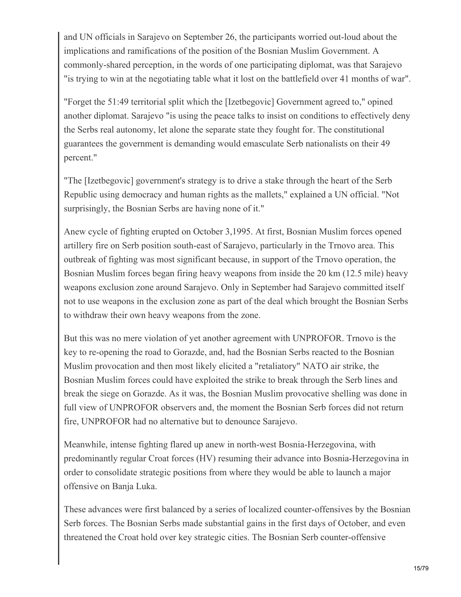and UN officials in Sarajevo on September 26, the participants worried out-loud about the implications and ramifications of the position of the Bosnian Muslim Government. A commonly-shared perception, in the words of one participating diplomat, was that Sarajevo "is trying to win at the negotiating table what it lost on the battlefield over 41 months of war".

"Forget the 51:49 territorial split which the [Izetbegovic] Government agreed to," opined another diplomat. Sarajevo "is using the peace talks to insist on conditions to effectively deny the Serbs real autonomy, let alone the separate state they fought for. The constitutional guarantees the government is demanding would emasculate Serb nationalists on their 49 percent."

"The [Izetbegovic] government's strategy is to drive a stake through the heart of the Serb Republic using democracy and human rights as the mallets," explained a UN official. "Not surprisingly, the Bosnian Serbs are having none of it."

Anew cycle of fighting erupted on October 3,1995. At first, Bosnian Muslim forces opened artillery fire on Serb position south-east of Sarajevo, particularly in the Trnovo area. This outbreak of fighting was most significant because, in support of the Trnovo operation, the Bosnian Muslim forces began firing heavy weapons from inside the 20 km (12.5 mile) heavy weapons exclusion zone around Sarajevo. Only in September had Sarajevo committed itself not to use weapons in the exclusion zone as part of the deal which brought the Bosnian Serbs to withdraw their own heavy weapons from the zone.

But this was no mere violation of yet another agreement with UNPROFOR. Trnovo is the key to re-opening the road to Gorazde, and, had the Bosnian Serbs reacted to the Bosnian Muslim provocation and then most likely elicited a "retaliatory" NATO air strike, the Bosnian Muslim forces could have exploited the strike to break through the Serb lines and break the siege on Gorazde. As it was, the Bosnian Muslim provocative shelling was done in full view of UNPROFOR observers and, the moment the Bosnian Serb forces did not return fire, UNPROFOR had no alternative but to denounce Sarajevo.

Meanwhile, intense fighting flared up anew in north-west Bosnia-Herzegovina, with predominantly regular Croat forces (HV) resuming their advance into Bosnia-Herzegovina in order to consolidate strategic positions from where they would be able to launch a major offensive on Banja Luka.

These advances were first balanced by a series of localized counter-offensives by the Bosnian Serb forces. The Bosnian Serbs made substantial gains in the first days of October, and even threatened the Croat hold over key strategic cities. The Bosnian Serb counter-offensive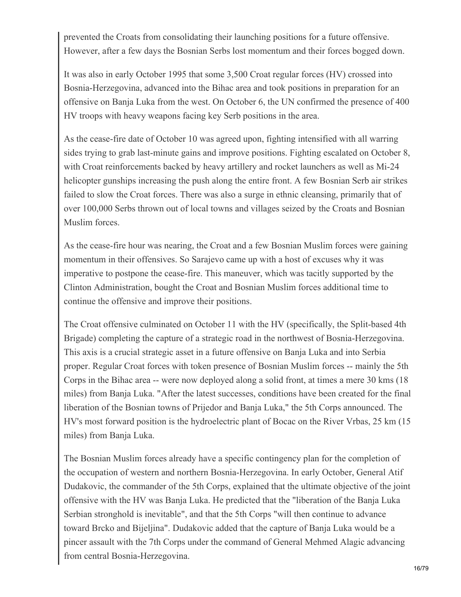prevented the Croats from consolidating their launching positions for a future offensive. However, after a few days the Bosnian Serbs lost momentum and their forces bogged down.

It was also in early October 1995 that some 3,500 Croat regular forces (HV) crossed into Bosnia-Herzegovina, advanced into the Bihac area and took positions in preparation for an offensive on Banja Luka from the west. On October 6, the UN confirmed the presence of 400 HV troops with heavy weapons facing key Serb positions in the area.

As the cease-fire date of October 10 was agreed upon, fighting intensified with all warring sides trying to grab last-minute gains and improve positions. Fighting escalated on October 8, with Croat reinforcements backed by heavy artillery and rocket launchers as well as Mi-24 helicopter gunships increasing the push along the entire front. A few Bosnian Serb air strikes failed to slow the Croat forces. There was also a surge in ethnic cleansing, primarily that of over 100,000 Serbs thrown out of local towns and villages seized by the Croats and Bosnian Muslim forces.

As the cease-fire hour was nearing, the Croat and a few Bosnian Muslim forces were gaining momentum in their offensives. So Sarajevo came up with a host of excuses why it was imperative to postpone the cease-fire. This maneuver, which was tacitly supported by the Clinton Administration, bought the Croat and Bosnian Muslim forces additional time to continue the offensive and improve their positions.

The Croat offensive culminated on October 11 with the HV (specifically, the Split-based 4th Brigade) completing the capture of a strategic road in the northwest of Bosnia-Herzegovina. This axis is a crucial strategic asset in a future offensive on Banja Luka and into Serbia proper. Regular Croat forces with token presence of Bosnian Muslim forces -- mainly the 5th Corps in the Bihac area -- were now deployed along a solid front, at times a mere 30 kms (18 miles) from Banja Luka. "After the latest successes, conditions have been created for the final liberation of the Bosnian towns of Prijedor and Banja Luka," the 5th Corps announced. The HV's most forward position is the hydroelectric plant of Bocac on the River Vrbas, 25 km (15 miles) from Banja Luka.

The Bosnian Muslim forces already have a specific contingency plan for the completion of the occupation of western and northern Bosnia-Herzegovina. In early October, General Atif Dudakovic, the commander of the 5th Corps, explained that the ultimate objective of the joint offensive with the HV was Banja Luka. He predicted that the "liberation of the Banja Luka Serbian stronghold is inevitable", and that the 5th Corps "will then continue to advance toward Brcko and Bijeljina". Dudakovic added that the capture of Banja Luka would be a pincer assault with the 7th Corps under the command of General Mehmed Alagic advancing from central Bosnia-Herzegovina.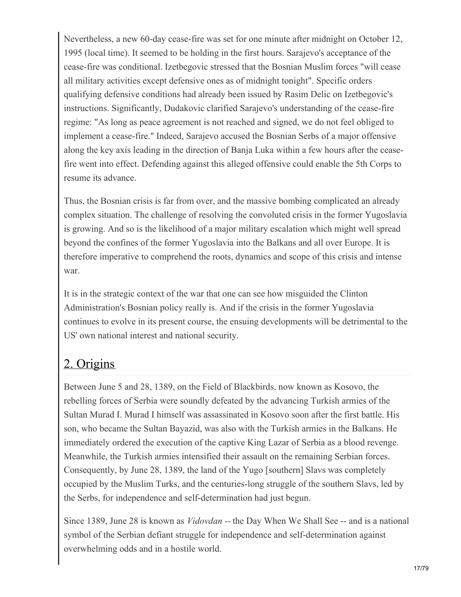Nevertheless, a new 60-day cease-fire was set for one minute after midnight on October 12, 1995 (local time). It seemed to be holding in the first hours. Sarajevo's acceptance of the cease-fire was conditional. Izetbegovic stressed that the Bosnian Muslim forces "will cease all military activities except defensive ones as of midnight tonight". Specific orders qualifying defensive conditions had already been issued by Rasim Delic on Izetbegovic's instructions. Significantly, Dudakovic clarified Sarajevo's understanding of the cease-fire regime: "As long as peace agreement is not reached and signed, we do not feel obliged to implement a cease-fire." Indeed, Sarajevo accused the Bosnian Serbs of a major offensive along the key axis leading in the direction of Banja Luka within a few hours after the ceasefire went into effect. Defending against this alleged offensive could enable the 5th Corps to resume its advance.

Thus, the Bosnian crisis is far from over, and the massive bombing complicated an already complex situation. The challenge of resolving the convoluted crisis in the former Yugoslavia is growing. And so is the likelihood of a major military escalation which might well spread beyond the confines of the former Yugoslavia into the Balkans and all over Europe. It is therefore imperative to comprehend the roots, dynamics and scope of this crisis and intense war.

It is in the strategic context of the war that one can see how misguided the Clinton Administration's Bosnian policy really is. And if the crisis in the former Yugoslavia continues to evolve in its present course, the ensuing developments will be detrimental to the US' own national interest and national security.

## 2. Origins

Between June 5 and 28, 1389, on the Field of Blackbirds, now known as Kosovo, the rebelling forces of Serbia were soundly defeated by the advancing Turkish armies of the Sultan Murad I. Murad I himself was assassinated in Kosovo soon after the first battle. His son, who became the Sultan Bayazid, was also with the Turkish armies in the Balkans. He immediately ordered the execution of the captive King Lazar of Serbia as a blood revenge. Meanwhile, the Turkish armies intensified their assault on the remaining Serbian forces. Consequently, by June 28, 1389, the land of the Yugo [southern] Slavs was completely occupied by the Muslim Turks, and the centuries-long struggle of the southern Slavs, led by the Serbs, for independence and self-determination had just begun.

Since 1389, June 28 is known as *Vidovdan --* the Day When We Shall See -- and is a national symbol of the Serbian defiant struggle for independence and self-determination against overwhelming odds and in a hostile world.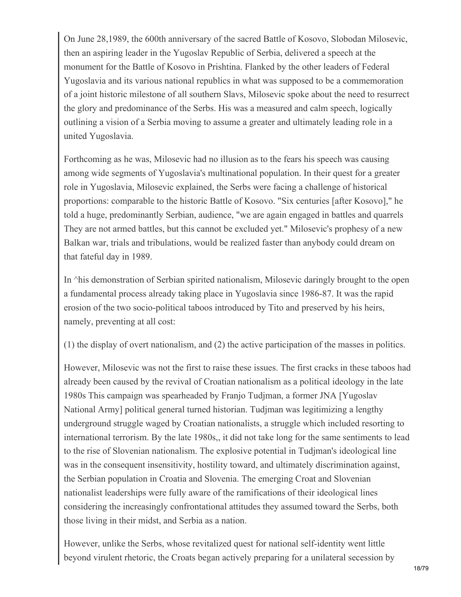On June 28,1989, the 600th anniversary of the sacred Battle of Kosovo, Slobodan Milosevic, then an aspiring leader in the Yugoslav Republic of Serbia, delivered a speech at the monument for the Battle of Kosovo in Prishtina. Flanked by the other leaders of Federal Yugoslavia and its various national republics in what was supposed to be a commemoration of a joint historic milestone of all southern Slavs, Milosevic spoke about the need to resurrect the glory and predominance of the Serbs. His was a measured and calm speech, logically outlining a vision of a Serbia moving to assume a greater and ultimately leading role in a united Yugoslavia.

Forthcoming as he was, Milosevic had no illusion as to the fears his speech was causing among wide segments of Yugoslavia's multinational population. In their quest for a greater role in Yugoslavia, Milosevic explained, the Serbs were facing a challenge of historical proportions: comparable to the historic Battle of Kosovo. "Six centuries [after Kosovo]," he told a huge, predominantly Serbian, audience, "we are again engaged in battles and quarrels They are not armed battles, but this cannot be excluded yet." Milosevic's prophesy of a new Balkan war, trials and tribulations, would be realized faster than anybody could dream on that fateful day in 1989.

In  $\wedge$ his demonstration of Serbian spirited nationalism, Milosevic daringly brought to the open a fundamental process already taking place in Yugoslavia since 1986-87. It was the rapid erosion of the two socio-political taboos introduced by Tito and preserved by his heirs, namely, preventing at all cost:

(1) the display of overt nationalism, and (2) the active participation of the masses in politics.

However, Milosevic was not the first to raise these issues. The first cracks in these taboos had already been caused by the revival of Croatian nationalism as a political ideology in the late 1980s This campaign was spearheaded by Franjo Tudjman, a former JNA [Yugoslav National Army] political general turned historian. Tudjman was legitimizing a lengthy underground struggle waged by Croatian nationalists, a struggle which included resorting to international terrorism. By the late 1980s,, it did not take long for the same sentiments to lead to the rise of Slovenian nationalism. The explosive potential in Tudjman's ideological line was in the consequent insensitivity, hostility toward, and ultimately discrimination against, the Serbian population in Croatia and Slovenia. The emerging Croat and Slovenian nationalist leaderships were fully aware of the ramifications of their ideological lines considering the increasingly confrontational attitudes they assumed toward the Serbs, both those living in their midst, and Serbia as a nation.

However, unlike the Serbs, whose revitalized quest for national self-identity went little beyond virulent rhetoric, the Croats began actively preparing for a unilateral secession by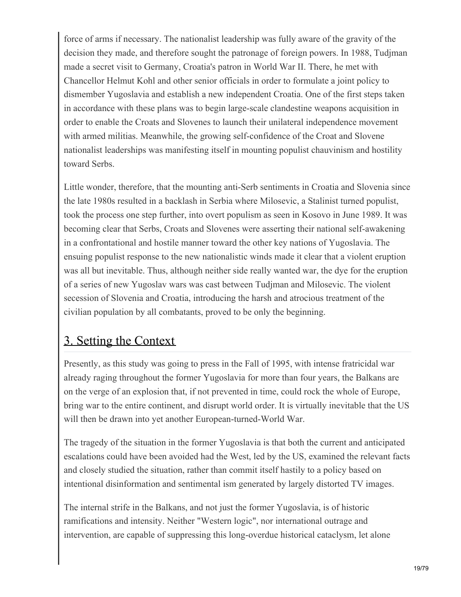force of arms if necessary. The nationalist leadership was fully aware of the gravity of the decision they made, and therefore sought the patronage of foreign powers. In 1988, Tudjman made a secret visit to Germany, Croatia's patron in World War II. There, he met with Chancellor Helmut Kohl and other senior officials in order to formulate a joint policy to dismember Yugoslavia and establish a new independent Croatia. One of the first steps taken in accordance with these plans was to begin large-scale clandestine weapons acquisition in order to enable the Croats and Slovenes to launch their unilateral independence movement with armed militias. Meanwhile, the growing self-confidence of the Croat and Slovene nationalist leaderships was manifesting itself in mounting populist chauvinism and hostility toward Serbs.

Little wonder, therefore, that the mounting anti-Serb sentiments in Croatia and Slovenia since the late 1980s resulted in a backlash in Serbia where Milosevic, a Stalinist turned populist, took the process one step further, into overt populism as seen in Kosovo in June 1989. It was becoming clear that Serbs, Croats and Slovenes were asserting their national self-awakening in a confrontational and hostile manner toward the other key nations of Yugoslavia. The ensuing populist response to the new nationalistic winds made it clear that a violent eruption was all but inevitable. Thus, although neither side really wanted war, the dye for the eruption of a series of new Yugoslav wars was cast between Tudjman and Milosevic. The violent secession of Slovenia and Croatia, introducing the harsh and atrocious treatment of the civilian population by all combatants, proved to be only the beginning.

### 3. Setting the Context

Presently, as this study was going to press in the Fall of 1995, with intense fratricidal war already raging throughout the former Yugoslavia for more than four years, the Balkans are on the verge of an explosion that, if not prevented in time, could rock the whole of Europe, bring war to the entire continent, and disrupt world order. It is virtually inevitable that the US will then be drawn into yet another European-turned-World War.

The tragedy of the situation in the former Yugoslavia is that both the current and anticipated escalations could have been avoided had the West, led by the US, examined the relevant facts and closely studied the situation, rather than commit itself hastily to a policy based on intentional disinformation and sentimental ism generated by largely distorted TV images.

The internal strife in the Balkans, and not just the former Yugoslavia, is of historic ramifications and intensity. Neither "Western logic", nor international outrage and intervention, are capable of suppressing this long-overdue historical cataclysm, let alone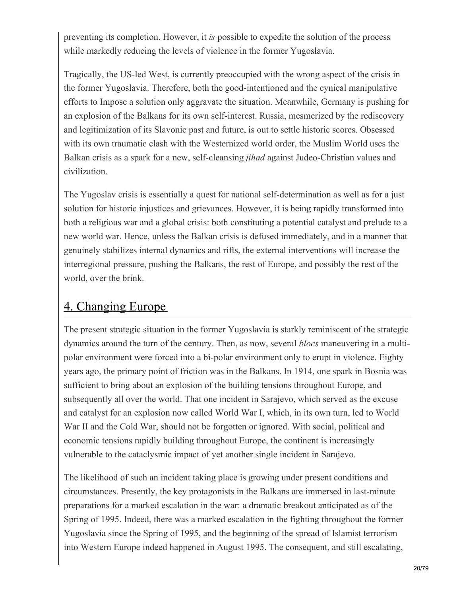preventing its completion. However, it *is* possible to expedite the solution of the process while markedly reducing the levels of violence in the former Yugoslavia.

Tragically, the US-led West, is currently preoccupied with the wrong aspect of the crisis in the former Yugoslavia. Therefore, both the good-intentioned and the cynical manipulative efforts to Impose a solution only aggravate the situation. Meanwhile, Germany is pushing for an explosion of the Balkans for its own self-interest. Russia, mesmerized by the rediscovery and legitimization of its Slavonic past and future, is out to settle historic scores. Obsessed with its own traumatic clash with the Westernized world order, the Muslim World uses the Balkan crisis as a spark for a new, self-cleansing *jihad* against Judeo-Christian values and civilization.

The Yugoslav crisis is essentially a quest for national self-determination as well as for a just solution for historic injustices and grievances. However, it is being rapidly transformed into both a religious war and a global crisis: both constituting a potential catalyst and prelude to a new world war. Hence, unless the Balkan crisis is defused immediately, and in a manner that genuinely stabilizes internal dynamics and rifts, the external interventions will increase the interregional pressure, pushing the Balkans, the rest of Europe, and possibly the rest of the world, over the brink.

#### 4. Changing Europe

The present strategic situation in the former Yugoslavia is starkly reminiscent of the strategic dynamics around the turn of the century. Then, as now, several *blocs* maneuvering in a multipolar environment were forced into a bi-polar environment only to erupt in violence. Eighty years ago, the primary point of friction was in the Balkans. In 1914, one spark in Bosnia was sufficient to bring about an explosion of the building tensions throughout Europe, and subsequently all over the world. That one incident in Sarajevo, which served as the excuse and catalyst for an explosion now called World War I, which, in its own turn, led to World War II and the Cold War, should not be forgotten or ignored. With social, political and economic tensions rapidly building throughout Europe, the continent is increasingly vulnerable to the cataclysmic impact of yet another single incident in Sarajevo.

The likelihood of such an incident taking place is growing under present conditions and circumstances. Presently, the key protagonists in the Balkans are immersed in last-minute preparations for a marked escalation in the war: a dramatic breakout anticipated as of the Spring of 1995. Indeed, there was a marked escalation in the fighting throughout the former Yugoslavia since the Spring of 1995, and the beginning of the spread of Islamist terrorism into Western Europe indeed happened in August 1995. The consequent, and still escalating,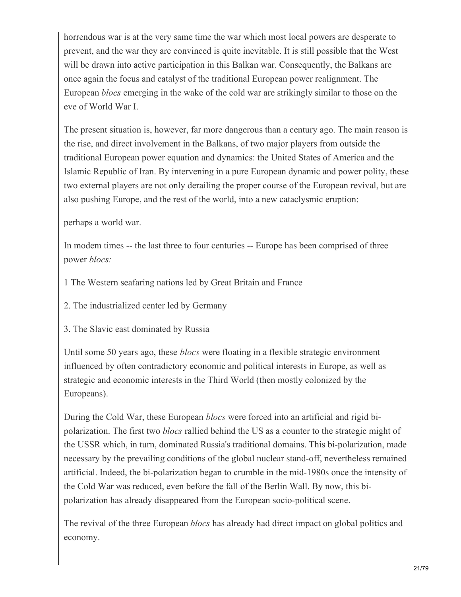horrendous war is at the very same time the war which most local powers are desperate to prevent, and the war they are convinced is quite inevitable. It is still possible that the West will be drawn into active participation in this Balkan war. Consequently, the Balkans are once again the focus and catalyst of the traditional European power realignment. The European *blocs* emerging in the wake of the cold war are strikingly similar to those on the eve of World War I.

The present situation is, however, far more dangerous than a century ago. The main reason is the rise, and direct involvement in the Balkans, of two major players from outside the traditional European power equation and dynamics: the United States of America and the Islamic Republic of Iran. By intervening in a pure European dynamic and power polity, these two external players are not only derailing the proper course of the European revival, but are also pushing Europe, and the rest of the world, into a new cataclysmic eruption:

perhaps a world war.

In modem times -- the last three to four centuries -- Europe has been comprised of three power *blocs:*

1 The Western seafaring nations led by Great Britain and France

2. The industrialized center led by Germany

3. The Slavic east dominated by Russia

Until some 50 years ago, these *blocs* were floating in a flexible strategic environment influenced by often contradictory economic and political interests in Europe, as well as strategic and economic interests in the Third World (then mostly colonized by the Europeans).

During the Cold War, these European *blocs* were forced into an artificial and rigid bipolarization. The first two *blocs* rallied behind the US as a counter to the strategic might of the USSR which, in turn, dominated Russia's traditional domains. This bi-polarization, made necessary by the prevailing conditions of the global nuclear stand-off, nevertheless remained artificial. Indeed, the bi-polarization began to crumble in the mid-1980s once the intensity of the Cold War was reduced, even before the fall of the Berlin Wall. By now, this bipolarization has already disappeared from the European socio-political scene.

The revival of the three European *blocs* has already had direct impact on global politics and economy.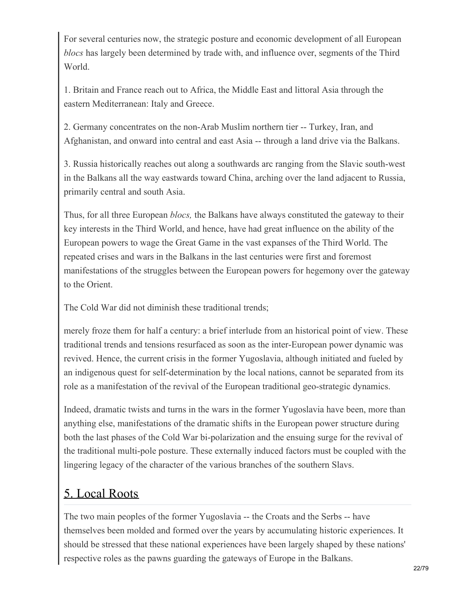For several centuries now, the strategic posture and economic development of all European *blocs* has largely been determined by trade with, and influence over, segments of the Third World.

1. Britain and France reach out to Africa, the Middle East and littoral Asia through the eastern Mediterranean: Italy and Greece.

2. Germany concentrates on the non-Arab Muslim northern tier -- Turkey, Iran, and Afghanistan, and onward into central and east Asia -- through a land drive via the Balkans.

3. Russia historically reaches out along a southwards arc ranging from the Slavic south-west in the Balkans all the way eastwards toward China, arching over the land adjacent to Russia, primarily central and south Asia.

Thus, for all three European *blocs,* the Balkans have always constituted the gateway to their key interests in the Third World, and hence, have had great influence on the ability of the European powers to wage the Great Game in the vast expanses of the Third World. The repeated crises and wars in the Balkans in the last centuries were first and foremost manifestations of the struggles between the European powers for hegemony over the gateway to the Orient.

The Cold War did not diminish these traditional trends;

merely froze them for half a century: a brief interlude from an historical point of view. These traditional trends and tensions resurfaced as soon as the inter-European power dynamic was revived. Hence, the current crisis in the former Yugoslavia, although initiated and fueled by an indigenous quest for self-determination by the local nations, cannot be separated from its role as a manifestation of the revival of the European traditional geo-strategic dynamics.

Indeed, dramatic twists and turns in the wars in the former Yugoslavia have been, more than anything else, manifestations of the dramatic shifts in the European power structure during both the last phases of the Cold War bi-polarization and the ensuing surge for the revival of the traditional multi-pole posture. These externally induced factors must be coupled with the lingering legacy of the character of the various branches of the southern Slavs.

# 5. Local Roots

The two main peoples of the former Yugoslavia -- the Croats and the Serbs -- have themselves been molded and formed over the years by accumulating historic experiences. It should be stressed that these national experiences have been largely shaped by these nations' respective roles as the pawns guarding the gateways of Europe in the Balkans.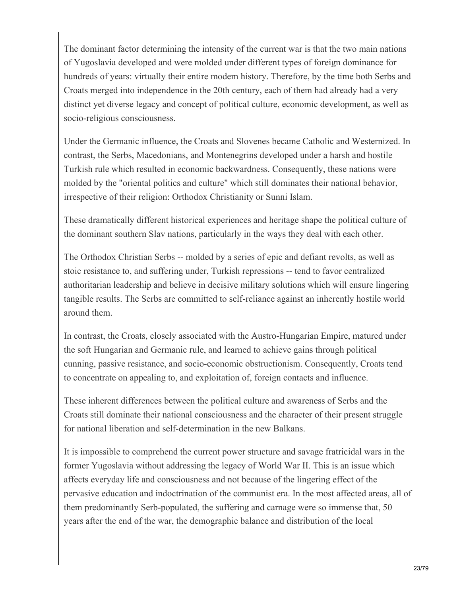The dominant factor determining the intensity of the current war is that the two main nations of Yugoslavia developed and were molded under different types of foreign dominance for hundreds of years: virtually their entire modem history. Therefore, by the time both Serbs and Croats merged into independence in the 20th century, each of them had already had a very distinct yet diverse legacy and concept of political culture, economic development, as well as socio-religious consciousness.

Under the Germanic influence, the Croats and Slovenes became Catholic and Westernized. In contrast, the Serbs, Macedonians, and Montenegrins developed under a harsh and hostile Turkish rule which resulted in economic backwardness. Consequently, these nations were molded by the "oriental politics and culture" which still dominates their national behavior, irrespective of their religion: Orthodox Christianity or Sunni Islam.

These dramatically different historical experiences and heritage shape the political culture of the dominant southern Slav nations, particularly in the ways they deal with each other.

The Orthodox Christian Serbs -- molded by a series of epic and defiant revolts, as well as stoic resistance to, and suffering under, Turkish repressions -- tend to favor centralized authoritarian leadership and believe in decisive military solutions which will ensure lingering tangible results. The Serbs are committed to self-reliance against an inherently hostile world around them.

In contrast, the Croats, closely associated with the Austro-Hungarian Empire, matured under the soft Hungarian and Germanic rule, and learned to achieve gains through political cunning, passive resistance, and socio-economic obstructionism. Consequently, Croats tend to concentrate on appealing to, and exploitation of, foreign contacts and influence.

These inherent differences between the political culture and awareness of Serbs and the Croats still dominate their national consciousness and the character of their present struggle for national liberation and self-determination in the new Balkans.

It is impossible to comprehend the current power structure and savage fratricidal wars in the former Yugoslavia without addressing the legacy of World War II. This is an issue which affects everyday life and consciousness and not because of the lingering effect of the pervasive education and indoctrination of the communist era. In the most affected areas, all of them predominantly Serb-populated, the suffering and carnage were so immense that, 50 years after the end of the war, the demographic balance and distribution of the local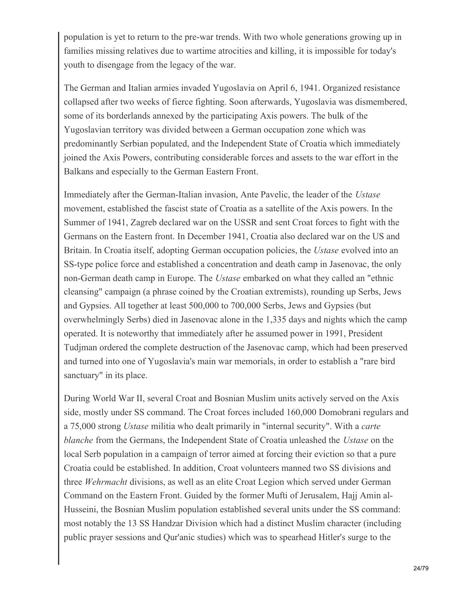population is yet to return to the pre-war trends. With two whole generations growing up in families missing relatives due to wartime atrocities and killing, it is impossible for today's youth to disengage from the legacy of the war.

The German and Italian armies invaded Yugoslavia on April 6, 1941. Organized resistance collapsed after two weeks of fierce fighting. Soon afterwards, Yugoslavia was dismembered, some of its borderlands annexed by the participating Axis powers. The bulk of the Yugoslavian territory was divided between a German occupation zone which was predominantly Serbian populated, and the Independent State of Croatia which immediately joined the Axis Powers, contributing considerable forces and assets to the war effort in the Balkans and especially to the German Eastern Front.

Immediately after the German-Italian invasion, Ante Pavelic, the leader of the *Ustase* movement, established the fascist state of Croatia as a satellite of the Axis powers. In the Summer of 1941, Zagreb declared war on the USSR and sent Croat forces to fight with the Germans on the Eastern front. In December 1941, Croatia also declared war on the US and Britain. In Croatia itself, adopting German occupation policies, the *Ustase* evolved into an SS-type police force and established a concentration and death camp in Jasenovac, the only non-German death camp in Europe. The *Ustase* embarked on what they called an "ethnic cleansing" campaign (a phrase coined by the Croatian extremists), rounding up Serbs, Jews and Gypsies. All together at least 500,000 to 700,000 Serbs, Jews and Gypsies (but overwhelmingly Serbs) died in Jasenovac alone in the 1,335 days and nights which the camp operated. It is noteworthy that immediately after he assumed power in 1991, President Tudjman ordered the complete destruction of the Jasenovac camp, which had been preserved and turned into one of Yugoslavia's main war memorials, in order to establish a "rare bird sanctuary" in its place.

During World War II, several Croat and Bosnian Muslim units actively served on the Axis side, mostly under SS command. The Croat forces included 160,000 Domobrani regulars and a 75,000 strong *Ustase* militia who dealt primarily in "internal security". With a *carte blanche* from the Germans, the Independent State of Croatia unleashed the *Ustase* on the local Serb population in a campaign of terror aimed at forcing their eviction so that a pure Croatia could be established. In addition, Croat volunteers manned two SS divisions and three *Wehrmacht* divisions, as well as an elite Croat Legion which served under German Command on the Eastern Front. Guided by the former Mufti of Jerusalem, Hajj Amin al-Husseini, the Bosnian Muslim population established several units under the SS command: most notably the 13 SS Handzar Division which had a distinct Muslim character (including public prayer sessions and Qur'anic studies) which was to spearhead Hitler's surge to the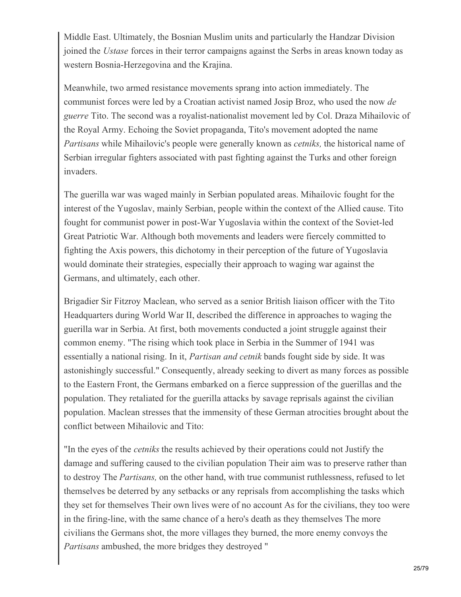Middle East. Ultimately, the Bosnian Muslim units and particularly the Handzar Division joined the *Ustase* forces in their terror campaigns against the Serbs in areas known today as western Bosnia-Herzegovina and the Krajina.

Meanwhile, two armed resistance movements sprang into action immediately. The communist forces were led by a Croatian activist named Josip Broz, who used the now *de guerre* Tito. The second was a royalist-nationalist movement led by Col. Draza Mihailovic of the Royal Army. Echoing the Soviet propaganda, Tito's movement adopted the name *Partisans* while Mihailovic's people were generally known as *cetniks,* the historical name of Serbian irregular fighters associated with past fighting against the Turks and other foreign invaders.

The guerilla war was waged mainly in Serbian populated areas. Mihailovic fought for the interest of the Yugoslav, mainly Serbian, people within the context of the Allied cause. Tito fought for communist power in post-War Yugoslavia within the context of the Soviet-led Great Patriotic War. Although both movements and leaders were fiercely committed to fighting the Axis powers, this dichotomy in their perception of the future of Yugoslavia would dominate their strategies, especially their approach to waging war against the Germans, and ultimately, each other.

Brigadier Sir Fitzroy Maclean, who served as a senior British liaison officer with the Tito Headquarters during World War II, described the difference in approaches to waging the guerilla war in Serbia. At first, both movements conducted a joint struggle against their common enemy. "The rising which took place in Serbia in the Summer of 1941 was essentially a national rising. In it, *Partisan and cetnik* bands fought side by side. It was astonishingly successful." Consequently, already seeking to divert as many forces as possible to the Eastern Front, the Germans embarked on a fierce suppression of the guerillas and the population. They retaliated for the guerilla attacks by savage reprisals against the civilian population. Maclean stresses that the immensity of these German atrocities brought about the conflict between Mihailovic and Tito:

"In the eyes of the *cetniks* the results achieved by their operations could not Justify the damage and suffering caused to the civilian population Their aim was to preserve rather than to destroy The *Partisans,* on the other hand, with true communist ruthlessness, refused to let themselves be deterred by any setbacks or any reprisals from accomplishing the tasks which they set for themselves Their own lives were of no account As for the civilians, they too were in the firing-line, with the same chance of a hero's death as they themselves The more civilians the Germans shot, the more villages they burned, the more enemy convoys the *Partisans* ambushed, the more bridges they destroyed "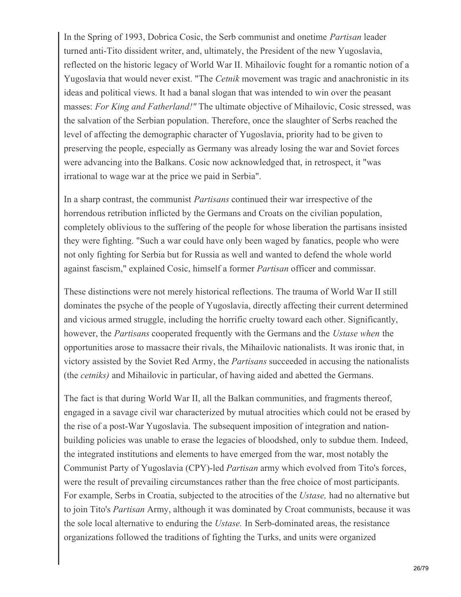In the Spring of 1993, Dobrica Cosic, the Serb communist and onetime *Partisan* leader turned anti-Tito dissident writer, and, ultimately, the President of the new Yugoslavia, reflected on the historic legacy of World War II. Mihailovic fought for a romantic notion of a Yugoslavia that would never exist. "The *Cetnik* movement was tragic and anachronistic in its ideas and political views. It had a banal slogan that was intended to win over the peasant masses: *For King and Fatherland!"* The ultimate objective of Mihailovic, Cosic stressed, was the salvation of the Serbian population. Therefore, once the slaughter of Serbs reached the level of affecting the demographic character of Yugoslavia, priority had to be given to preserving the people, especially as Germany was already losing the war and Soviet forces were advancing into the Balkans. Cosic now acknowledged that, in retrospect, it "was irrational to wage war at the price we paid in Serbia".

In a sharp contrast, the communist *Partisans* continued their war irrespective of the horrendous retribution inflicted by the Germans and Croats on the civilian population, completely oblivious to the suffering of the people for whose liberation the partisans insisted they were fighting. "Such a war could have only been waged by fanatics, people who were not only fighting for Serbia but for Russia as well and wanted to defend the whole world against fascism," explained Cosic, himself a former *Partisan* officer and commissar.

These distinctions were not merely historical reflections. The trauma of World War II still dominates the psyche of the people of Yugoslavia, directly affecting their current determined and vicious armed struggle, including the horrific cruelty toward each other. Significantly, however, the *Partisans* cooperated frequently with the Germans and the *Ustase when* the opportunities arose to massacre their rivals, the Mihailovic nationalists. It was ironic that, in victory assisted by the Soviet Red Army, the *Partisans* succeeded in accusing the nationalists (the *cetniks)* and Mihailovic in particular, of having aided and abetted the Germans.

The fact is that during World War II, all the Balkan communities, and fragments thereof, engaged in a savage civil war characterized by mutual atrocities which could not be erased by the rise of a post-War Yugoslavia. The subsequent imposition of integration and nationbuilding policies was unable to erase the legacies of bloodshed, only to subdue them. Indeed, the integrated institutions and elements to have emerged from the war, most notably the Communist Party of Yugoslavia (CPY)-led *Partisan* army which evolved from Tito's forces, were the result of prevailing circumstances rather than the free choice of most participants. For example, Serbs in Croatia, subjected to the atrocities of the *Ustase,* had no alternative but to join Tito's *Partisan* Army, although it was dominated by Croat communists, because it was the sole local alternative to enduring the *Ustase.* In Serb-dominated areas, the resistance organizations followed the traditions of fighting the Turks, and units were organized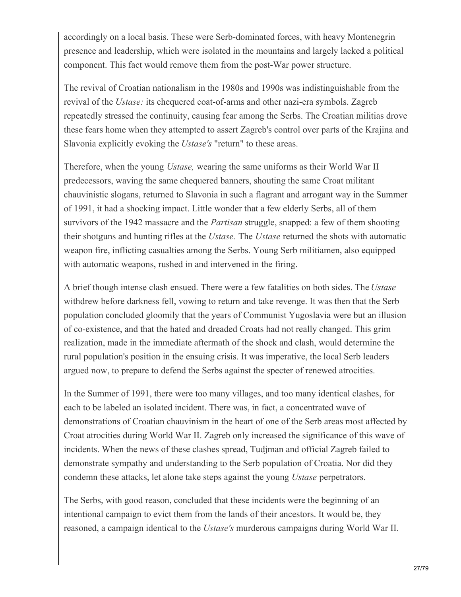accordingly on a local basis. These were Serb-dominated forces, with heavy Montenegrin presence and leadership, which were isolated in the mountains and largely lacked a political component. This fact would remove them from the post-War power structure.

The revival of Croatian nationalism in the 1980s and 1990s was indistinguishable from the revival of the *Ustase:* its chequered coat-of-arms and other nazi-era symbols. Zagreb repeatedly stressed the continuity, causing fear among the Serbs. The Croatian militias drove these fears home when they attempted to assert Zagreb's control over parts of the Krajina and Slavonia explicitly evoking the *Ustase's* "return" to these areas.

Therefore, when the young *Ustase,* wearing the same uniforms as their World War II predecessors, waving the same chequered banners, shouting the same Croat militant chauvinistic slogans, returned to Slavonia in such a flagrant and arrogant way in the Summer of 1991, it had a shocking impact. Little wonder that a few elderly Serbs, all of them survivors of the 1942 massacre and the *Partisan* struggle, snapped: a few of them shooting their shotguns and hunting rifles at the *Ustase.* The *Ustase* returned the shots with automatic weapon fire, inflicting casualties among the Serbs. Young Serb militiamen, also equipped with automatic weapons, rushed in and intervened in the firing.

A brief though intense clash ensued. There were a few fatalities on both sides. The *Ustase* withdrew before darkness fell, vowing to return and take revenge. It was then that the Serb population concluded gloomily that the years of Communist Yugoslavia were but an illusion of co-existence, and that the hated and dreaded Croats had not really changed. This grim realization, made in the immediate aftermath of the shock and clash, would determine the rural population's position in the ensuing crisis. It was imperative, the local Serb leaders argued now, to prepare to defend the Serbs against the specter of renewed atrocities.

In the Summer of 1991, there were too many villages, and too many identical clashes, for each to be labeled an isolated incident. There was, in fact, a concentrated wave of demonstrations of Croatian chauvinism in the heart of one of the Serb areas most affected by Croat atrocities during World War II. Zagreb only increased the significance of this wave of incidents. When the news of these clashes spread, Tudjman and official Zagreb failed to demonstrate sympathy and understanding to the Serb population of Croatia. Nor did they condemn these attacks, let alone take steps against the young *Ustase* perpetrators.

The Serbs, with good reason, concluded that these incidents were the beginning of an intentional campaign to evict them from the lands of their ancestors. It would be, they reasoned, a campaign identical to the *Ustase's* murderous campaigns during World War II.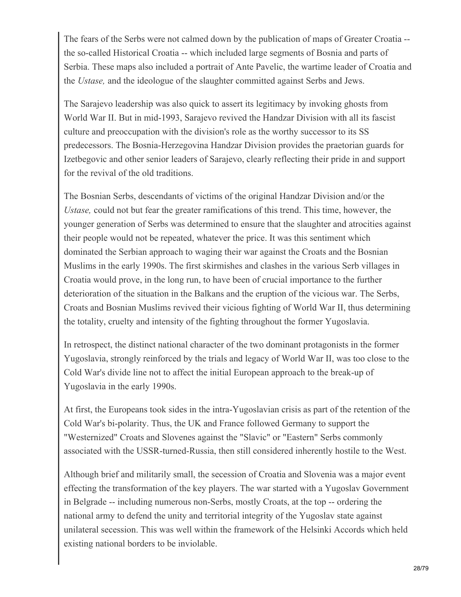The fears of the Serbs were not calmed down by the publication of maps of Greater Croatia - the so-called Historical Croatia -- which included large segments of Bosnia and parts of Serbia. These maps also included a portrait of Ante Pavelic, the wartime leader of Croatia and the *Ustase,* and the ideologue of the slaughter committed against Serbs and Jews.

The Sarajevo leadership was also quick to assert its legitimacy by invoking ghosts from World War II. But in mid-1993, Sarajevo revived the Handzar Division with all its fascist culture and preoccupation with the division's role as the worthy successor to its SS predecessors. The Bosnia-Herzegovina Handzar Division provides the praetorian guards for Izetbegovic and other senior leaders of Sarajevo, clearly reflecting their pride in and support for the revival of the old traditions.

The Bosnian Serbs, descendants of victims of the original Handzar Division and/or the *Ustase,* could not but fear the greater ramifications of this trend. This time, however, the younger generation of Serbs was determined to ensure that the slaughter and atrocities against their people would not be repeated, whatever the price. It was this sentiment which dominated the Serbian approach to waging their war against the Croats and the Bosnian Muslims in the early 1990s. The first skirmishes and clashes in the various Serb villages in Croatia would prove, in the long run, to have been of crucial importance to the further deterioration of the situation in the Balkans and the eruption of the vicious war. The Serbs, Croats and Bosnian Muslims revived their vicious fighting of World War II, thus determining the totality, cruelty and intensity of the fighting throughout the former Yugoslavia.

In retrospect, the distinct national character of the two dominant protagonists in the former Yugoslavia, strongly reinforced by the trials and legacy of World War II, was too close to the Cold War's divide line not to affect the initial European approach to the break-up of Yugoslavia in the early 1990s.

At first, the Europeans took sides in the intra-Yugoslavian crisis as part of the retention of the Cold War's bi-polarity. Thus, the UK and France followed Germany to support the "Westernized" Croats and Slovenes against the "Slavic" or "Eastern" Serbs commonly associated with the USSR-turned-Russia, then still considered inherently hostile to the West.

Although brief and militarily small, the secession of Croatia and Slovenia was a major event effecting the transformation of the key players. The war started with a Yugoslav Government in Belgrade -- including numerous non-Serbs, mostly Croats, at the top -- ordering the national army to defend the unity and territorial integrity of the Yugoslav state against unilateral secession. This was well within the framework of the Helsinki Accords which held existing national borders to be inviolable.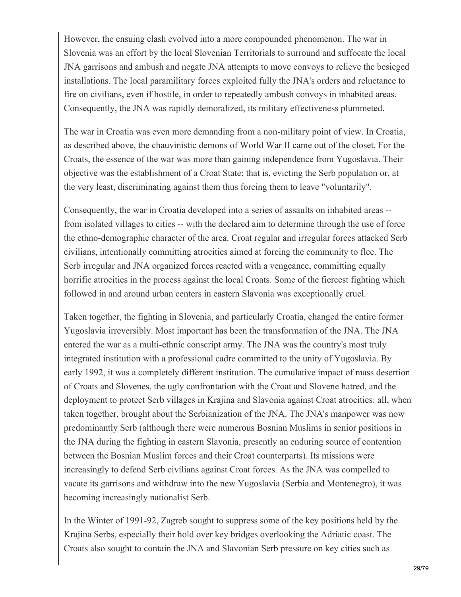However, the ensuing clash evolved into a more compounded phenomenon. The war in Slovenia was an effort by the local Slovenian Territorials to surround and suffocate the local JNA garrisons and ambush and negate JNA attempts to move convoys to relieve the besieged installations. The local paramilitary forces exploited fully the JNA's orders and reluctance to fire on civilians, even if hostile, in order to repeatedly ambush convoys in inhabited areas. Consequently, the JNA was rapidly demoralized, its military effectiveness plummeted.

The war in Croatia was even more demanding from a non-military point of view. In Croatia, as described above, the chauvinistic demons of World War II came out of the closet. For the Croats, the essence of the war was more than gaining independence from Yugoslavia. Their objective was the establishment of a Croat State: that is, evicting the Serb population or, at the very least, discriminating against them thus forcing them to leave "voluntarily".

Consequently, the war in Croatia developed into a series of assaults on inhabited areas - from isolated villages to cities -- with the declared aim to determine through the use of force the ethno-demographic character of the area. Croat regular and irregular forces attacked Serb civilians, intentionally committing atrocities aimed at forcing the community to flee. The Serb irregular and JNA organized forces reacted with a vengeance, committing equally horrific atrocities in the process against the local Croats. Some of the fiercest fighting which followed in and around urban centers in eastern Slavonia was exceptionally cruel.

Taken together, the fighting in Slovenia, and particularly Croatia, changed the entire former Yugoslavia irreversibly. Most important has been the transformation of the JNA. The JNA entered the war as a multi-ethnic conscript army. The JNA was the country's most truly integrated institution with a professional cadre committed to the unity of Yugoslavia. By early 1992, it was a completely different institution. The cumulative impact of mass desertion of Croats and Slovenes, the ugly confrontation with the Croat and Slovene hatred, and the deployment to protect Serb villages in Krajina and Slavonia against Croat atrocities: all, when taken together, brought about the Serbianization of the JNA. The JNA's manpower was now predominantly Serb (although there were numerous Bosnian Muslims in senior positions in the JNA during the fighting in eastern Slavonia, presently an enduring source of contention between the Bosnian Muslim forces and their Croat counterparts). Its missions were increasingly to defend Serb civilians against Croat forces. As the JNA was compelled to vacate its garrisons and withdraw into the new Yugoslavia (Serbia and Montenegro), it was becoming increasingly nationalist Serb.

In the Winter of 1991-92, Zagreb sought to suppress some of the key positions held by the Krajina Serbs, especially their hold over key bridges overlooking the Adriatic coast. The Croats also sought to contain the JNA and Slavonian Serb pressure on key cities such as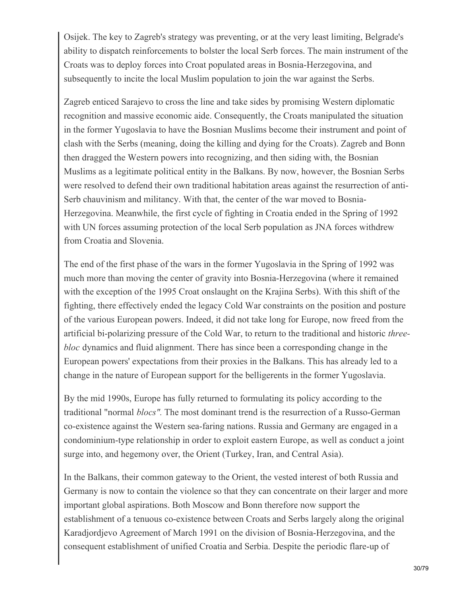Osijek. The key to Zagreb's strategy was preventing, or at the very least limiting, Belgrade's ability to dispatch reinforcements to bolster the local Serb forces. The main instrument of the Croats was to deploy forces into Croat populated areas in Bosnia-Herzegovina, and subsequently to incite the local Muslim population to join the war against the Serbs.

Zagreb enticed Sarajevo to cross the line and take sides by promising Western diplomatic recognition and massive economic aide. Consequently, the Croats manipulated the situation in the former Yugoslavia to have the Bosnian Muslims become their instrument and point of clash with the Serbs (meaning, doing the killing and dying for the Croats). Zagreb and Bonn then dragged the Western powers into recognizing, and then siding with, the Bosnian Muslims as a legitimate political entity in the Balkans. By now, however, the Bosnian Serbs were resolved to defend their own traditional habitation areas against the resurrection of anti-Serb chauvinism and militancy. With that, the center of the war moved to Bosnia-Herzegovina. Meanwhile, the first cycle of fighting in Croatia ended in the Spring of 1992 with UN forces assuming protection of the local Serb population as JNA forces withdrew from Croatia and Slovenia.

The end of the first phase of the wars in the former Yugoslavia in the Spring of 1992 was much more than moving the center of gravity into Bosnia-Herzegovina (where it remained with the exception of the 1995 Croat onslaught on the Krajina Serbs). With this shift of the fighting, there effectively ended the legacy Cold War constraints on the position and posture of the various European powers. Indeed, it did not take long for Europe, now freed from the artificial bi-polarizing pressure of the Cold War, to return to the traditional and historic *threebloc* dynamics and fluid alignment. There has since been a corresponding change in the European powers' expectations from their proxies in the Balkans. This has already led to a change in the nature of European support for the belligerents in the former Yugoslavia.

By the mid 1990s, Europe has fully returned to formulating its policy according to the traditional "normal *blocs".* The most dominant trend is the resurrection of a Russo-German co-existence against the Western sea-faring nations. Russia and Germany are engaged in a condominium-type relationship in order to exploit eastern Europe, as well as conduct a joint surge into, and hegemony over, the Orient (Turkey, Iran, and Central Asia).

In the Balkans, their common gateway to the Orient, the vested interest of both Russia and Germany is now to contain the violence so that they can concentrate on their larger and more important global aspirations. Both Moscow and Bonn therefore now support the establishment of a tenuous co-existence between Croats and Serbs largely along the original Karadjordjevo Agreement of March 1991 on the division of Bosnia-Herzegovina, and the consequent establishment of unified Croatia and Serbia. Despite the periodic flare-up of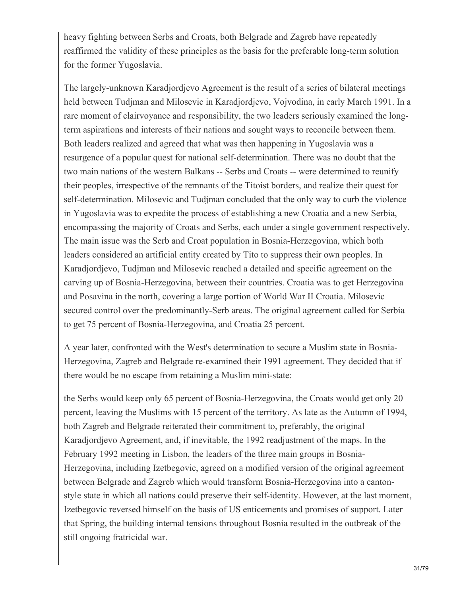heavy fighting between Serbs and Croats, both Belgrade and Zagreb have repeatedly reaffirmed the validity of these principles as the basis for the preferable long-term solution for the former Yugoslavia.

The largely-unknown Karadjordjevo Agreement is the result of a series of bilateral meetings held between Tudjman and Milosevic in Karadjordjevo, Vojvodina, in early March 1991. In a rare moment of clairvoyance and responsibility, the two leaders seriously examined the longterm aspirations and interests of their nations and sought ways to reconcile between them. Both leaders realized and agreed that what was then happening in Yugoslavia was a resurgence of a popular quest for national self-determination. There was no doubt that the two main nations of the western Balkans -- Serbs and Croats -- were determined to reunify their peoples, irrespective of the remnants of the Titoist borders, and realize their quest for self-determination. Milosevic and Tudjman concluded that the only way to curb the violence in Yugoslavia was to expedite the process of establishing a new Croatia and a new Serbia, encompassing the majority of Croats and Serbs, each under a single government respectively. The main issue was the Serb and Croat population in Bosnia-Herzegovina, which both leaders considered an artificial entity created by Tito to suppress their own peoples. In Karadjordjevo, Tudjman and Milosevic reached a detailed and specific agreement on the carving up of Bosnia-Herzegovina, between their countries. Croatia was to get Herzegovina and Posavina in the north, covering a large portion of World War II Croatia. Milosevic secured control over the predominantly-Serb areas. The original agreement called for Serbia to get 75 percent of Bosnia-Herzegovina, and Croatia 25 percent.

A year later, confronted with the West's determination to secure a Muslim state in Bosnia-Herzegovina, Zagreb and Belgrade re-examined their 1991 agreement. They decided that if there would be no escape from retaining a Muslim mini-state:

the Serbs would keep only 65 percent of Bosnia-Herzegovina, the Croats would get only 20 percent, leaving the Muslims with 15 percent of the territory. As late as the Autumn of 1994, both Zagreb and Belgrade reiterated their commitment to, preferably, the original Karadjordjevo Agreement, and, if inevitable, the 1992 readjustment of the maps. In the February 1992 meeting in Lisbon, the leaders of the three main groups in Bosnia-Herzegovina, including Izetbegovic, agreed on a modified version of the original agreement between Belgrade and Zagreb which would transform Bosnia-Herzegovina into a cantonstyle state in which all nations could preserve their self-identity. However, at the last moment, Izetbegovic reversed himself on the basis of US enticements and promises of support. Later that Spring, the building internal tensions throughout Bosnia resulted in the outbreak of the still ongoing fratricidal war.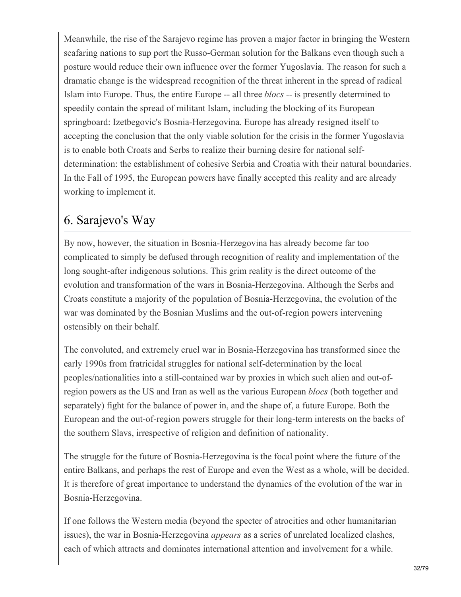Meanwhile, the rise of the Sarajevo regime has proven a major factor in bringing the Western seafaring nations to sup port the Russo-German solution for the Balkans even though such a posture would reduce their own influence over the former Yugoslavia. The reason for such a dramatic change is the widespread recognition of the threat inherent in the spread of radical Islam into Europe. Thus, the entire Europe -- all three *blocs --* is presently determined to speedily contain the spread of militant Islam, including the blocking of its European springboard: Izetbegovic's Bosnia-Herzegovina. Europe has already resigned itself to accepting the conclusion that the only viable solution for the crisis in the former Yugoslavia is to enable both Croats and Serbs to realize their burning desire for national selfdetermination: the establishment of cohesive Serbia and Croatia with their natural boundaries. In the Fall of 1995, the European powers have finally accepted this reality and are already working to implement it.

### 6. Sarajevo's Way

By now, however, the situation in Bosnia-Herzegovina has already become far too complicated to simply be defused through recognition of reality and implementation of the long sought-after indigenous solutions. This grim reality is the direct outcome of the evolution and transformation of the wars in Bosnia-Herzegovina. Although the Serbs and Croats constitute a majority of the population of Bosnia-Herzegovina, the evolution of the war was dominated by the Bosnian Muslims and the out-of-region powers intervening ostensibly on their behalf.

The convoluted, and extremely cruel war in Bosnia-Herzegovina has transformed since the early 1990s from fratricidal struggles for national self-determination by the local peoples/nationalities into a still-contained war by proxies in which such alien and out-ofregion powers as the US and Iran as well as the various European *blocs* (both together and separately) fight for the balance of power in, and the shape of, a future Europe. Both the European and the out-of-region powers struggle for their long-term interests on the backs of the southern Slavs, irrespective of religion and definition of nationality.

The struggle for the future of Bosnia-Herzegovina is the focal point where the future of the entire Balkans, and perhaps the rest of Europe and even the West as a whole, will be decided. It is therefore of great importance to understand the dynamics of the evolution of the war in Bosnia-Herzegovina.

If one follows the Western media (beyond the specter of atrocities and other humanitarian issues), the war in Bosnia-Herzegovina *appears* as a series of unrelated localized clashes, each of which attracts and dominates international attention and involvement for a while.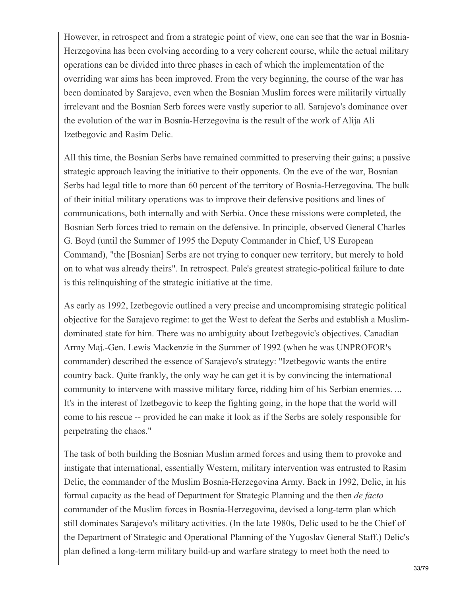However, in retrospect and from a strategic point of view, one can see that the war in Bosnia-Herzegovina has been evolving according to a very coherent course, while the actual military operations can be divided into three phases in each of which the implementation of the overriding war aims has been improved. From the very beginning, the course of the war has been dominated by Sarajevo, even when the Bosnian Muslim forces were militarily virtually irrelevant and the Bosnian Serb forces were vastly superior to all. Sarajevo's dominance over the evolution of the war in Bosnia-Herzegovina is the result of the work of Alija Ali Izetbegovic and Rasim Delic.

All this time, the Bosnian Serbs have remained committed to preserving their gains; a passive strategic approach leaving the initiative to their opponents. On the eve of the war, Bosnian Serbs had legal title to more than 60 percent of the territory of Bosnia-Herzegovina. The bulk of their initial military operations was to improve their defensive positions and lines of communications, both internally and with Serbia. Once these missions were completed, the Bosnian Serb forces tried to remain on the defensive. In principle, observed General Charles G. Boyd (until the Summer of 1995 the Deputy Commander in Chief, US European Command), "the [Bosnian] Serbs are not trying to conquer new territory, but merely to hold on to what was already theirs". In retrospect. Pale's greatest strategic-political failure to date is this relinquishing of the strategic initiative at the time.

As early as 1992, Izetbegovic outlined a very precise and uncompromising strategic political objective for the Sarajevo regime: to get the West to defeat the Serbs and establish a Muslimdominated state for him. There was no ambiguity about Izetbegovic's objectives. Canadian Army Maj.-Gen. Lewis Mackenzie in the Summer of 1992 (when he was UNPROFOR's commander) described the essence of Sarajevo's strategy: "Izetbegovic wants the entire country back. Quite frankly, the only way he can get it is by convincing the international community to intervene with massive military force, ridding him of his Serbian enemies. ... It's in the interest of Izetbegovic to keep the fighting going, in the hope that the world will come to his rescue -- provided he can make it look as if the Serbs are solely responsible for perpetrating the chaos."

The task of both building the Bosnian Muslim armed forces and using them to provoke and instigate that international, essentially Western, military intervention was entrusted to Rasim Delic, the commander of the Muslim Bosnia-Herzegovina Army. Back in 1992, Delic, in his formal capacity as the head of Department for Strategic Planning and the then *de facto* commander of the Muslim forces in Bosnia-Herzegovina, devised a long-term plan which still dominates Sarajevo's military activities. (In the late 1980s, Delic used to be the Chief of the Department of Strategic and Operational Planning of the Yugoslav General Staff.) Delic's plan defined a long-term military build-up and warfare strategy to meet both the need to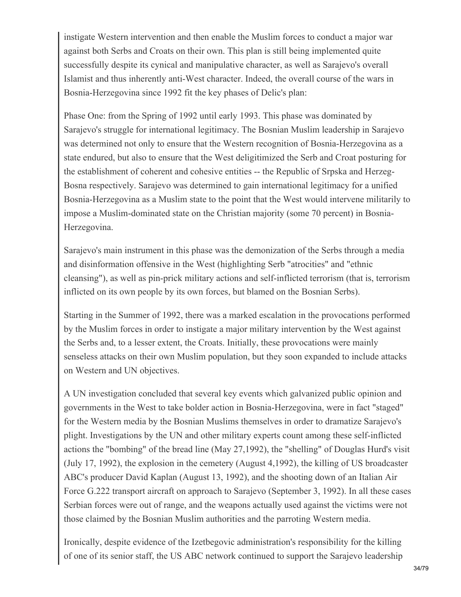instigate Western intervention and then enable the Muslim forces to conduct a major war against both Serbs and Croats on their own. This plan is still being implemented quite successfully despite its cynical and manipulative character, as well as Sarajevo's overall Islamist and thus inherently anti-West character. Indeed, the overall course of the wars in Bosnia-Herzegovina since 1992 fit the key phases of Delic's plan:

Phase One: from the Spring of 1992 until early 1993. This phase was dominated by Sarajevo's struggle for international legitimacy. The Bosnian Muslim leadership in Sarajevo was determined not only to ensure that the Western recognition of Bosnia-Herzegovina as a state endured, but also to ensure that the West deligitimized the Serb and Croat posturing for the establishment of coherent and cohesive entities -- the Republic of Srpska and Herzeg-Bosna respectively. Sarajevo was determined to gain international legitimacy for a unified Bosnia-Herzegovina as a Muslim state to the point that the West would intervene militarily to impose a Muslim-dominated state on the Christian majority (some 70 percent) in Bosnia-Herzegovina.

Sarajevo's main instrument in this phase was the demonization of the Serbs through a media and disinformation offensive in the West (highlighting Serb "atrocities" and "ethnic cleansing"), as well as pin-prick military actions and self-inflicted terrorism (that is, terrorism inflicted on its own people by its own forces, but blamed on the Bosnian Serbs).

Starting in the Summer of 1992, there was a marked escalation in the provocations performed by the Muslim forces in order to instigate a major military intervention by the West against the Serbs and, to a lesser extent, the Croats. Initially, these provocations were mainly senseless attacks on their own Muslim population, but they soon expanded to include attacks on Western and UN objectives.

A UN investigation concluded that several key events which galvanized public opinion and governments in the West to take bolder action in Bosnia-Herzegovina, were in fact "staged" for the Western media by the Bosnian Muslims themselves in order to dramatize Sarajevo's plight. Investigations by the UN and other military experts count among these self-inflicted actions the "bombing" of the bread line (May 27,1992), the "shelling" of Douglas Hurd's visit (July 17, 1992), the explosion in the cemetery (August 4,1992), the killing of US broadcaster ABC's producer David Kaplan (August 13, 1992), and the shooting down of an Italian Air Force G.222 transport aircraft on approach to Sarajevo (September 3, 1992). In all these cases Serbian forces were out of range, and the weapons actually used against the victims were not those claimed by the Bosnian Muslim authorities and the parroting Western media.

Ironically, despite evidence of the Izetbegovic administration's responsibility for the killing of one of its senior staff, the US ABC network continued to support the Sarajevo leadership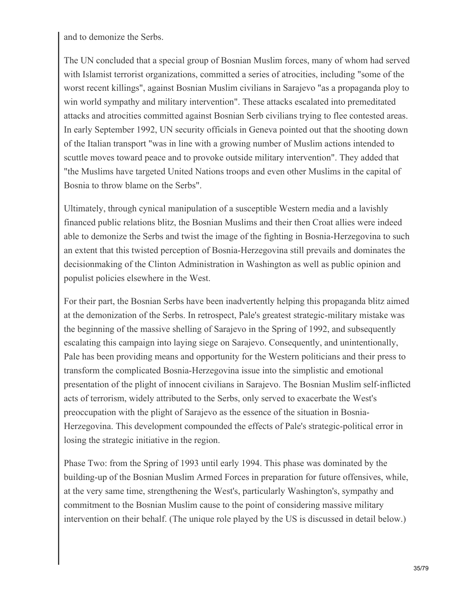and to demonize the Serbs.

The UN concluded that a special group of Bosnian Muslim forces, many of whom had served with Islamist terrorist organizations, committed a series of atrocities, including "some of the worst recent killings", against Bosnian Muslim civilians in Sarajevo "as a propaganda ploy to win world sympathy and military intervention". These attacks escalated into premeditated attacks and atrocities committed against Bosnian Serb civilians trying to flee contested areas. In early September 1992, UN security officials in Geneva pointed out that the shooting down of the Italian transport "was in line with a growing number of Muslim actions intended to scuttle moves toward peace and to provoke outside military intervention". They added that "the Muslims have targeted United Nations troops and even other Muslims in the capital of Bosnia to throw blame on the Serbs".

Ultimately, through cynical manipulation of a susceptible Western media and a lavishly financed public relations blitz, the Bosnian Muslims and their then Croat allies were indeed able to demonize the Serbs and twist the image of the fighting in Bosnia-Herzegovina to such an extent that this twisted perception of Bosnia-Herzegovina still prevails and dominates the decisionmaking of the Clinton Administration in Washington as well as public opinion and populist policies elsewhere in the West.

For their part, the Bosnian Serbs have been inadvertently helping this propaganda blitz aimed at the demonization of the Serbs. In retrospect, Pale's greatest strategic-military mistake was the beginning of the massive shelling of Sarajevo in the Spring of 1992, and subsequently escalating this campaign into laying siege on Sarajevo. Consequently, and unintentionally, Pale has been providing means and opportunity for the Western politicians and their press to transform the complicated Bosnia-Herzegovina issue into the simplistic and emotional presentation of the plight of innocent civilians in Sarajevo. The Bosnian Muslim self-inflicted acts of terrorism, widely attributed to the Serbs, only served to exacerbate the West's preoccupation with the plight of Sarajevo as the essence of the situation in Bosnia-Herzegovina. This development compounded the effects of Pale's strategic-political error in losing the strategic initiative in the region.

Phase Two: from the Spring of 1993 until early 1994. This phase was dominated by the building-up of the Bosnian Muslim Armed Forces in preparation for future offensives, while, at the very same time, strengthening the West's, particularly Washington's, sympathy and commitment to the Bosnian Muslim cause to the point of considering massive military intervention on their behalf. (The unique role played by the US is discussed in detail below.)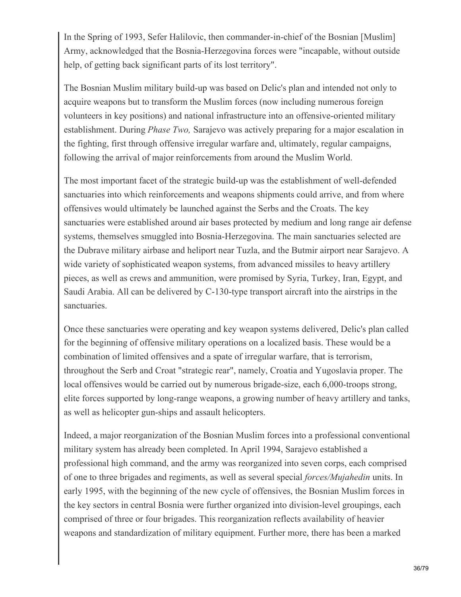In the Spring of 1993, Sefer Halilovic, then commander-in-chief of the Bosnian [Muslim] Army, acknowledged that the Bosnia-Herzegovina forces were "incapable, without outside help, of getting back significant parts of its lost territory".

The Bosnian Muslim military build-up was based on Delic's plan and intended not only to acquire weapons but to transform the Muslim forces (now including numerous foreign volunteers in key positions) and national infrastructure into an offensive-oriented military establishment. During *Phase Two,* Sarajevo was actively preparing for a major escalation in the fighting, first through offensive irregular warfare and, ultimately, regular campaigns, following the arrival of major reinforcements from around the Muslim World.

The most important facet of the strategic build-up was the establishment of well-defended sanctuaries into which reinforcements and weapons shipments could arrive, and from where offensives would ultimately be launched against the Serbs and the Croats. The key sanctuaries were established around air bases protected by medium and long range air defense systems, themselves smuggled into Bosnia-Herzegovina. The main sanctuaries selected are the Dubrave military airbase and heliport near Tuzla, and the Butmir airport near Sarajevo. A wide variety of sophisticated weapon systems, from advanced missiles to heavy artillery pieces, as well as crews and ammunition, were promised by Syria, Turkey, Iran, Egypt, and Saudi Arabia. All can be delivered by C-130-type transport aircraft into the airstrips in the sanctuaries.

Once these sanctuaries were operating and key weapon systems delivered, Delic's plan called for the beginning of offensive military operations on a localized basis. These would be a combination of limited offensives and a spate of irregular warfare, that is terrorism, throughout the Serb and Croat "strategic rear", namely, Croatia and Yugoslavia proper. The local offensives would be carried out by numerous brigade-size, each 6,000-troops strong, elite forces supported by long-range weapons, a growing number of heavy artillery and tanks, as well as helicopter gun-ships and assault helicopters.

Indeed, a major reorganization of the Bosnian Muslim forces into a professional conventional military system has already been completed. In April 1994, Sarajevo established a professional high command, and the army was reorganized into seven corps, each comprised of one to three brigades and regiments, as well as several special *forces/Mujahedin* units. In early 1995, with the beginning of the new cycle of offensives, the Bosnian Muslim forces in the key sectors in central Bosnia were further organized into division-level groupings, each comprised of three or four brigades. This reorganization reflects availability of heavier weapons and standardization of military equipment. Further more, there has been a marked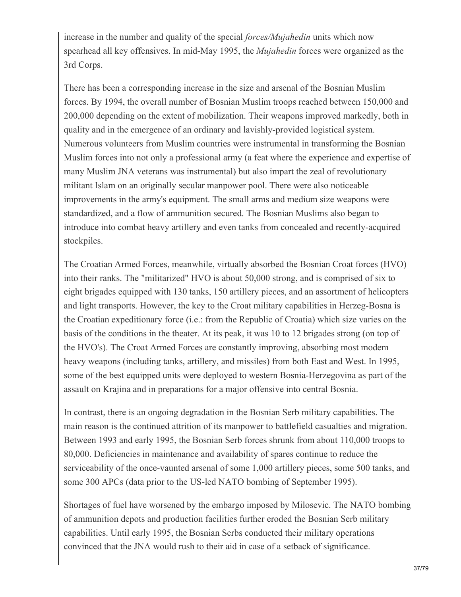increase in the number and quality of the special *forces/Mujahedin* units which now spearhead all key offensives. In mid-May 1995, the *Mujahedin* forces were organized as the 3rd Corps.

There has been a corresponding increase in the size and arsenal of the Bosnian Muslim forces. By 1994, the overall number of Bosnian Muslim troops reached between 150,000 and 200,000 depending on the extent of mobilization. Their weapons improved markedly, both in quality and in the emergence of an ordinary and lavishly-provided logistical system. Numerous volunteers from Muslim countries were instrumental in transforming the Bosnian Muslim forces into not only a professional army (a feat where the experience and expertise of many Muslim JNA veterans was instrumental) but also impart the zeal of revolutionary militant Islam on an originally secular manpower pool. There were also noticeable improvements in the army's equipment. The small arms and medium size weapons were standardized, and a flow of ammunition secured. The Bosnian Muslims also began to introduce into combat heavy artillery and even tanks from concealed and recently-acquired stockpiles.

The Croatian Armed Forces, meanwhile, virtually absorbed the Bosnian Croat forces (HVO) into their ranks. The "militarized" HVO is about 50,000 strong, and is comprised of six to eight brigades equipped with 130 tanks, 150 artillery pieces, and an assortment of helicopters and light transports. However, the key to the Croat military capabilities in Herzeg-Bosna is the Croatian expeditionary force (i.e.: from the Republic of Croatia) which size varies on the basis of the conditions in the theater. At its peak, it was 10 to 12 brigades strong (on top of the HVO's). The Croat Armed Forces are constantly improving, absorbing most modem heavy weapons (including tanks, artillery, and missiles) from both East and West. In 1995, some of the best equipped units were deployed to western Bosnia-Herzegovina as part of the assault on Krajina and in preparations for a major offensive into central Bosnia.

In contrast, there is an ongoing degradation in the Bosnian Serb military capabilities. The main reason is the continued attrition of its manpower to battlefield casualties and migration. Between 1993 and early 1995, the Bosnian Serb forces shrunk from about 110,000 troops to 80,000. Deficiencies in maintenance and availability of spares continue to reduce the serviceability of the once-vaunted arsenal of some 1,000 artillery pieces, some 500 tanks, and some 300 APCs (data prior to the US-led NATO bombing of September 1995).

Shortages of fuel have worsened by the embargo imposed by Milosevic. The NATO bombing of ammunition depots and production facilities further eroded the Bosnian Serb military capabilities. Until early 1995, the Bosnian Serbs conducted their military operations convinced that the JNA would rush to their aid in case of a setback of significance.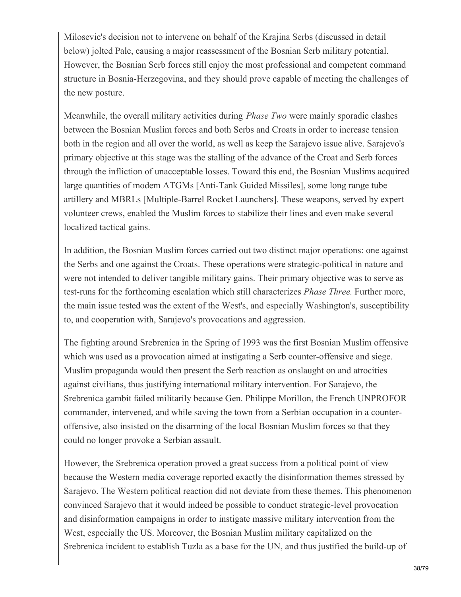Milosevic's decision not to intervene on behalf of the Krajina Serbs (discussed in detail below) jolted Pale, causing a major reassessment of the Bosnian Serb military potential. However, the Bosnian Serb forces still enjoy the most professional and competent command structure in Bosnia-Herzegovina, and they should prove capable of meeting the challenges of the new posture.

Meanwhile, the overall military activities during *Phase Two* were mainly sporadic clashes between the Bosnian Muslim forces and both Serbs and Croats in order to increase tension both in the region and all over the world, as well as keep the Sarajevo issue alive. Sarajevo's primary objective at this stage was the stalling of the advance of the Croat and Serb forces through the infliction of unacceptable losses. Toward this end, the Bosnian Muslims acquired large quantities of modem ATGMs [Anti-Tank Guided Missiles], some long range tube artillery and MBRLs [Multiple-Barrel Rocket Launchers]. These weapons, served by expert volunteer crews, enabled the Muslim forces to stabilize their lines and even make several localized tactical gains.

In addition, the Bosnian Muslim forces carried out two distinct major operations: one against the Serbs and one against the Croats. These operations were strategic-political in nature and were not intended to deliver tangible military gains. Their primary objective was to serve as test-runs for the forthcoming escalation which still characterizes *Phase Three.* Further more, the main issue tested was the extent of the West's, and especially Washington's, susceptibility to, and cooperation with, Sarajevo's provocations and aggression.

The fighting around Srebrenica in the Spring of 1993 was the first Bosnian Muslim offensive which was used as a provocation aimed at instigating a Serb counter-offensive and siege. Muslim propaganda would then present the Serb reaction as onslaught on and atrocities against civilians, thus justifying international military intervention. For Sarajevo, the Srebrenica gambit failed militarily because Gen. Philippe Morillon, the French UNPROFOR commander, intervened, and while saving the town from a Serbian occupation in a counteroffensive, also insisted on the disarming of the local Bosnian Muslim forces so that they could no longer provoke a Serbian assault.

However, the Srebrenica operation proved a great success from a political point of view because the Western media coverage reported exactly the disinformation themes stressed by Sarajevo. The Western political reaction did not deviate from these themes. This phenomenon convinced Sarajevo that it would indeed be possible to conduct strategic-level provocation and disinformation campaigns in order to instigate massive military intervention from the West, especially the US. Moreover, the Bosnian Muslim military capitalized on the Srebrenica incident to establish Tuzla as a base for the UN, and thus justified the build-up of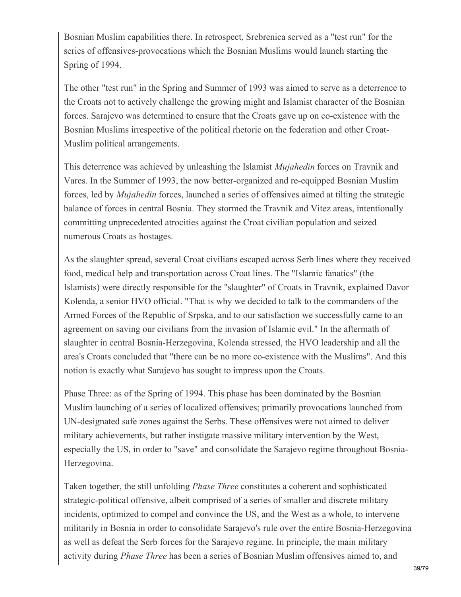Bosnian Muslim capabilities there. In retrospect, Srebrenica served as a "test run" for the series of offensives-provocations which the Bosnian Muslims would launch starting the Spring of 1994.

The other "test run" in the Spring and Summer of 1993 was aimed to serve as a deterrence to the Croats not to actively challenge the growing might and Islamist character of the Bosnian forces. Sarajevo was determined to ensure that the Croats gave up on co-existence with the Bosnian Muslims irrespective of the political rhetoric on the federation and other Croat-Muslim political arrangements.

This deterrence was achieved by unleashing the Islamist *Mujahedin* forces on Travnik and Vares. In the Summer of 1993, the now better-organized and re-equipped Bosnian Muslim forces, led by *Mujahedin* forces, launched a series of offensives aimed at tilting the strategic balance of forces in central Bosnia. They stormed the Travnik and Vitez areas, intentionally committing unprecedented atrocities against the Croat civilian population and seized numerous Croats as hostages.

As the slaughter spread, several Croat civilians escaped across Serb lines where they received food, medical help and transportation across Croat lines. The "Islamic fanatics" (the Islamists) were directly responsible for the "slaughter" of Croats in Travnik, explained Davor Kolenda, a senior HVO official. "That is why we decided to talk to the commanders of the Armed Forces of the Republic of Srpska, and to our satisfaction we successfully came to an agreement on saving our civilians from the invasion of Islamic evil." In the aftermath of slaughter in central Bosnia-Herzegovina, Kolenda stressed, the HVO leadership and all the area's Croats concluded that "there can be no more co-existence with the Muslims". And this notion is exactly what Sarajevo has sought to impress upon the Croats.

Phase Three: as of the Spring of 1994. This phase has been dominated by the Bosnian Muslim launching of a series of localized offensives; primarily provocations launched from UN-designated safe zones against the Serbs. These offensives were not aimed to deliver military achievements, but rather instigate massive military intervention by the West, especially the US, in order to "save" and consolidate the Sarajevo regime throughout Bosnia-Herzegovina.

Taken together, the still unfolding *Phase Three* constitutes a coherent and sophisticated strategic-political offensive, albeit comprised of a series of smaller and discrete military incidents, optimized to compel and convince the US, and the West as a whole, to intervene militarily in Bosnia in order to consolidate Sarajevo's rule over the entire Bosnia-Herzegovina as well as defeat the Serb forces for the Sarajevo regime. In principle, the main military activity during *Phase Three* has been a series of Bosnian Muslim offensives aimed to, and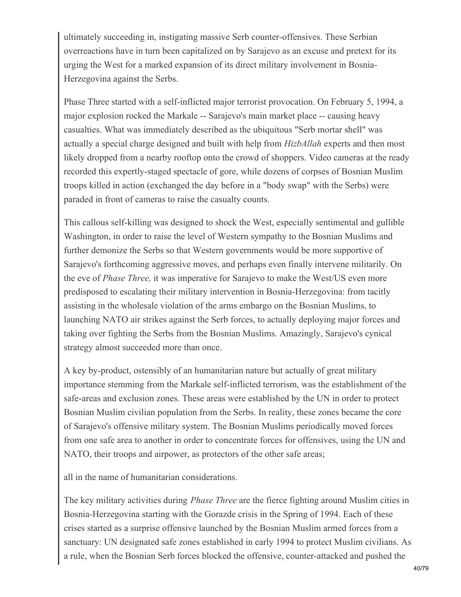ultimately succeeding in, instigating massive Serb counter-offensives. These Serbian overreactions have in turn been capitalized on by Sarajevo as an excuse and pretext for its urging the West for a marked expansion of its direct military involvement in Bosnia-Herzegovina against the Serbs.

Phase Three started with a self-inflicted major terrorist provocation. On February 5, 1994, a major explosion rocked the Markale -- Sarajevo's main market place -- causing heavy casualties. What was immediately described as the ubiquitous "Serb mortar shell" was actually a special charge designed and built with help from *HizbAllah* experts and then most likely dropped from a nearby rooftop onto the crowd of shoppers. Video cameras at the ready recorded this expertly-staged spectacle of gore, while dozens of corpses of Bosnian Muslim troops killed in action (exchanged the day before in a "body swap" with the Serbs) were paraded in front of cameras to raise the casualty counts.

This callous self-killing was designed to shock the West, especially sentimental and gullible Washington, in order to raise the level of Western sympathy to the Bosnian Muslims and further demonize the Serbs so that Western governments would be more supportive of Sarajevo's forthcoming aggressive moves, and perhaps even finally intervene militarily. On the eve of *Phase Three,* it was imperative for Sarajevo to make the West/US even more predisposed to escalating their military intervention in Bosnia-Herzegovina: from tacitly assisting in the wholesale violation of the arms embargo on the Bosnian Muslims, to launching NATO air strikes against the Serb forces, to actually deploying major forces and taking over fighting the Serbs from the Bosnian Muslims. Amazingly, Sarajevo's cynical strategy almost succeeded more than once.

A key by-product, ostensibly of an humanitarian nature but actually of great military importance stemming from the Markale self-inflicted terrorism, was the establishment of the safe-areas and exclusion zones. These areas were established by the UN in order to protect Bosnian Muslim civilian population from the Serbs. In reality, these zones became the core of Sarajevo's offensive military system. The Bosnian Muslims periodically moved forces from one safe area to another in order to concentrate forces for offensives, using the UN and NATO, their troops and airpower, as protectors of the other safe areas;

all in the name of humanitarian considerations.

The key military activities during *Phase Three* are the fierce fighting around Muslim cities in Bosnia-Herzegovina starting with the Gorazde crisis in the Spring of 1994. Each of these crises started as a surprise offensive launched by the Bosnian Muslim armed forces from a sanctuary: UN designated safe zones established in early 1994 to protect Muslim civilians. As a rule, when the Bosnian Serb forces blocked the offensive, counter-attacked and pushed the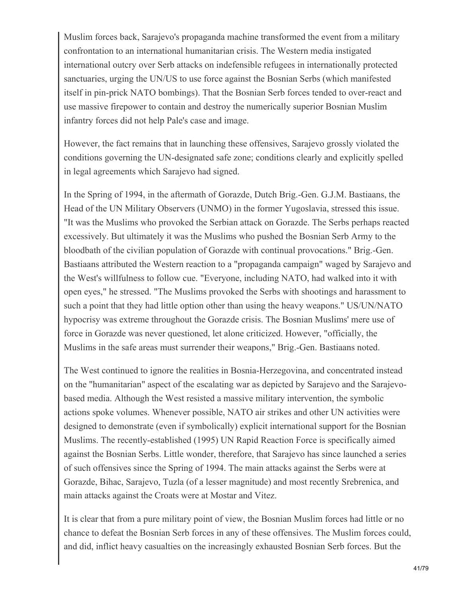Muslim forces back, Sarajevo's propaganda machine transformed the event from a military confrontation to an international humanitarian crisis. The Western media instigated international outcry over Serb attacks on indefensible refugees in internationally protected sanctuaries, urging the UN/US to use force against the Bosnian Serbs (which manifested itself in pin-prick NATO bombings). That the Bosnian Serb forces tended to over-react and use massive firepower to contain and destroy the numerically superior Bosnian Muslim infantry forces did not help Pale's case and image.

However, the fact remains that in launching these offensives, Sarajevo grossly violated the conditions governing the UN-designated safe zone; conditions clearly and explicitly spelled in legal agreements which Sarajevo had signed.

In the Spring of 1994, in the aftermath of Gorazde, Dutch Brig.-Gen. G.J.M. Bastiaans, the Head of the UN Military Observers (UNMO) in the former Yugoslavia, stressed this issue. "It was the Muslims who provoked the Serbian attack on Gorazde. The Serbs perhaps reacted excessively. But ultimately it was the Muslims who pushed the Bosnian Serb Army to the bloodbath of the civilian population of Gorazde with continual provocations." Brig.-Gen. Bastiaans attributed the Western reaction to a "propaganda campaign" waged by Sarajevo and the West's willfulness to follow cue. "Everyone, including NATO, had walked into it with open eyes," he stressed. "The Muslims provoked the Serbs with shootings and harassment to such a point that they had little option other than using the heavy weapons." US/UN/NATO hypocrisy was extreme throughout the Gorazde crisis. The Bosnian Muslims' mere use of force in Gorazde was never questioned, let alone criticized. However, "officially, the Muslims in the safe areas must surrender their weapons," Brig.-Gen. Bastiaans noted.

The West continued to ignore the realities in Bosnia-Herzegovina, and concentrated instead on the "humanitarian" aspect of the escalating war as depicted by Sarajevo and the Sarajevobased media. Although the West resisted a massive military intervention, the symbolic actions spoke volumes. Whenever possible, NATO air strikes and other UN activities were designed to demonstrate (even if symbolically) explicit international support for the Bosnian Muslims. The recently-established (1995) UN Rapid Reaction Force is specifically aimed against the Bosnian Serbs. Little wonder, therefore, that Sarajevo has since launched a series of such offensives since the Spring of 1994. The main attacks against the Serbs were at Gorazde, Bihac, Sarajevo, Tuzla (of a lesser magnitude) and most recently Srebrenica, and main attacks against the Croats were at Mostar and Vitez.

It is clear that from a pure military point of view, the Bosnian Muslim forces had little or no chance to defeat the Bosnian Serb forces in any of these offensives. The Muslim forces could, and did, inflict heavy casualties on the increasingly exhausted Bosnian Serb forces. But the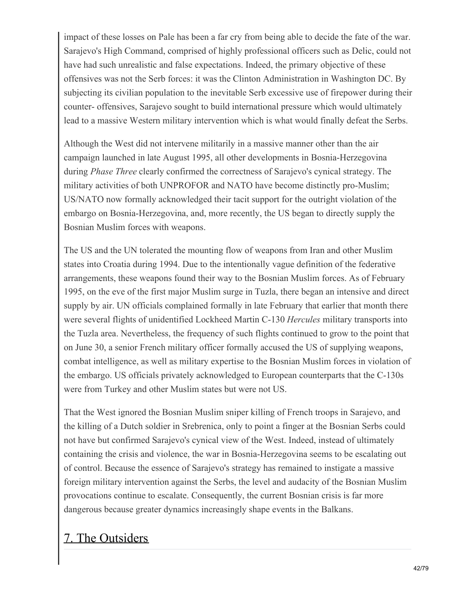impact of these losses on Pale has been a far cry from being able to decide the fate of the war. Sarajevo's High Command, comprised of highly professional officers such as Delic, could not have had such unrealistic and false expectations. Indeed, the primary objective of these offensives was not the Serb forces: it was the Clinton Administration in Washington DC. By subjecting its civilian population to the inevitable Serb excessive use of firepower during their counter- offensives, Sarajevo sought to build international pressure which would ultimately lead to a massive Western military intervention which is what would finally defeat the Serbs.

Although the West did not intervene militarily in a massive manner other than the air campaign launched in late August 1995, all other developments in Bosnia-Herzegovina during *Phase Three* clearly confirmed the correctness of Sarajevo's cynical strategy. The military activities of both UNPROFOR and NATO have become distinctly pro-Muslim; US/NATO now formally acknowledged their tacit support for the outright violation of the embargo on Bosnia-Herzegovina, and, more recently, the US began to directly supply the Bosnian Muslim forces with weapons.

The US and the UN tolerated the mounting flow of weapons from Iran and other Muslim states into Croatia during 1994. Due to the intentionally vague definition of the federative arrangements, these weapons found their way to the Bosnian Muslim forces. As of February 1995, on the eve of the first major Muslim surge in Tuzla, there began an intensive and direct supply by air. UN officials complained formally in late February that earlier that month there were several flights of unidentified Lockheed Martin C-130 *Hercules* military transports into the Tuzla area. Nevertheless, the frequency of such flights continued to grow to the point that on June 30, a senior French military officer formally accused the US of supplying weapons, combat intelligence, as well as military expertise to the Bosnian Muslim forces in violation of the embargo. US officials privately acknowledged to European counterparts that the C-130s were from Turkey and other Muslim states but were not US.

That the West ignored the Bosnian Muslim sniper killing of French troops in Sarajevo, and the killing of a Dutch soldier in Srebrenica, only to point a finger at the Bosnian Serbs could not have but confirmed Sarajevo's cynical view of the West. Indeed, instead of ultimately containing the crisis and violence, the war in Bosnia-Herzegovina seems to be escalating out of control. Because the essence of Sarajevo's strategy has remained to instigate a massive foreign military intervention against the Serbs, the level and audacity of the Bosnian Muslim provocations continue to escalate. Consequently, the current Bosnian crisis is far more dangerous because greater dynamics increasingly shape events in the Balkans.

# 7. The Outsiders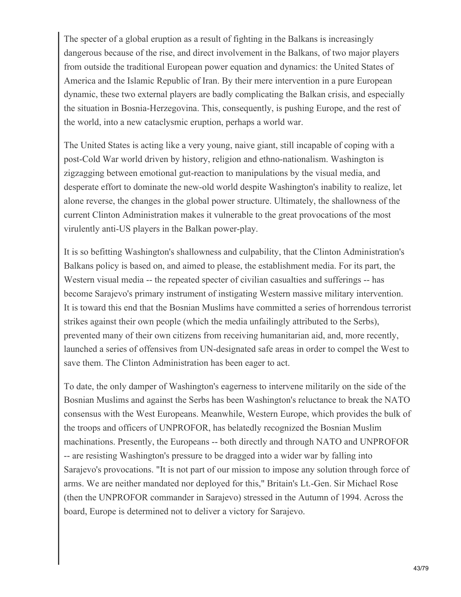The specter of a global eruption as a result of fighting in the Balkans is increasingly dangerous because of the rise, and direct involvement in the Balkans, of two major players from outside the traditional European power equation and dynamics: the United States of America and the Islamic Republic of Iran. By their mere intervention in a pure European dynamic, these two external players are badly complicating the Balkan crisis, and especially the situation in Bosnia-Herzegovina. This, consequently, is pushing Europe, and the rest of the world, into a new cataclysmic eruption, perhaps a world war.

The United States is acting like a very young, naive giant, still incapable of coping with a post-Cold War world driven by history, religion and ethno-nationalism. Washington is zigzagging between emotional gut-reaction to manipulations by the visual media, and desperate effort to dominate the new-old world despite Washington's inability to realize, let alone reverse, the changes in the global power structure. Ultimately, the shallowness of the current Clinton Administration makes it vulnerable to the great provocations of the most virulently anti-US players in the Balkan power-play.

It is so befitting Washington's shallowness and culpability, that the Clinton Administration's Balkans policy is based on, and aimed to please, the establishment media. For its part, the Western visual media -- the repeated specter of civilian casualties and sufferings -- has become Sarajevo's primary instrument of instigating Western massive military intervention. It is toward this end that the Bosnian Muslims have committed a series of horrendous terrorist strikes against their own people (which the media unfailingly attributed to the Serbs), prevented many of their own citizens from receiving humanitarian aid, and, more recently, launched a series of offensives from UN-designated safe areas in order to compel the West to save them. The Clinton Administration has been eager to act.

To date, the only damper of Washington's eagerness to intervene militarily on the side of the Bosnian Muslims and against the Serbs has been Washington's reluctance to break the NATO consensus with the West Europeans. Meanwhile, Western Europe, which provides the bulk of the troops and officers of UNPROFOR, has belatedly recognized the Bosnian Muslim machinations. Presently, the Europeans -- both directly and through NATO and UNPROFOR -- are resisting Washington's pressure to be dragged into a wider war by falling into Sarajevo's provocations. "It is not part of our mission to impose any solution through force of arms. We are neither mandated nor deployed for this," Britain's Lt.-Gen. Sir Michael Rose (then the UNPROFOR commander in Sarajevo) stressed in the Autumn of 1994. Across the board, Europe is determined not to deliver a victory for Sarajevo.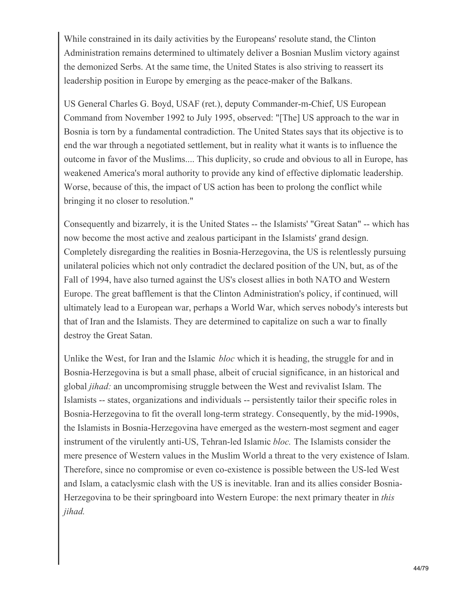While constrained in its daily activities by the Europeans' resolute stand, the Clinton Administration remains determined to ultimately deliver a Bosnian Muslim victory against the demonized Serbs. At the same time, the United States is also striving to reassert its leadership position in Europe by emerging as the peace-maker of the Balkans.

US General Charles G. Boyd, USAF (ret.), deputy Commander-m-Chief, US European Command from November 1992 to July 1995, observed: "[The] US approach to the war in Bosnia is torn by a fundamental contradiction. The United States says that its objective is to end the war through a negotiated settlement, but in reality what it wants is to influence the outcome in favor of the Muslims.... This duplicity, so crude and obvious to all in Europe, has weakened America's moral authority to provide any kind of effective diplomatic leadership. Worse, because of this, the impact of US action has been to prolong the conflict while bringing it no closer to resolution."

Consequently and bizarrely, it is the United States -- the Islamists' "Great Satan" -- which has now become the most active and zealous participant in the Islamists' grand design. Completely disregarding the realities in Bosnia-Herzegovina, the US is relentlessly pursuing unilateral policies which not only contradict the declared position of the UN, but, as of the Fall of 1994, have also turned against the US's closest allies in both NATO and Western Europe. The great bafflement is that the Clinton Administration's policy, if continued, will ultimately lead to a European war, perhaps a World War, which serves nobody's interests but that of Iran and the Islamists. They are determined to capitalize on such a war to finally destroy the Great Satan.

Unlike the West, for Iran and the Islamic *bloc* which it is heading, the struggle for and in Bosnia-Herzegovina is but a small phase, albeit of crucial significance, in an historical and global *jihad:* an uncompromising struggle between the West and revivalist Islam. The Islamists -- states, organizations and individuals -- persistently tailor their specific roles in Bosnia-Herzegovina to fit the overall long-term strategy. Consequently, by the mid-1990s, the Islamists in Bosnia-Herzegovina have emerged as the western-most segment and eager instrument of the virulently anti-US, Tehran-led Islamic *bloc.* The Islamists consider the mere presence of Western values in the Muslim World a threat to the very existence of Islam. Therefore, since no compromise or even co-existence is possible between the US-led West and Islam, a cataclysmic clash with the US is inevitable. Iran and its allies consider Bosnia-Herzegovina to be their springboard into Western Europe: the next primary theater in *this jihad.*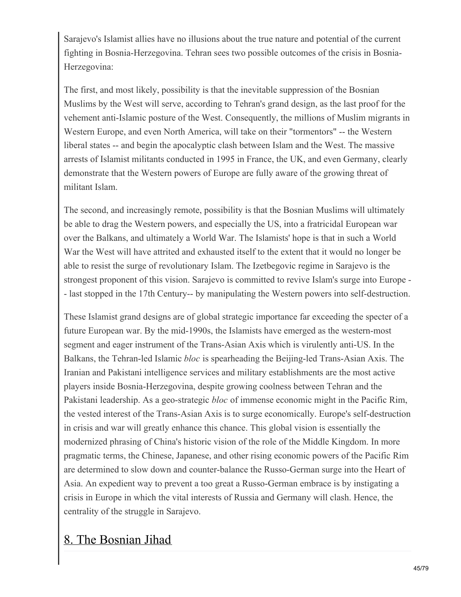Sarajevo's Islamist allies have no illusions about the true nature and potential of the current fighting in Bosnia-Herzegovina. Tehran sees two possible outcomes of the crisis in Bosnia-Herzegovina:

The first, and most likely, possibility is that the inevitable suppression of the Bosnian Muslims by the West will serve, according to Tehran's grand design, as the last proof for the vehement anti-Islamic posture of the West. Consequently, the millions of Muslim migrants in Western Europe, and even North America, will take on their "tormentors" -- the Western liberal states -- and begin the apocalyptic clash between Islam and the West. The massive arrests of Islamist militants conducted in 1995 in France, the UK, and even Germany, clearly demonstrate that the Western powers of Europe are fully aware of the growing threat of militant Islam.

The second, and increasingly remote, possibility is that the Bosnian Muslims will ultimately be able to drag the Western powers, and especially the US, into a fratricidal European war over the Balkans, and ultimately a World War. The Islamists' hope is that in such a World War the West will have attrited and exhausted itself to the extent that it would no longer be able to resist the surge of revolutionary Islam. The Izetbegovic regime in Sarajevo is the strongest proponent of this vision. Sarajevo is committed to revive Islam's surge into Europe - - last stopped in the 17th Century-- by manipulating the Western powers into self-destruction.

These Islamist grand designs are of global strategic importance far exceeding the specter of a future European war. By the mid-1990s, the Islamists have emerged as the western-most segment and eager instrument of the Trans-Asian Axis which is virulently anti-US. In the Balkans, the Tehran-led Islamic *bloc* is spearheading the Beijing-led Trans-Asian Axis. The Iranian and Pakistani intelligence services and military establishments are the most active players inside Bosnia-Herzegovina, despite growing coolness between Tehran and the Pakistani leadership. As a geo-strategic *bloc* of immense economic might in the Pacific Rim, the vested interest of the Trans-Asian Axis is to surge economically. Europe's self-destruction in crisis and war will greatly enhance this chance. This global vision is essentially the modernized phrasing of China's historic vision of the role of the Middle Kingdom. In more pragmatic terms, the Chinese, Japanese, and other rising economic powers of the Pacific Rim are determined to slow down and counter-balance the Russo-German surge into the Heart of Asia. An expedient way to prevent a too great a Russo-German embrace is by instigating a crisis in Europe in which the vital interests of Russia and Germany will clash. Hence, the centrality of the struggle in Sarajevo.

### 8. The Bosnian Jihad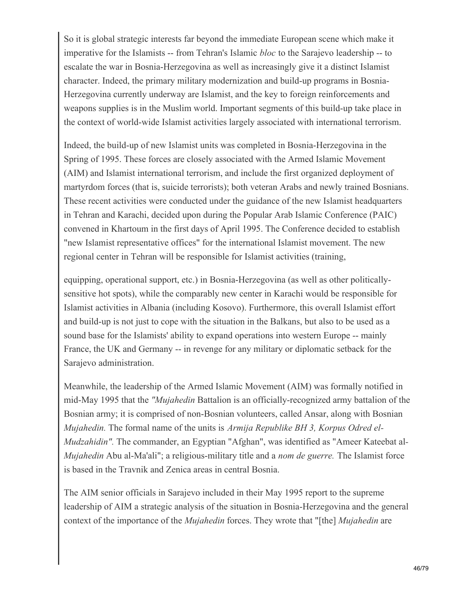So it is global strategic interests far beyond the immediate European scene which make it imperative for the Islamists -- from Tehran's Islamic *bloc* to the Sarajevo leadership -- to escalate the war in Bosnia-Herzegovina as well as increasingly give it a distinct Islamist character. Indeed, the primary military modernization and build-up programs in Bosnia-Herzegovina currently underway are Islamist, and the key to foreign reinforcements and weapons supplies is in the Muslim world. Important segments of this build-up take place in the context of world-wide Islamist activities largely associated with international terrorism.

Indeed, the build-up of new Islamist units was completed in Bosnia-Herzegovina in the Spring of 1995. These forces are closely associated with the Armed Islamic Movement (AIM) and Islamist international terrorism, and include the first organized deployment of martyrdom forces (that is, suicide terrorists); both veteran Arabs and newly trained Bosnians. These recent activities were conducted under the guidance of the new Islamist headquarters in Tehran and Karachi, decided upon during the Popular Arab Islamic Conference (PAIC) convened in Khartoum in the first days of April 1995. The Conference decided to establish "new Islamist representative offices" for the international Islamist movement. The new regional center in Tehran will be responsible for Islamist activities (training,

equipping, operational support, etc.) in Bosnia-Herzegovina (as well as other politicallysensitive hot spots), while the comparably new center in Karachi would be responsible for Islamist activities in Albania (including Kosovo). Furthermore, this overall Islamist effort and build-up is not just to cope with the situation in the Balkans, but also to be used as a sound base for the Islamists' ability to expand operations into western Europe -- mainly France, the UK and Germany -- in revenge for any military or diplomatic setback for the Sarajevo administration.

Meanwhile, the leadership of the Armed Islamic Movement (AIM) was formally notified in mid-May 1995 that the *"Mujahedin* Battalion is an officially-recognized army battalion of the Bosnian army; it is comprised of non-Bosnian volunteers, called Ansar, along with Bosnian *Mujahedin.* The formal name of the units is *Armija Republike BH 3, Korpus Odred el-Mudzahidin".* The commander, an Egyptian "Afghan", was identified as "Ameer Kateebat al*-Mujahedin* Abu al-Ma'ali"; a religious-military title and a *nom de guerre.* The Islamist force is based in the Travnik and Zenica areas in central Bosnia.

The AIM senior officials in Sarajevo included in their May 1995 report to the supreme leadership of AIM a strategic analysis of the situation in Bosnia-Herzegovina and the general context of the importance of the *Mujahedin* forces. They wrote that "[the] *Mujahedin* are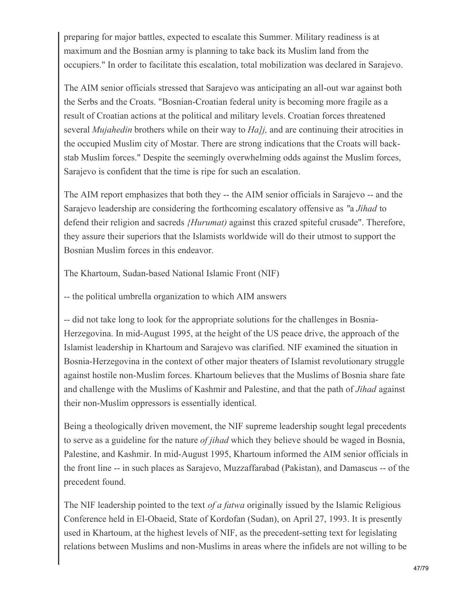preparing for major battles, expected to escalate this Summer. Military readiness is at maximum and the Bosnian army is planning to take back its Muslim land from the occupiers." In order to facilitate this escalation, total mobilization was declared in Sarajevo.

The AIM senior officials stressed that Sarajevo was anticipating an all-out war against both the Serbs and the Croats. "Bosnian-Croatian federal unity is becoming more fragile as a result of Croatian actions at the political and military levels. Croatian forces threatened several *Mujahedin* brothers while on their way to *Ha]j,* and are continuing their atrocities in the occupied Muslim city of Mostar. There are strong indications that the Croats will backstab Muslim forces." Despite the seemingly overwhelming odds against the Muslim forces, Sarajevo is confident that the time is ripe for such an escalation.

The AIM report emphasizes that both they -- the AIM senior officials in Sarajevo -- and the Sarajevo leadership are considering the forthcoming escalatory offensive as *"*a *Jihad* to defend their religion and sacreds *{Hurumat)* against this crazed spiteful crusade". Therefore, they assure their superiors that the Islamists worldwide will do their utmost to support the Bosnian Muslim forces in this endeavor.

The Khartoum, Sudan-based National Islamic Front (NIF)

-- the political umbrella organization to which AIM answers

-- did not take long to look for the appropriate solutions for the challenges in Bosnia-Herzegovina. In mid-August 1995, at the height of the US peace drive, the approach of the Islamist leadership in Khartoum and Sarajevo was clarified. NIF examined the situation in Bosnia-Herzegovina in the context of other major theaters of Islamist revolutionary struggle against hostile non-Muslim forces. Khartoum believes that the Muslims of Bosnia share fate and challenge with the Muslims of Kashmir and Palestine, and that the path of *Jihad* against their non-Muslim oppressors is essentially identical.

Being a theologically driven movement, the NIF supreme leadership sought legal precedents to serve as a guideline for the nature *of jihad* which they believe should be waged in Bosnia, Palestine, and Kashmir. In mid-August 1995, Khartoum informed the AIM senior officials in the front line -- in such places as Sarajevo, Muzzaffarabad (Pakistan), and Damascus -- of the precedent found.

The NIF leadership pointed to the text *of a fatwa* originally issued by the Islamic Religious Conference held in El-Obaeid, State of Kordofan (Sudan), on April 27, 1993. It is presently used in Khartoum, at the highest levels of NIF, as the precedent-setting text for legislating relations between Muslims and non-Muslims in areas where the infidels are not willing to be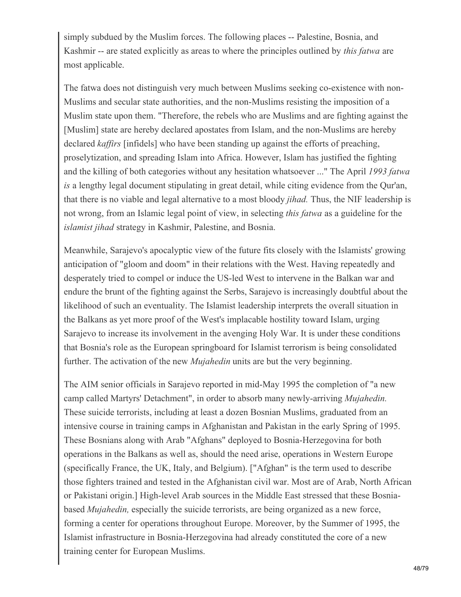simply subdued by the Muslim forces. The following places -- Palestine, Bosnia, and Kashmir -- are stated explicitly as areas to where the principles outlined by *this fatwa* are most applicable.

The fatwa does not distinguish very much between Muslims seeking co-existence with non-Muslims and secular state authorities, and the non-Muslims resisting the imposition of a Muslim state upon them. "Therefore, the rebels who are Muslims and are fighting against the [Muslim] state are hereby declared apostates from Islam, and the non-Muslims are hereby declared *kaffirs* [infidels] who have been standing up against the efforts of preaching, proselytization, and spreading Islam into Africa. However, Islam has justified the fighting and the killing of both categories without any hesitation whatsoever ..." The April *1993 fatwa is* a lengthy legal document stipulating in great detail, while citing evidence from the Qur'an, that there is no viable and legal alternative to a most bloody *jihad.* Thus, the NIF leadership is not wrong, from an Islamic legal point of view, in selecting *this fatwa* as a guideline for the *islamist jihad* strategy in Kashmir, Palestine, and Bosnia.

Meanwhile, Sarajevo's apocalyptic view of the future fits closely with the Islamists' growing anticipation of "gloom and doom" in their relations with the West. Having repeatedly and desperately tried to compel or induce the US-led West to intervene in the Balkan war and endure the brunt of the fighting against the Serbs, Sarajevo is increasingly doubtful about the likelihood of such an eventuality. The Islamist leadership interprets the overall situation in the Balkans as yet more proof of the West's implacable hostility toward Islam, urging Sarajevo to increase its involvement in the avenging Holy War. It is under these conditions that Bosnia's role as the European springboard for Islamist terrorism is being consolidated further. The activation of the new *Mujahedin* units are but the very beginning.

The AIM senior officials in Sarajevo reported in mid-May 1995 the completion of "a new camp called Martyrs' Detachment", in order to absorb many newly-arriving *Mujahedin.* These suicide terrorists, including at least a dozen Bosnian Muslims, graduated from an intensive course in training camps in Afghanistan and Pakistan in the early Spring of 1995. These Bosnians along with Arab "Afghans" deployed to Bosnia-Herzegovina for both operations in the Balkans as well as, should the need arise, operations in Western Europe (specifically France, the UK, Italy, and Belgium). ["Afghan" is the term used to describe those fighters trained and tested in the Afghanistan civil war. Most are of Arab, North African or Pakistani origin.] High-level Arab sources in the Middle East stressed that these Bosniabased *Mujahedin,* especially the suicide terrorists, are being organized as a new force, forming a center for operations throughout Europe. Moreover, by the Summer of 1995, the Islamist infrastructure in Bosnia-Herzegovina had already constituted the core of a new training center for European Muslims.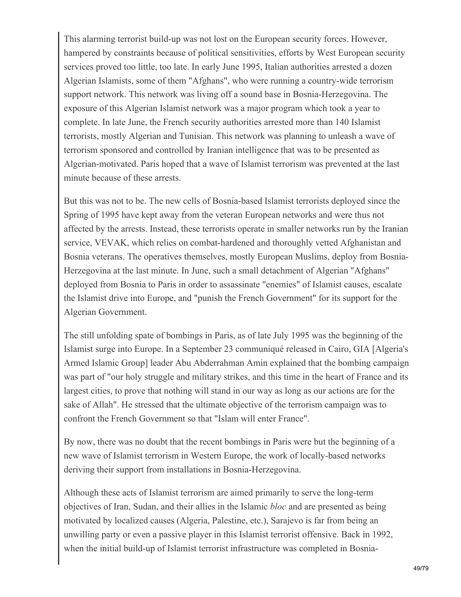This alarming terrorist build-up was not lost on the European security forces. However, hampered by constraints because of political sensitivities, efforts by West European security services proved too little, too late. In early June 1995, Italian authorities arrested a dozen Algerian Islamists, some of them "Afghans", who were running a country-wide terrorism support network. This network was living off a sound base in Bosnia-Herzegovina. The exposure of this Algerian Islamist network was a major program which took a year to complete. In late June, the French security authorities arrested more than 140 Islamist terrorists, mostly Algerian and Tunisian. This network was planning to unleash a wave of terrorism sponsored and controlled by Iranian intelligence that was to be presented as Algerian-motivated. Paris hoped that a wave of Islamist terrorism was prevented at the last minute because of these arrests.

But this was not to be. The new cells of Bosnia-based Islamist terrorists deployed since the Spring of 1995 have kept away from the veteran European networks and were thus not affected by the arrests. Instead, these terrorists operate in smaller networks run by the Iranian service, VEVAK, which relies on combat-hardened and thoroughly vetted Afghanistan and Bosnia veterans. The operatives themselves, mostly European Muslims, deploy from Bosnia-Herzegovina at the last minute. In June, such a small detachment of Algerian "Afghans" deployed from Bosnia to Paris in order to assassinate "enemies" of Islamist causes, escalate the Islamist drive into Europe, and "punish the French Government" for its support for the Algerian Government.

The still unfolding spate of bombings in Paris, as of late July 1995 was the beginning of the Islamist surge into Europe. In a September 23 communiqué released in Cairo, GIA [Algeria's Armed Islamic Group] leader Abu Abderrahman Amin explained that the bombing campaign was part of "our holy struggle and military strikes, and this time in the heart of France and its largest cities, to prove that nothing will stand in our way as long as our actions are for the sake of Allah". He stressed that the ultimate objective of the terrorism campaign was to confront the French Government so that "Islam will enter France".

By now, there was no doubt that the recent bombings in Paris were but the beginning of a new wave of Islamist terrorism in Western Europe, the work of locally-based networks deriving their support from installations in Bosnia-Herzegovina.

Although these acts of Islamist terrorism are aimed primarily to serve the long-term objectives of Iran, Sudan, and their allies in the Islamic *bloc* and are presented as being motivated by localized causes (Algeria, Palestine, etc.), Sarajevo is far from being an unwilling party or even a passive player in this Islamist terrorist offensive. Back in 1992, when the initial build-up of Islamist terrorist infrastructure was completed in Bosnia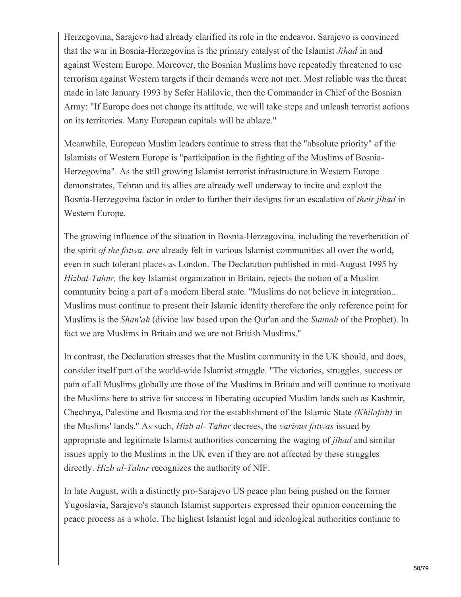Herzegovina, Sarajevo had already clarified its role in the endeavor. Sarajevo is convinced that the war in Bosnia-Herzegovina is the primary catalyst of the Islamist *Jihad* in and against Western Europe. Moreover, the Bosnian Muslims have repeatedly threatened to use terrorism against Western targets if their demands were not met. Most reliable was the threat made in late January 1993 by Sefer Halilovic, then the Commander in Chief of the Bosnian Army: "If Europe does not change its attitude, we will take steps and unleash terrorist actions on its territories. Many European capitals will be ablaze."

Meanwhile, European Muslim leaders continue to stress that the "absolute priority" of the Islamists of Western Europe is "participation in the fighting of the Muslims of Bosnia-Herzegovina". As the still growing Islamist terrorist infrastructure in Western Europe demonstrates, Tehran and its allies are already well underway to incite and exploit the Bosnia-Herzegovina factor in order to further their designs for an escalation of *their jihad* in Western Europe.

The growing influence of the situation in Bosnia-Herzegovina, including the reverberation of the spirit *of the fatwa, are* already felt in various Islamist communities all over the world, even in such tolerant places as London. The Declaration published in mid-August 1995 by *Hizbal-Tahnr,* the key Islamist organization in Britain, rejects the notion of a Muslim community being a part of a modern liberal state. "Muslims do not believe in integration... Muslims must continue to present their Islamic identity therefore the only reference point for Muslims is the *Shan'ah* (divine law based upon the Qur'an and the *Sunnah* of the Prophet). In fact we are Muslims in Britain and we are not British Muslims."

In contrast, the Declaration stresses that the Muslim community in the UK should, and does, consider itself part of the world-wide Islamist struggle. "The victories, struggles, success or pain of all Muslims globally are those of the Muslims in Britain and will continue to motivate the Muslims here to strive for success in liberating occupied Muslim lands such as Kashmir, Chechnya, Palestine and Bosnia and for the establishment of the Islamic State *(Khilafah)* in the Muslims' lands." As such, *Hizb al- Tahnr* decrees, the *various fatwas* issued by appropriate and legitimate Islamist authorities concerning the waging of *jihad* and similar issues apply to the Muslims in the UK even if they are not affected by these struggles directly. *Hizb al-Tahnr* recognizes the authority of NIF.

In late August, with a distinctly pro-Sarajevo US peace plan being pushed on the former Yugoslavia, Sarajevo's staunch Islamist supporters expressed their opinion concerning the peace process as a whole. The highest Islamist legal and ideological authorities continue to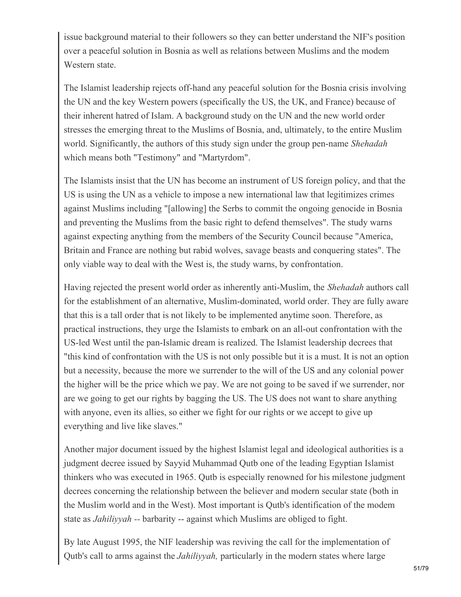issue background material to their followers so they can better understand the NIF's position over a peaceful solution in Bosnia as well as relations between Muslims and the modem Western state.

The Islamist leadership rejects off-hand any peaceful solution for the Bosnia crisis involving the UN and the key Western powers (specifically the US, the UK, and France) because of their inherent hatred of Islam. A background study on the UN and the new world order stresses the emerging threat to the Muslims of Bosnia, and, ultimately, to the entire Muslim world. Significantly, the authors of this study sign under the group pen-name *Shehadah* which means both "Testimony" and "Martyrdom".

The Islamists insist that the UN has become an instrument of US foreign policy, and that the US is using the UN as a vehicle to impose a new international law that legitimizes crimes against Muslims including "[allowing] the Serbs to commit the ongoing genocide in Bosnia and preventing the Muslims from the basic right to defend themselves". The study warns against expecting anything from the members of the Security Council because "America, Britain and France are nothing but rabid wolves, savage beasts and conquering states". The only viable way to deal with the West is, the study warns, by confrontation.

Having rejected the present world order as inherently anti-Muslim, the *Shehadah* authors call for the establishment of an alternative, Muslim-dominated, world order. They are fully aware that this is a tall order that is not likely to be implemented anytime soon. Therefore, as practical instructions, they urge the Islamists to embark on an all-out confrontation with the US-led West until the pan-Islamic dream is realized. The Islamist leadership decrees that "this kind of confrontation with the US is not only possible but it is a must. It is not an option but a necessity, because the more we surrender to the will of the US and any colonial power the higher will be the price which we pay. We are not going to be saved if we surrender, nor are we going to get our rights by bagging the US. The US does not want to share anything with anyone, even its allies, so either we fight for our rights or we accept to give up everything and live like slaves."

Another major document issued by the highest Islamist legal and ideological authorities is a judgment decree issued by Sayyid Muhammad Qutb one of the leading Egyptian Islamist thinkers who was executed in 1965. Qutb is especially renowned for his milestone judgment decrees concerning the relationship between the believer and modern secular state (both in the Muslim world and in the West). Most important is Qutb's identification of the modem state as *Jahiliyyah --* barbarity -- against which Muslims are obliged to fight.

By late August 1995, the NIF leadership was reviving the call for the implementation of Qutb's call to arms against the *Jahiliyyah,* particularly in the modern states where large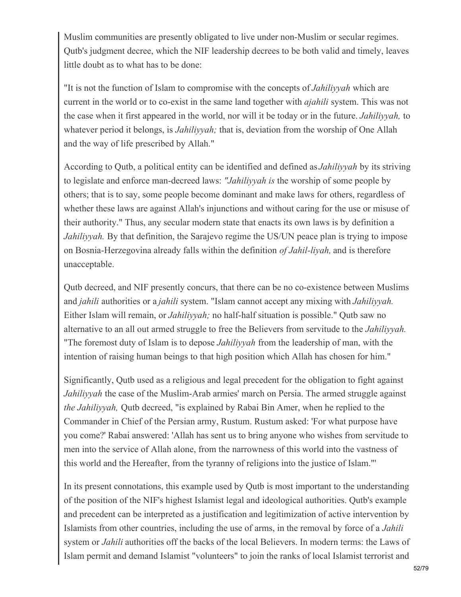Muslim communities are presently obligated to live under non-Muslim or secular regimes. Qutb's judgment decree, which the NIF leadership decrees to be both valid and timely, leaves little doubt as to what has to be done:

"It is not the function of Islam to compromise with the concepts of *Jahiliyyah* which are current in the world or to co-exist in the same land together with *ajahili* system. This was not the case when it first appeared in the world, nor will it be today or in the future. *Jahiliyyah,* to whatever period it belongs, is *Jahiliyyah;* that is, deviation from the worship of One Allah and the way of life prescribed by Allah."

According to Qutb, a political entity can be identified and defined as *Jahiliyyah* by its striving to legislate and enforce man-decreed laws: *"Jahiliyyah is* the worship of some people by others; that is to say, some people become dominant and make laws for others, regardless of whether these laws are against Allah's injunctions and without caring for the use or misuse of their authority." Thus, any secular modern state that enacts its own laws is by definition a *Jahiliyyah.* By that definition, the Sarajevo regime the US/UN peace plan is trying to impose on Bosnia-Herzegovina already falls within the definition *of Jahil-liyah,* and is therefore unacceptable.

Qutb decreed, and NIF presently concurs, that there can be no co-existence between Muslims and *jahili* authorities or a *jahili* system. "Islam cannot accept any mixing with *Jahiliyyah.* Either Islam will remain, or *Jahiliyyah;* no half-half situation is possible." Qutb saw no alternative to an all out armed struggle to free the Believers from servitude to the *Jahiliyyah.* "The foremost duty of Islam is to depose *Jahiliyyah* from the leadership of man, with the intention of raising human beings to that high position which Allah has chosen for him."

Significantly, Qutb used as a religious and legal precedent for the obligation to fight against *Jahiliyyah* the case of the Muslim-Arab armies' march on Persia. The armed struggle against *the Jahiliyyah,* Qutb decreed, "is explained by Rabai Bin Amer, when he replied to the Commander in Chief of the Persian army, Rustum. Rustum asked: 'For what purpose have you come?' Rabai answered: 'Allah has sent us to bring anyone who wishes from servitude to men into the service of Allah alone, from the narrowness of this world into the vastness of this world and the Hereafter, from the tyranny of religions into the justice of Islam."'

In its present connotations, this example used by Qutb is most important to the understanding of the position of the NIF's highest Islamist legal and ideological authorities. Qutb's example and precedent can be interpreted as a justification and legitimization of active intervention by Islamists from other countries, including the use of arms, in the removal by force of a *Jahili* system or *Jahili* authorities off the backs of the local Believers. In modern terms: the Laws of Islam permit and demand Islamist "volunteers" to join the ranks of local Islamist terrorist and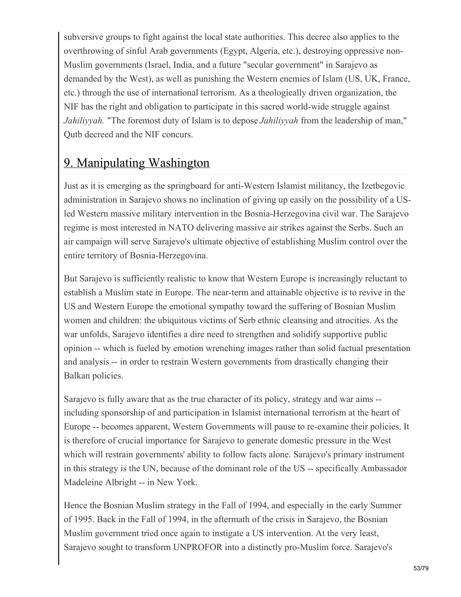subversive groups to fight against the local state authorities. This decree also applies to the overthrowing of sinful Arab governments (Egypt, Algeria, etc.), destroying oppressive non-Muslim governments (Israel, India, and a future "secular government" in Sarajevo as demanded by the West), as well as punishing the Western enemies of Islam (US, UK, France, etc.) through the use of international terrorism. As a theologically driven organization, the NIF has the right and obligation to participate in this sacred world-wide struggle against *Jahiliyyah.* "The foremost duty of Islam is to depose *Jahiliyyah* from the leadership of man," Qutb decreed and the NIF concurs.

### 9. Manipulating Washington

Just as it is emerging as the springboard for anti-Western Islamist militancy, the Izetbegovic administration in Sarajevo shows no inclination of giving up easily on the possibility of a USled Western massive military intervention in the Bosnia-Herzegovina civil war. The Sarajevo regime is most interested in NATO delivering massive air strikes against the Serbs. Such an air campaign will serve Sarajevo's ultimate objective of establishing Muslim control over the entire territory of Bosnia-Herzegovina.

But Sarajevo is sufficiently realistic to know that Western Europe is increasingly reluctant to establish a Muslim state in Europe. The near-term and attainable objective is to revive in the US and Western Europe the emotional sympathy toward the suffering of Bosnian Muslim women and children: the ubiquitous victims of Serb ethnic cleansing and atrocities. As the war unfolds, Sarajevo identifies a dire need to strengthen and solidify supportive public opinion -- which is fueled by emotion wrenching images rather than solid factual presentation and analysis -- in order to restrain Western governments from drastically changing their Balkan policies.

Sarajevo is fully aware that as the true character of its policy, strategy and war aims - including sponsorship of and participation in Islamist international terrorism at the heart of Europe -- becomes apparent, Western Governments will pause to re-examine their policies. It is therefore of crucial importance for Sarajevo to generate domestic pressure in the West which will restrain governments' ability to follow facts alone. Sarajevo's primary instrument in this strategy is the UN, because of the dominant role of the US -- specifically Ambassador Madeleine Albright -- in New York.

Hence the Bosnian Muslim strategy in the Fall of 1994, and especially in the early Summer of 1995. Back in the Fall of 1994, in the aftermath of the crisis in Sarajevo, the Bosnian Muslim government tried once again to instigate a US intervention. At the very least, Sarajevo sought to transform UNPROFOR into a distinctly pro-Muslim force. Sarajevo's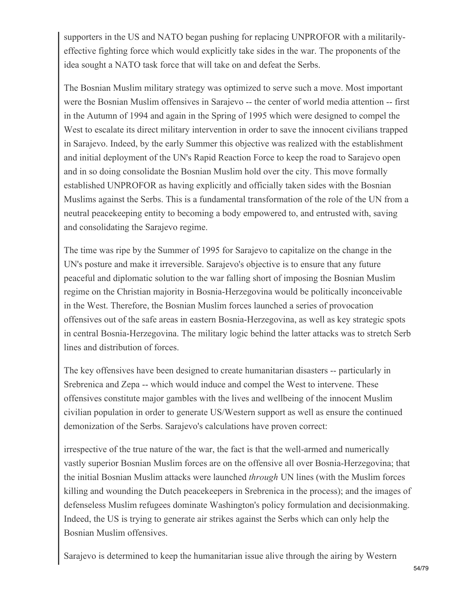supporters in the US and NATO began pushing for replacing UNPROFOR with a militarilyeffective fighting force which would explicitly take sides in the war. The proponents of the idea sought a NATO task force that will take on and defeat the Serbs.

The Bosnian Muslim military strategy was optimized to serve such a move. Most important were the Bosnian Muslim offensives in Sarajevo -- the center of world media attention -- first in the Autumn of 1994 and again in the Spring of 1995 which were designed to compel the West to escalate its direct military intervention in order to save the innocent civilians trapped in Sarajevo. Indeed, by the early Summer this objective was realized with the establishment and initial deployment of the UN's Rapid Reaction Force to keep the road to Sarajevo open and in so doing consolidate the Bosnian Muslim hold over the city. This move formally established UNPROFOR as having explicitly and officially taken sides with the Bosnian Muslims against the Serbs. This is a fundamental transformation of the role of the UN from a neutral peacekeeping entity to becoming a body empowered to, and entrusted with, saving and consolidating the Sarajevo regime.

The time was ripe by the Summer of 1995 for Sarajevo to capitalize on the change in the UN's posture and make it irreversible. Sarajevo's objective is to ensure that any future peaceful and diplomatic solution to the war falling short of imposing the Bosnian Muslim regime on the Christian majority in Bosnia-Herzegovina would be politically inconceivable in the West. Therefore, the Bosnian Muslim forces launched a series of provocation offensives out of the safe areas in eastern Bosnia-Herzegovina, as well as key strategic spots in central Bosnia-Herzegovina. The military logic behind the latter attacks was to stretch Serb lines and distribution of forces.

The key offensives have been designed to create humanitarian disasters -- particularly in Srebrenica and Zepa -- which would induce and compel the West to intervene. These offensives constitute major gambles with the lives and wellbeing of the innocent Muslim civilian population in order to generate US/Western support as well as ensure the continued demonization of the Serbs. Sarajevo's calculations have proven correct:

irrespective of the true nature of the war, the fact is that the well-armed and numerically vastly superior Bosnian Muslim forces are on the offensive all over Bosnia-Herzegovina; that the initial Bosnian Muslim attacks were launched *through* UN lines (with the Muslim forces killing and wounding the Dutch peacekeepers in Srebrenica in the process); and the images of defenseless Muslim refugees dominate Washington's policy formulation and decisionmaking. Indeed, the US is trying to generate air strikes against the Serbs which can only help the Bosnian Muslim offensives.

Sarajevo is determined to keep the humanitarian issue alive through the airing by Western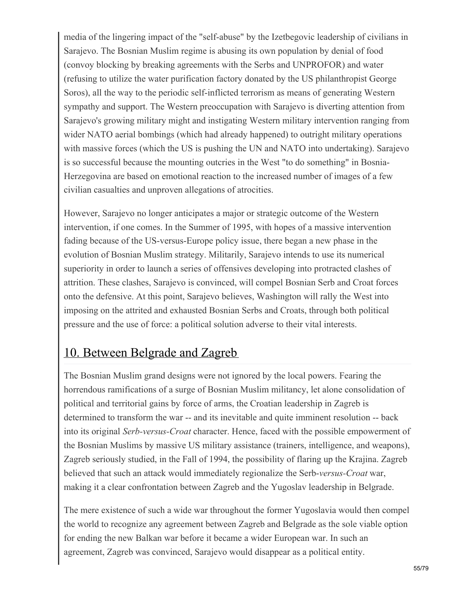media of the lingering impact of the "self-abuse" by the Izetbegovic leadership of civilians in Sarajevo. The Bosnian Muslim regime is abusing its own population by denial of food (convoy blocking by breaking agreements with the Serbs and UNPROFOR) and water (refusing to utilize the water purification factory donated by the US philanthropist George Soros), all the way to the periodic self-inflicted terrorism as means of generating Western sympathy and support. The Western preoccupation with Sarajevo is diverting attention from Sarajevo's growing military might and instigating Western military intervention ranging from wider NATO aerial bombings (which had already happened) to outright military operations with massive forces (which the US is pushing the UN and NATO into undertaking). Sarajevo is so successful because the mounting outcries in the West "to do something" in Bosnia-Herzegovina are based on emotional reaction to the increased number of images of a few civilian casualties and unproven allegations of atrocities.

However, Sarajevo no longer anticipates a major or strategic outcome of the Western intervention, if one comes. In the Summer of 1995, with hopes of a massive intervention fading because of the US-versus-Europe policy issue, there began a new phase in the evolution of Bosnian Muslim strategy. Militarily, Sarajevo intends to use its numerical superiority in order to launch a series of offensives developing into protracted clashes of attrition. These clashes, Sarajevo is convinced, will compel Bosnian Serb and Croat forces onto the defensive. At this point, Sarajevo believes, Washington will rally the West into imposing on the attrited and exhausted Bosnian Serbs and Croats, through both political pressure and the use of force: a political solution adverse to their vital interests.

### 10. Between Belgrade and Zagreb

The Bosnian Muslim grand designs were not ignored by the local powers. Fearing the horrendous ramifications of a surge of Bosnian Muslim militancy, let alone consolidation of political and territorial gains by force of arms, the Croatian leadership in Zagreb is determined to transform the war -- and its inevitable and quite imminent resolution -- back into its original *Serb-versus-Croat* character. Hence, faced with the possible empowerment of the Bosnian Muslims by massive US military assistance (trainers, intelligence, and weapons), Zagreb seriously studied, in the Fall of 1994, the possibility of flaring up the Krajina. Zagreb believed that such an attack would immediately regionalize the Serb-*versus-Croat* war, making it a clear confrontation between Zagreb and the Yugoslav leadership in Belgrade.

The mere existence of such a wide war throughout the former Yugoslavia would then compel the world to recognize any agreement between Zagreb and Belgrade as the sole viable option for ending the new Balkan war before it became a wider European war. In such an agreement, Zagreb was convinced, Sarajevo would disappear as a political entity.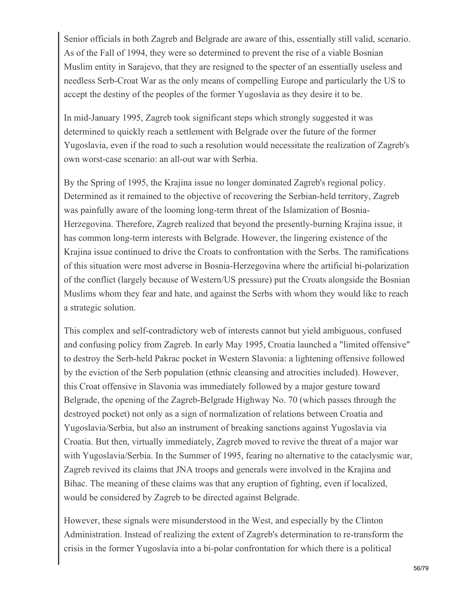Senior officials in both Zagreb and Belgrade are aware of this, essentially still valid, scenario. As of the Fall of 1994, they were so determined to prevent the rise of a viable Bosnian Muslim entity in Sarajevo, that they are resigned to the specter of an essentially useless and needless Serb-Croat War as the only means of compelling Europe and particularly the US to accept the destiny of the peoples of the former Yugoslavia as they desire it to be.

In mid-January 1995, Zagreb took significant steps which strongly suggested it was determined to quickly reach a settlement with Belgrade over the future of the former Yugoslavia, even if the road to such a resolution would necessitate the realization of Zagreb's own worst-case scenario: an all-out war with Serbia.

By the Spring of 1995, the Krajina issue no longer dominated Zagreb's regional policy. Determined as it remained to the objective of recovering the Serbian-held territory, Zagreb was painfully aware of the looming long-term threat of the Islamization of Bosnia-Herzegovina. Therefore, Zagreb realized that beyond the presently-burning Krajina issue, it has common long-term interests with Belgrade. However, the lingering existence of the Krajina issue continued to drive the Croats to confrontation with the Serbs. The ramifications of this situation were most adverse in Bosnia-Herzegovina where the artificial bi-polarization of the conflict (largely because of Western/US pressure) put the Croats alongside the Bosnian Muslims whom they fear and hate, and against the Serbs with whom they would like to reach a strategic solution.

This complex and self-contradictory web of interests cannot but yield ambiguous, confused and confusing policy from Zagreb. In early May 1995, Croatia launched a "limited offensive" to destroy the Serb-held Pakrac pocket in Western Slavonia: a lightening offensive followed by the eviction of the Serb population (ethnic cleansing and atrocities included). However, this Croat offensive in Slavonia was immediately followed by a major gesture toward Belgrade, the opening of the Zagreb-Belgrade Highway No. 70 (which passes through the destroyed pocket) not only as a sign of normalization of relations between Croatia and Yugoslavia/Serbia, but also an instrument of breaking sanctions against Yugoslavia via Croatia. But then, virtually immediately, Zagreb moved to revive the threat of a major war with Yugoslavia/Serbia. In the Summer of 1995, fearing no alternative to the cataclysmic war, Zagreb revived its claims that JNA troops and generals were involved in the Krajina and Bihac. The meaning of these claims was that any eruption of fighting, even if localized, would be considered by Zagreb to be directed against Belgrade.

However, these signals were misunderstood in the West, and especially by the Clinton Administration. Instead of realizing the extent of Zagreb's determination to re-transform the crisis in the former Yugoslavia into a bi-polar confrontation for which there is a political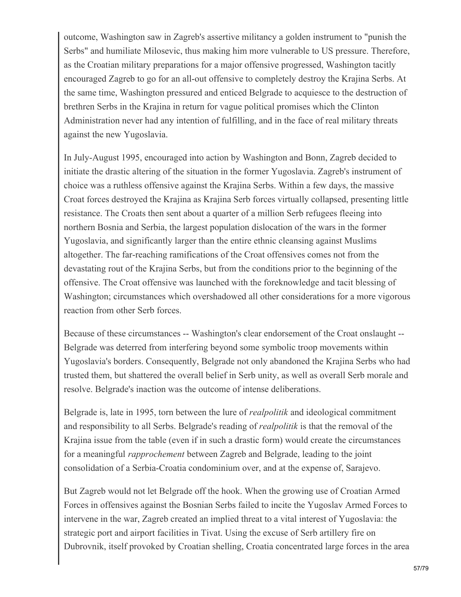outcome, Washington saw in Zagreb's assertive militancy a golden instrument to "punish the Serbs" and humiliate Milosevic, thus making him more vulnerable to US pressure. Therefore, as the Croatian military preparations for a major offensive progressed, Washington tacitly encouraged Zagreb to go for an all-out offensive to completely destroy the Krajina Serbs. At the same time, Washington pressured and enticed Belgrade to acquiesce to the destruction of brethren Serbs in the Krajina in return for vague political promises which the Clinton Administration never had any intention of fulfilling, and in the face of real military threats against the new Yugoslavia.

In July-August 1995, encouraged into action by Washington and Bonn, Zagreb decided to initiate the drastic altering of the situation in the former Yugoslavia. Zagreb's instrument of choice was a ruthless offensive against the Krajina Serbs. Within a few days, the massive Croat forces destroyed the Krajina as Krajina Serb forces virtually collapsed, presenting little resistance. The Croats then sent about a quarter of a million Serb refugees fleeing into northern Bosnia and Serbia, the largest population dislocation of the wars in the former Yugoslavia, and significantly larger than the entire ethnic cleansing against Muslims altogether. The far-reaching ramifications of the Croat offensives comes not from the devastating rout of the Krajina Serbs, but from the conditions prior to the beginning of the offensive. The Croat offensive was launched with the foreknowledge and tacit blessing of Washington; circumstances which overshadowed all other considerations for a more vigorous reaction from other Serb forces.

Because of these circumstances -- Washington's clear endorsement of the Croat onslaught -- Belgrade was deterred from interfering beyond some symbolic troop movements within Yugoslavia's borders. Consequently, Belgrade not only abandoned the Krajina Serbs who had trusted them, but shattered the overall belief in Serb unity, as well as overall Serb morale and resolve. Belgrade's inaction was the outcome of intense deliberations.

Belgrade is, late in 1995, torn between the lure of *realpolitik* and ideological commitment and responsibility to all Serbs. Belgrade's reading of *realpolitik* is that the removal of the Krajina issue from the table (even if in such a drastic form) would create the circumstances for a meaningful *rapprochement* between Zagreb and Belgrade, leading to the joint consolidation of a Serbia-Croatia condominium over, and at the expense of, Sarajevo.

But Zagreb would not let Belgrade off the hook. When the growing use of Croatian Armed Forces in offensives against the Bosnian Serbs failed to incite the Yugoslav Armed Forces to intervene in the war, Zagreb created an implied threat to a vital interest of Yugoslavia: the strategic port and airport facilities in Tivat. Using the excuse of Serb artillery fire on Dubrovnik, itself provoked by Croatian shelling, Croatia concentrated large forces in the area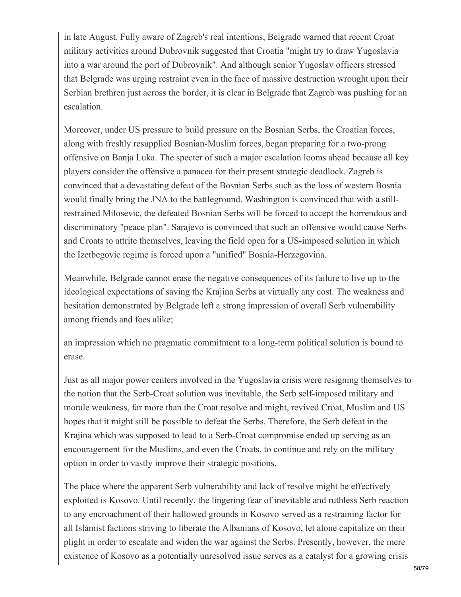in late August. Fully aware of Zagreb's real intentions, Belgrade warned that recent Croat military activities around Dubrovnik suggested that Croatia "might try to draw Yugoslavia into a war around the port of Dubrovnik". And although senior Yugoslav officers stressed that Belgrade was urging restraint even in the face of massive destruction wrought upon their Serbian brethren just across the border, it is clear in Belgrade that Zagreb was pushing for an escalation.

Moreover, under US pressure to build pressure on the Bosnian Serbs, the Croatian forces, along with freshly resupplied Bosnian-Muslim forces, began preparing for a two-prong offensive on Banja Luka. The specter of such a major escalation looms ahead because all key players consider the offensive a panacea for their present strategic deadlock. Zagreb is convinced that a devastating defeat of the Bosnian Serbs such as the loss of western Bosnia would finally bring the JNA to the battleground. Washington is convinced that with a stillrestrained Milosevic, the defeated Bosnian Serbs will be forced to accept the horrendous and discriminatory "peace plan". Sarajevo is convinced that such an offensive would cause Serbs and Croats to attrite themselves, leaving the field open for a US-imposed solution in which the Izetbegovic regime is forced upon a "unified" Bosnia-Herzegovina.

Meanwhile, Belgrade cannot erase the negative consequences of its failure to live up to the ideological expectations of saving the Krajina Serbs at virtually any cost. The weakness and hesitation demonstrated by Belgrade left a strong impression of overall Serb vulnerability among friends and foes alike;

an impression which no pragmatic commitment to a long-term political solution is bound to erase.

Just as all major power centers involved in the Yugoslavia crisis were resigning themselves to the notion that the Serb-Croat solution was inevitable, the Serb self-imposed military and morale weakness, far more than the Croat resolve and might, revived Croat, Muslim and US hopes that it might still be possible to defeat the Serbs. Therefore, the Serb defeat in the Krajina which was supposed to lead to a Serb-Croat compromise ended up serving as an encouragement for the Muslims, and even the Croats, to continue and rely on the military option in order to vastly improve their strategic positions.

The place where the apparent Serb vulnerability and lack of resolve might be effectively exploited is Kosovo. Until recently, the lingering fear of inevitable and ruthless Serb reaction to any encroachment of their hallowed grounds in Kosovo served as a restraining factor for all Islamist factions striving to liberate the Albanians of Kosovo, let alone capitalize on their plight in order to escalate and widen the war against the Serbs. Presently, however, the mere existence of Kosovo as a potentially unresolved issue serves as a catalyst for a growing crisis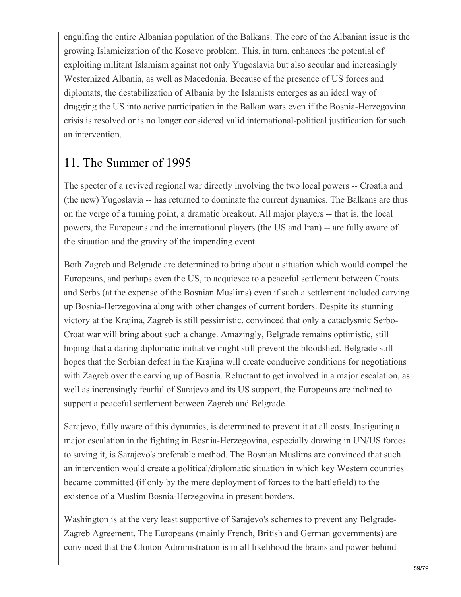engulfing the entire Albanian population of the Balkans. The core of the Albanian issue is the growing Islamicization of the Kosovo problem. This, in turn, enhances the potential of exploiting militant Islamism against not only Yugoslavia but also secular and increasingly Westernized Albania, as well as Macedonia. Because of the presence of US forces and diplomats, the destabilization of Albania by the Islamists emerges as an ideal way of dragging the US into active participation in the Balkan wars even if the Bosnia-Herzegovina crisis is resolved or is no longer considered valid international-political justification for such an intervention.

## 11. The Summer of 1995

The specter of a revived regional war directly involving the two local powers -- Croatia and (the new) Yugoslavia -- has returned to dominate the current dynamics. The Balkans are thus on the verge of a turning point, a dramatic breakout. All major players -- that is, the local powers, the Europeans and the international players (the US and Iran) -- are fully aware of the situation and the gravity of the impending event.

Both Zagreb and Belgrade are determined to bring about a situation which would compel the Europeans, and perhaps even the US, to acquiesce to a peaceful settlement between Croats and Serbs (at the expense of the Bosnian Muslims) even if such a settlement included carving up Bosnia-Herzegovina along with other changes of current borders. Despite its stunning victory at the Krajina, Zagreb is still pessimistic, convinced that only a cataclysmic Serbo-Croat war will bring about such a change. Amazingly, Belgrade remains optimistic, still hoping that a daring diplomatic initiative might still prevent the bloodshed. Belgrade still hopes that the Serbian defeat in the Krajina will create conducive conditions for negotiations with Zagreb over the carving up of Bosnia. Reluctant to get involved in a major escalation, as well as increasingly fearful of Sarajevo and its US support, the Europeans are inclined to support a peaceful settlement between Zagreb and Belgrade.

Sarajevo, fully aware of this dynamics, is determined to prevent it at all costs. Instigating a major escalation in the fighting in Bosnia-Herzegovina, especially drawing in UN/US forces to saving it, is Sarajevo's preferable method. The Bosnian Muslims are convinced that such an intervention would create a political/diplomatic situation in which key Western countries became committed (if only by the mere deployment of forces to the battlefield) to the existence of a Muslim Bosnia-Herzegovina in present borders.

Washington is at the very least supportive of Sarajevo's schemes to prevent any Belgrade-Zagreb Agreement. The Europeans (mainly French, British and German governments) are convinced that the Clinton Administration is in all likelihood the brains and power behind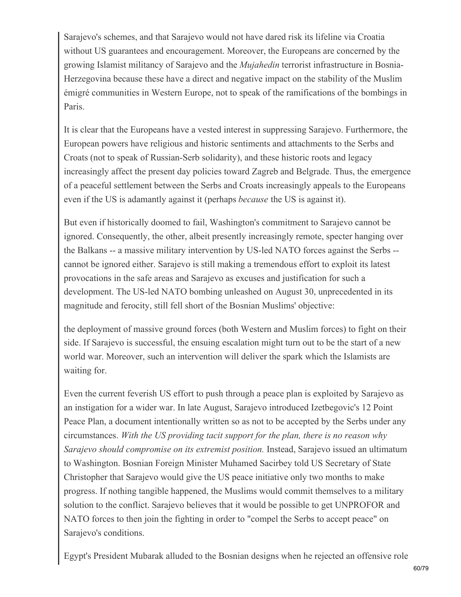Sarajevo's schemes, and that Sarajevo would not have dared risk its lifeline via Croatia without US guarantees and encouragement. Moreover, the Europeans are concerned by the growing Islamist militancy of Sarajevo and the *Mujahedin* terrorist infrastructure in Bosnia-Herzegovina because these have a direct and negative impact on the stability of the Muslim émigré communities in Western Europe, not to speak of the ramifications of the bombings in Paris.

It is clear that the Europeans have a vested interest in suppressing Sarajevo. Furthermore, the European powers have religious and historic sentiments and attachments to the Serbs and Croats (not to speak of Russian-Serb solidarity), and these historic roots and legacy increasingly affect the present day policies toward Zagreb and Belgrade. Thus, the emergence of a peaceful settlement between the Serbs and Croats increasingly appeals to the Europeans even if the US is adamantly against it (perhaps *because* the US is against it).

But even if historically doomed to fail, Washington's commitment to Sarajevo cannot be ignored. Consequently, the other, albeit presently increasingly remote, specter hanging over the Balkans -- a massive military intervention by US-led NATO forces against the Serbs - cannot be ignored either. Sarajevo is still making a tremendous effort to exploit its latest provocations in the safe areas and Sarajevo as excuses and justification for such a development. The US-led NATO bombing unleashed on August 30, unprecedented in its magnitude and ferocity, still fell short of the Bosnian Muslims' objective:

the deployment of massive ground forces (both Western and Muslim forces) to fight on their side. If Sarajevo is successful, the ensuing escalation might turn out to be the start of a new world war. Moreover, such an intervention will deliver the spark which the Islamists are waiting for.

Even the current feverish US effort to push through a peace plan is exploited by Sarajevo as an instigation for a wider war. In late August, Sarajevo introduced Izetbegovic's 12 Point Peace Plan, a document intentionally written so as not to be accepted by the Serbs under any circumstances. *With the US providing tacit support for the plan, there is no reason why Sarajevo should compromise on its extremist position.* Instead, Sarajevo issued an ultimatum to Washington. Bosnian Foreign Minister Muhamed Sacirbey told US Secretary of State Christopher that Sarajevo would give the US peace initiative only two months to make progress. If nothing tangible happened, the Muslims would commit themselves to a military solution to the conflict. Sarajevo believes that it would be possible to get UNPROFOR and NATO forces to then join the fighting in order to "compel the Serbs to accept peace" on Sarajevo's conditions.

Egypt's President Mubarak alluded to the Bosnian designs when he rejected an offensive role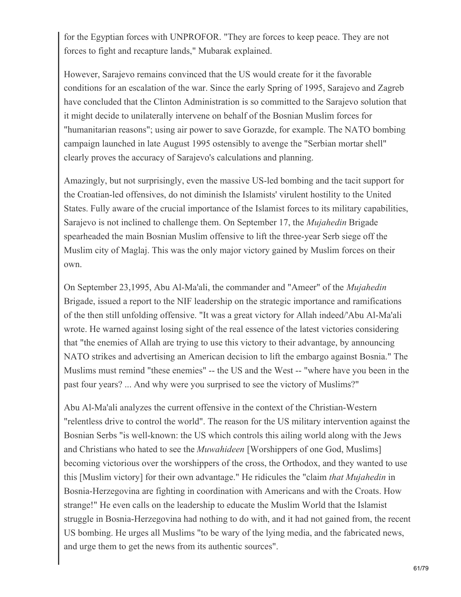for the Egyptian forces with UNPROFOR. "They are forces to keep peace. They are not forces to fight and recapture lands," Mubarak explained.

However, Sarajevo remains convinced that the US would create for it the favorable conditions for an escalation of the war. Since the early Spring of 1995, Sarajevo and Zagreb have concluded that the Clinton Administration is so committed to the Sarajevo solution that it might decide to unilaterally intervene on behalf of the Bosnian Muslim forces for "humanitarian reasons"; using air power to save Gorazde, for example. The NATO bombing campaign launched in late August 1995 ostensibly to avenge the "Serbian mortar shell" clearly proves the accuracy of Sarajevo's calculations and planning.

Amazingly, but not surprisingly, even the massive US-led bombing and the tacit support for the Croatian-led offensives, do not diminish the Islamists' virulent hostility to the United States. Fully aware of the crucial importance of the Islamist forces to its military capabilities, Sarajevo is not inclined to challenge them. On September 17, the *Mujahedin* Brigade spearheaded the main Bosnian Muslim offensive to lift the three-year Serb siege off the Muslim city of Maglaj. This was the only major victory gained by Muslim forces on their own.

On September 23,1995, Abu Al-Ma'ali, the commander and "Ameer" of the *Mujahedin* Brigade, issued a report to the NIF leadership on the strategic importance and ramifications of the then still unfolding offensive. "It was a great victory for Allah indeed/'Abu Al-Ma'ali wrote. He warned against losing sight of the real essence of the latest victories considering that "the enemies of Allah are trying to use this victory to their advantage, by announcing NATO strikes and advertising an American decision to lift the embargo against Bosnia." The Muslims must remind "these enemies" -- the US and the West -- "where have you been in the past four years? ... And why were you surprised to see the victory of Muslims?"

Abu Al-Ma'ali analyzes the current offensive in the context of the Christian-Western "relentless drive to control the world". The reason for the US military intervention against the Bosnian Serbs "is well-known: the US which controls this ailing world along with the Jews and Christians who hated to see the *Muwahideen* [Worshippers of one God, Muslims] becoming victorious over the worshippers of the cross, the Orthodox, and they wanted to use this [Muslim victory] for their own advantage." He ridicules the "claim *that Mujahedin* in Bosnia-Herzegovina are fighting in coordination with Americans and with the Croats. How strange!" He even calls on the leadership to educate the Muslim World that the Islamist struggle in Bosnia-Herzegovina had nothing to do with, and it had not gained from, the recent US bombing. He urges all Muslims "to be wary of the lying media, and the fabricated news, and urge them to get the news from its authentic sources".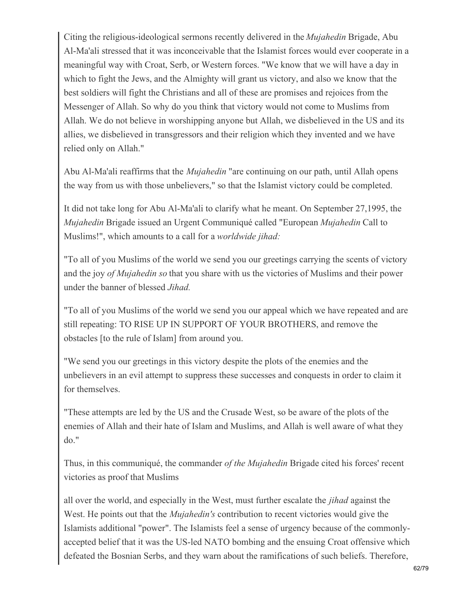Citing the religious-ideological sermons recently delivered in the *Mujahedin* Brigade, Abu Al-Ma'ali stressed that it was inconceivable that the Islamist forces would ever cooperate in a meaningful way with Croat, Serb, or Western forces. "We know that we will have a day in which to fight the Jews, and the Almighty will grant us victory, and also we know that the best soldiers will fight the Christians and all of these are promises and rejoices from the Messenger of Allah. So why do you think that victory would not come to Muslims from Allah. We do not believe in worshipping anyone but Allah, we disbelieved in the US and its allies, we disbelieved in transgressors and their religion which they invented and we have relied only on Allah."

Abu Al-Ma'ali reaffirms that the *Mujahedin* "are continuing on our path, until Allah opens the way from us with those unbelievers," so that the Islamist victory could be completed.

It did not take long for Abu Al-Ma'ali to clarify what he meant. On September 27,1995, the *Mujahedin* Brigade issued an Urgent Communiqué called "European *Mujahedin* Call to Muslims!", which amounts to a call for a *worldwide jihad:*

"To all of you Muslims of the world we send you our greetings carrying the scents of victory and the joy *of Mujahedin so* that you share with us the victories of Muslims and their power under the banner of blessed *Jihad.*

"To all of you Muslims of the world we send you our appeal which we have repeated and are still repeating: TO RISE UP IN SUPPORT OF YOUR BROTHERS, and remove the obstacles [to the rule of Islam] from around you.

"We send you our greetings in this victory despite the plots of the enemies and the unbelievers in an evil attempt to suppress these successes and conquests in order to claim it for themselves.

"These attempts are led by the US and the Crusade West, so be aware of the plots of the enemies of Allah and their hate of Islam and Muslims, and Allah is well aware of what they do."

Thus, in this communiqué, the commander *of the Mujahedin* Brigade cited his forces' recent victories as proof that Muslims

all over the world, and especially in the West, must further escalate the *jihad* against the West. He points out that the *Mujahedin's* contribution to recent victories would give the Islamists additional "power". The Islamists feel a sense of urgency because of the commonlyaccepted belief that it was the US-led NATO bombing and the ensuing Croat offensive which defeated the Bosnian Serbs, and they warn about the ramifications of such beliefs. Therefore,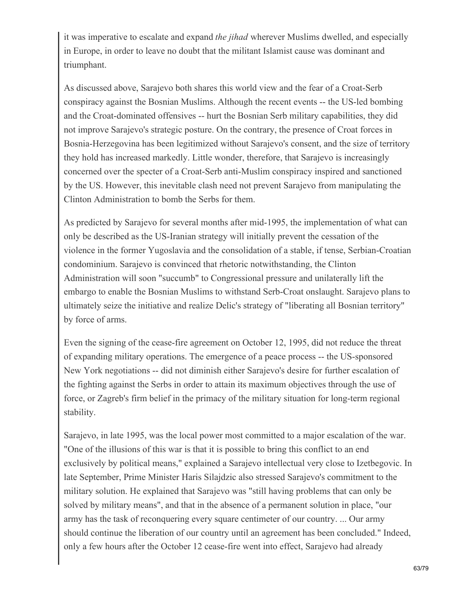it was imperative to escalate and expand *the jihad* wherever Muslims dwelled, and especially in Europe, in order to leave no doubt that the militant Islamist cause was dominant and triumphant.

As discussed above, Sarajevo both shares this world view and the fear of a Croat-Serb conspiracy against the Bosnian Muslims. Although the recent events -- the US-led bombing and the Croat-dominated offensives -- hurt the Bosnian Serb military capabilities, they did not improve Sarajevo's strategic posture. On the contrary, the presence of Croat forces in Bosnia-Herzegovina has been legitimized without Sarajevo's consent, and the size of territory they hold has increased markedly. Little wonder, therefore, that Sarajevo is increasingly concerned over the specter of a Croat-Serb anti-Muslim conspiracy inspired and sanctioned by the US. However, this inevitable clash need not prevent Sarajevo from manipulating the Clinton Administration to bomb the Serbs for them.

As predicted by Sarajevo for several months after mid-1995, the implementation of what can only be described as the US-Iranian strategy will initially prevent the cessation of the violence in the former Yugoslavia and the consolidation of a stable, if tense, Serbian-Croatian condominium. Sarajevo is convinced that rhetoric notwithstanding, the Clinton Administration will soon "succumb" to Congressional pressure and unilaterally lift the embargo to enable the Bosnian Muslims to withstand Serb-Croat onslaught. Sarajevo plans to ultimately seize the initiative and realize Delic's strategy of "liberating all Bosnian territory" by force of arms.

Even the signing of the cease-fire agreement on October 12, 1995, did not reduce the threat of expanding military operations. The emergence of a peace process -- the US-sponsored New York negotiations -- did not diminish either Sarajevo's desire for further escalation of the fighting against the Serbs in order to attain its maximum objectives through the use of force, or Zagreb's firm belief in the primacy of the military situation for long-term regional stability.

Sarajevo, in late 1995, was the local power most committed to a major escalation of the war. "One of the illusions of this war is that it is possible to bring this conflict to an end exclusively by political means," explained a Sarajevo intellectual very close to Izetbegovic. In late September, Prime Minister Haris Silajdzic also stressed Sarajevo's commitment to the military solution. He explained that Sarajevo was "still having problems that can only be solved by military means", and that in the absence of a permanent solution in place, "our army has the task of reconquering every square centimeter of our country. ... Our army should continue the liberation of our country until an agreement has been concluded." Indeed, only a few hours after the October 12 cease-fire went into effect, Sarajevo had already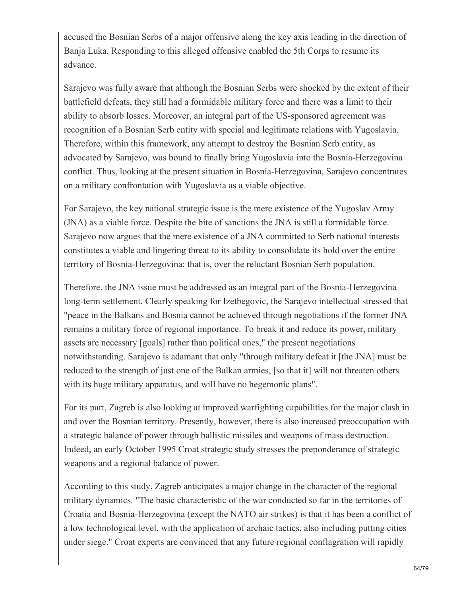accused the Bosnian Serbs of a major offensive along the key axis leading in the direction of Banja Luka. Responding to this alleged offensive enabled the 5th Corps to resume its advance.

Sarajevo was fully aware that although the Bosnian Serbs were shocked by the extent of their battlefield defeats, they still had a formidable military force and there was a limit to their ability to absorb losses. Moreover, an integral part of the US-sponsored agreement was recognition of a Bosnian Serb entity with special and legitimate relations with Yugoslavia. Therefore, within this framework, any attempt to destroy the Bosnian Serb entity, as advocated by Sarajevo, was bound to finally bring Yugoslavia into the Bosnia-Herzegovina conflict. Thus, looking at the present situation in Bosnia-Herzegovina, Sarajevo concentrates on a military confrontation with Yugoslavia as a viable objective.

For Sarajevo, the key national strategic issue is the mere existence of the Yugoslav Army (JNA) as a viable force. Despite the bite of sanctions the JNA is still a formidable force. Sarajevo now argues that the mere existence of a JNA committed to Serb national interests constitutes a viable and lingering threat to its ability to consolidate its hold over the entire territory of Bosnia-Herzegovina: that is, over the reluctant Bosnian Serb population.

Therefore, the JNA issue must be addressed as an integral part of the Bosnia-Herzegovina long-term settlement. Clearly speaking for Izetbegovic, the Sarajevo intellectual stressed that "peace in the Balkans and Bosnia cannot be achieved through negotiations if the former JNA remains a military force of regional importance. To break it and reduce its power, military assets are necessary [goals] rather than political ones," the present negotiations notwithstanding. Sarajevo is adamant that only "through military defeat it [the JNA] must be reduced to the strength of just one of the Balkan armies, [so that it] will not threaten others with its huge military apparatus, and will have no hegemonic plans".

For its part, Zagreb is also looking at improved warfighting capabilities for the major clash in and over the Bosnian territory. Presently, however, there is also increased preoccupation with a strategic balance of power through ballistic missiles and weapons of mass destruction. Indeed, an early October 1995 Croat strategic study stresses the preponderance of strategic weapons and a regional balance of power.

According to this study, Zagreb anticipates a major change in the character of the regional military dynamics. "The basic characteristic of the war conducted so far in the territories of Croatia and Bosnia-Herzegovina (except the NATO air strikes) is that it has been a conflict of a low technological level, with the application of archaic tactics, also including putting cities under siege." Croat experts are convinced that any future regional conflagration will rapidly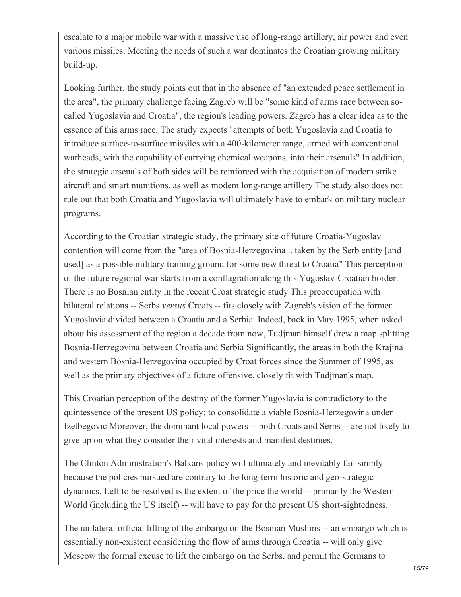escalate to a major mobile war with a massive use of long-range artillery, air power and even various missiles. Meeting the needs of such a war dominates the Croatian growing military build-up.

Looking further, the study points out that in the absence of "an extended peace settlement in the area", the primary challenge facing Zagreb will be "some kind of arms race between socalled Yugoslavia and Croatia", the region's leading powers. Zagreb has a clear idea as to the essence of this arms race. The study expects "attempts of both Yugoslavia and Croatia to introduce surface-to-surface missiles with a 400-kilometer range, armed with conventional warheads, with the capability of carrying chemical weapons, into their arsenals" In addition, the strategic arsenals of both sides will be reinforced with the acquisition of modem strike aircraft and smart munitions, as well as modem long-range artillery The study also does not rule out that both Croatia and Yugoslavia will ultimately have to embark on military nuclear programs.

According to the Croatian strategic study, the primary site of future Croatia-Yugoslav contention will come from the "area of Bosnia-Herzegovina .. taken by the Serb entity [and used] as a possible military training ground for some new threat to Croatia" This perception of the future regional war starts from a conflagration along this Yugoslav-Croatian border. There is no Bosnian entity in the recent Croat strategic study This preoccupation with bilateral relations -- Serbs *versus* Croats -- fits closely with Zagreb's vision of the former Yugoslavia divided between a Croatia and a Serbia. Indeed, back in May 1995, when asked about his assessment of the region a decade from now, Tudjman himself drew a map splitting Bosnia-Herzegovina between Croatia and Serbia Significantly, the areas in both the Krajina and western Bosnia-Herzegovina occupied by Croat forces since the Summer of 1995, as well as the primary objectives of a future offensive, closely fit with Tudjman's map.

This Croatian perception of the destiny of the former Yugoslavia is contradictory to the quintessence of the present US policy: to consolidate a viable Bosnia-Herzegovina under Izetbegovic Moreover, the dominant local powers -- both Croats and Serbs -- are not likely to give up on what they consider their vital interests and manifest destinies.

The Clinton Administration's Balkans policy will ultimately and inevitably fail simply because the policies pursued are contrary to the long-term historic and geo-strategic dynamics. Left to be resolved is the extent of the price the world -- primarily the Western World (including the US itself) -- will have to pay for the present US short-sightedness.

The unilateral official lifting of the embargo on the Bosnian Muslims -- an embargo which is essentially non-existent considering the flow of arms through Croatia -- will only give Moscow the formal excuse to lift the embargo on the Serbs, and permit the Germans to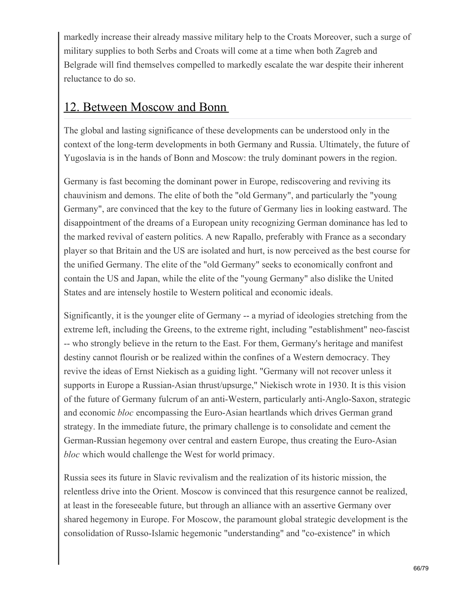markedly increase their already massive military help to the Croats Moreover, such a surge of military supplies to both Serbs and Croats will come at a time when both Zagreb and Belgrade will find themselves compelled to markedly escalate the war despite their inherent reluctance to do so.

### 12. Between Moscow and Bonn

The global and lasting significance of these developments can be understood only in the context of the long-term developments in both Germany and Russia. Ultimately, the future of Yugoslavia is in the hands of Bonn and Moscow: the truly dominant powers in the region.

Germany is fast becoming the dominant power in Europe, rediscovering and reviving its chauvinism and demons. The elite of both the "old Germany", and particularly the "young Germany", are convinced that the key to the future of Germany lies in looking eastward. The disappointment of the dreams of a European unity recognizing German dominance has led to the marked revival of eastern politics. A new Rapallo, preferably with France as a secondary player so that Britain and the US are isolated and hurt, is now perceived as the best course for the unified Germany. The elite of the "old Germany" seeks to economically confront and contain the US and Japan, while the elite of the "young Germany" also dislike the United States and are intensely hostile to Western political and economic ideals.

Significantly, it is the younger elite of Germany -- a myriad of ideologies stretching from the extreme left, including the Greens, to the extreme right, including "establishment" neo-fascist -- who strongly believe in the return to the East. For them, Germany's heritage and manifest destiny cannot flourish or be realized within the confines of a Western democracy. They revive the ideas of Ernst Niekisch as a guiding light. "Germany will not recover unless it supports in Europe a Russian-Asian thrust/upsurge," Niekisch wrote in 1930. It is this vision of the future of Germany fulcrum of an anti-Western, particularly anti-Anglo-Saxon, strategic and economic *bloc* encompassing the Euro-Asian heartlands which drives German grand strategy. In the immediate future, the primary challenge is to consolidate and cement the German-Russian hegemony over central and eastern Europe, thus creating the Euro-Asian *bloc* which would challenge the West for world primacy.

Russia sees its future in Slavic revivalism and the realization of its historic mission, the relentless drive into the Orient. Moscow is convinced that this resurgence cannot be realized, at least in the foreseeable future, but through an alliance with an assertive Germany over shared hegemony in Europe. For Moscow, the paramount global strategic development is the consolidation of Russo-Islamic hegemonic "understanding" and "co-existence" in which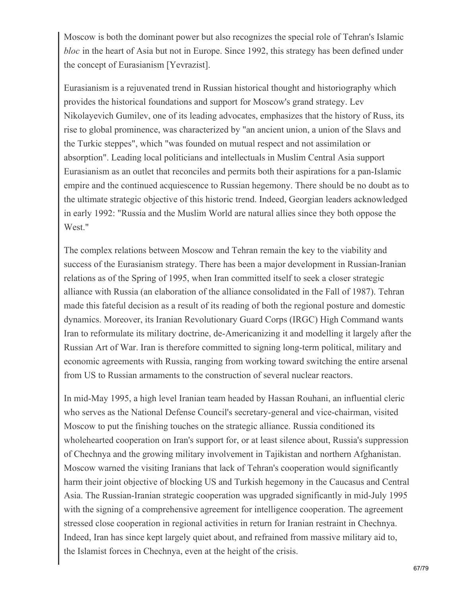Moscow is both the dominant power but also recognizes the special role of Tehran's Islamic *bloc* in the heart of Asia but not in Europe. Since 1992, this strategy has been defined under the concept of Eurasianism [Yevrazist].

Eurasianism is a rejuvenated trend in Russian historical thought and historiography which provides the historical foundations and support for Moscow's grand strategy. Lev Nikolayevich Gumilev, one of its leading advocates, emphasizes that the history of Russ, its rise to global prominence, was characterized by "an ancient union, a union of the Slavs and the Turkic steppes", which "was founded on mutual respect and not assimilation or absorption". Leading local politicians and intellectuals in Muslim Central Asia support Eurasianism as an outlet that reconciles and permits both their aspirations for a pan-Islamic empire and the continued acquiescence to Russian hegemony. There should be no doubt as to the ultimate strategic objective of this historic trend. Indeed, Georgian leaders acknowledged in early 1992: "Russia and the Muslim World are natural allies since they both oppose the West."

The complex relations between Moscow and Tehran remain the key to the viability and success of the Eurasianism strategy. There has been a major development in Russian-Iranian relations as of the Spring of 1995, when Iran committed itself to seek a closer strategic alliance with Russia (an elaboration of the alliance consolidated in the Fall of 1987). Tehran made this fateful decision as a result of its reading of both the regional posture and domestic dynamics. Moreover, its Iranian Revolutionary Guard Corps (IRGC) High Command wants Iran to reformulate its military doctrine, de-Americanizing it and modelling it largely after the Russian Art of War. Iran is therefore committed to signing long-term political, military and economic agreements with Russia, ranging from working toward switching the entire arsenal from US to Russian armaments to the construction of several nuclear reactors.

In mid-May 1995, a high level Iranian team headed by Hassan Rouhani, an influential cleric who serves as the National Defense Council's secretary-general and vice-chairman, visited Moscow to put the finishing touches on the strategic alliance. Russia conditioned its wholehearted cooperation on Iran's support for, or at least silence about, Russia's suppression of Chechnya and the growing military involvement in Tajikistan and northern Afghanistan. Moscow warned the visiting Iranians that lack of Tehran's cooperation would significantly harm their joint objective of blocking US and Turkish hegemony in the Caucasus and Central Asia. The Russian-Iranian strategic cooperation was upgraded significantly in mid-July 1995 with the signing of a comprehensive agreement for intelligence cooperation. The agreement stressed close cooperation in regional activities in return for Iranian restraint in Chechnya. Indeed, Iran has since kept largely quiet about, and refrained from massive military aid to, the Islamist forces in Chechnya, even at the height of the crisis.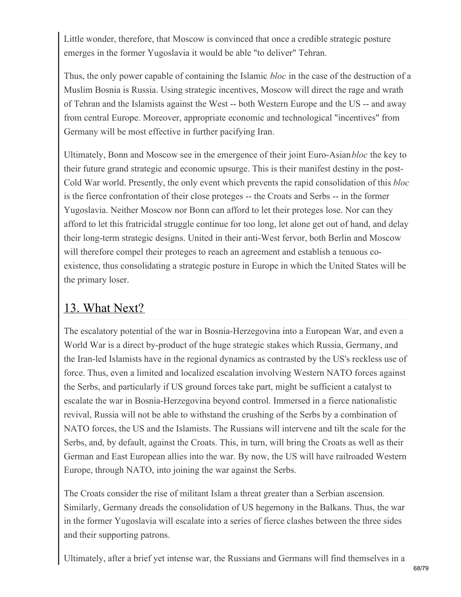Little wonder, therefore, that Moscow is convinced that once a credible strategic posture emerges in the former Yugoslavia it would be able "to deliver" Tehran.

Thus, the only power capable of containing the Islamic *bloc* in the case of the destruction of a Muslim Bosnia is Russia. Using strategic incentives, Moscow will direct the rage and wrath of Tehran and the Islamists against the West -- both Western Europe and the US -- and away from central Europe. Moreover, appropriate economic and technological "incentives" from Germany will be most effective in further pacifying Iran.

Ultimately, Bonn and Moscow see in the emergence of their joint Euro-Asian*bloc* the key to their future grand strategic and economic upsurge. This is their manifest destiny in the post-Cold War world. Presently, the only event which prevents the rapid consolidation of this *bloc* is the fierce confrontation of their close proteges -- the Croats and Serbs -- in the former Yugoslavia. Neither Moscow nor Bonn can afford to let their proteges lose. Nor can they afford to let this fratricidal struggle continue for too long, let alone get out of hand, and delay their long-term strategic designs. United in their anti-West fervor, both Berlin and Moscow will therefore compel their proteges to reach an agreement and establish a tenuous coexistence, thus consolidating a strategic posture in Europe in which the United States will be the primary loser.

### 13. What Next?

The escalatory potential of the war in Bosnia-Herzegovina into a European War, and even a World War is a direct by-product of the huge strategic stakes which Russia, Germany, and the Iran-led Islamists have in the regional dynamics as contrasted by the US's reckless use of force. Thus, even a limited and localized escalation involving Western NATO forces against the Serbs, and particularly if US ground forces take part, might be sufficient a catalyst to escalate the war in Bosnia-Herzegovina beyond control. Immersed in a fierce nationalistic revival, Russia will not be able to withstand the crushing of the Serbs by a combination of NATO forces, the US and the Islamists. The Russians will intervene and tilt the scale for the Serbs, and, by default, against the Croats. This, in turn, will bring the Croats as well as their German and East European allies into the war. By now, the US will have railroaded Western Europe, through NATO, into joining the war against the Serbs.

The Croats consider the rise of militant Islam a threat greater than a Serbian ascension. Similarly, Germany dreads the consolidation of US hegemony in the Balkans. Thus, the war in the former Yugoslavia will escalate into a series of fierce clashes between the three sides and their supporting patrons.

Ultimately, after a brief yet intense war, the Russians and Germans will find themselves in a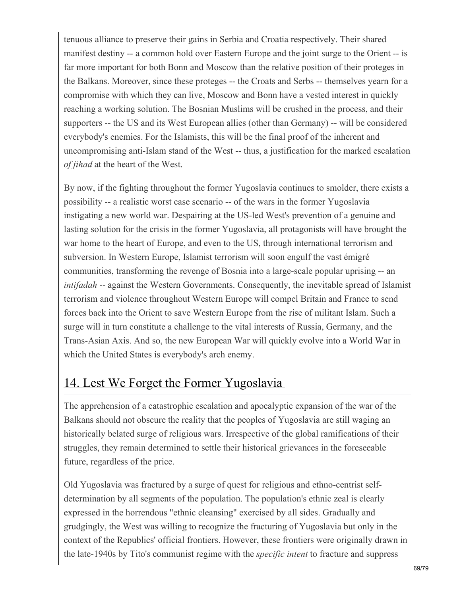tenuous alliance to preserve their gains in Serbia and Croatia respectively. Their shared manifest destiny -- a common hold over Eastern Europe and the joint surge to the Orient -- is far more important for both Bonn and Moscow than the relative position of their proteges in the Balkans. Moreover, since these proteges -- the Croats and Serbs -- themselves yearn for a compromise with which they can live, Moscow and Bonn have a vested interest in quickly reaching a working solution. The Bosnian Muslims will be crushed in the process, and their supporters -- the US and its West European allies (other than Germany) -- will be considered everybody's enemies. For the Islamists, this will be the final proof of the inherent and uncompromising anti-Islam stand of the West -- thus, a justification for the marked escalation *of jihad* at the heart of the West.

By now, if the fighting throughout the former Yugoslavia continues to smolder, there exists a possibility -- a realistic worst case scenario -- of the wars in the former Yugoslavia instigating a new world war. Despairing at the US-led West's prevention of a genuine and lasting solution for the crisis in the former Yugoslavia, all protagonists will have brought the war home to the heart of Europe, and even to the US, through international terrorism and subversion. In Western Europe, Islamist terrorism will soon engulf the vast émigré communities, transforming the revenge of Bosnia into a large-scale popular uprising -- an *intifadah --* against the Western Governments. Consequently, the inevitable spread of Islamist terrorism and violence throughout Western Europe will compel Britain and France to send forces back into the Orient to save Western Europe from the rise of militant Islam. Such a surge will in turn constitute a challenge to the vital interests of Russia, Germany, and the Trans-Asian Axis. And so, the new European War will quickly evolve into a World War in which the United States is everybody's arch enemy.

## 14. Lest We Forget the Former Yugoslavia

The apprehension of a catastrophic escalation and apocalyptic expansion of the war of the Balkans should not obscure the reality that the peoples of Yugoslavia are still waging an historically belated surge of religious wars. Irrespective of the global ramifications of their struggles, they remain determined to settle their historical grievances in the foreseeable future, regardless of the price.

Old Yugoslavia was fractured by a surge of quest for religious and ethno-centrist selfdetermination by all segments of the population. The population's ethnic zeal is clearly expressed in the horrendous "ethnic cleansing" exercised by all sides. Gradually and grudgingly, the West was willing to recognize the fracturing of Yugoslavia but only in the context of the Republics' official frontiers. However, these frontiers were originally drawn in the late-1940s by Tito's communist regime with the *specific intent* to fracture and suppress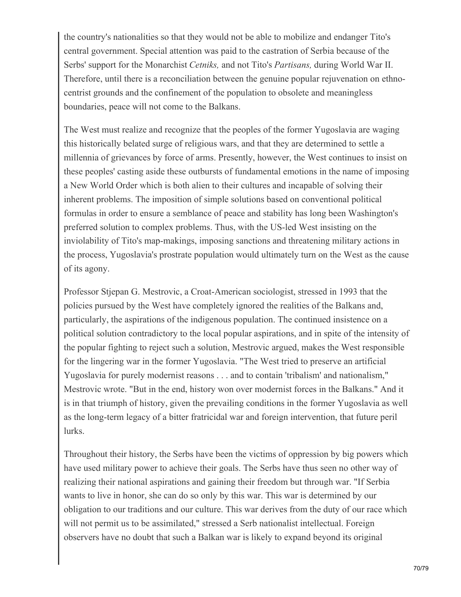the country's nationalities so that they would not be able to mobilize and endanger Tito's central government. Special attention was paid to the castration of Serbia because of the Serbs' support for the Monarchist *Cetniks,* and not Tito's *Partisans,* during World War II. Therefore, until there is a reconciliation between the genuine popular rejuvenation on ethnocentrist grounds and the confinement of the population to obsolete and meaningless boundaries, peace will not come to the Balkans.

The West must realize and recognize that the peoples of the former Yugoslavia are waging this historically belated surge of religious wars, and that they are determined to settle a millennia of grievances by force of arms. Presently, however, the West continues to insist on these peoples' casting aside these outbursts of fundamental emotions in the name of imposing a New World Order which is both alien to their cultures and incapable of solving their inherent problems. The imposition of simple solutions based on conventional political formulas in order to ensure a semblance of peace and stability has long been Washington's preferred solution to complex problems. Thus, with the US-led West insisting on the inviolability of Tito's map-makings, imposing sanctions and threatening military actions in the process, Yugoslavia's prostrate population would ultimately turn on the West as the cause of its agony.

Professor Stjepan G. Mestrovic, a Croat-American sociologist, stressed in 1993 that the policies pursued by the West have completely ignored the realities of the Balkans and, particularly, the aspirations of the indigenous population. The continued insistence on a political solution contradictory to the local popular aspirations, and in spite of the intensity of the popular fighting to reject such a solution, Mestrovic argued, makes the West responsible for the lingering war in the former Yugoslavia. "The West tried to preserve an artificial Yugoslavia for purely modernist reasons . . . and to contain 'tribalism' and nationalism," Mestrovic wrote. "But in the end, history won over modernist forces in the Balkans." And it is in that triumph of history, given the prevailing conditions in the former Yugoslavia as well as the long-term legacy of a bitter fratricidal war and foreign intervention, that future peril lurks.

Throughout their history, the Serbs have been the victims of oppression by big powers which have used military power to achieve their goals. The Serbs have thus seen no other way of realizing their national aspirations and gaining their freedom but through war. "If Serbia wants to live in honor, she can do so only by this war. This war is determined by our obligation to our traditions and our culture. This war derives from the duty of our race which will not permit us to be assimilated," stressed a Serb nationalist intellectual. Foreign observers have no doubt that such a Balkan war is likely to expand beyond its original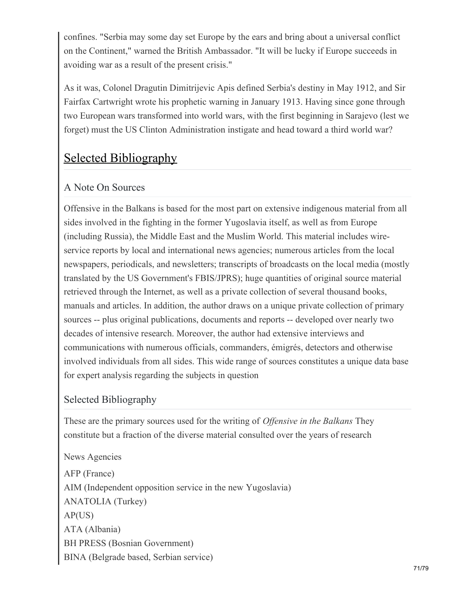confines. "Serbia may some day set Europe by the ears and bring about a universal conflict on the Continent," warned the British Ambassador. "It will be lucky if Europe succeeds in avoiding war as a result of the present crisis."

As it was, Colonel Dragutin Dimitrijevic Apis defined Serbia's destiny in May 1912, and Sir Fairfax Cartwright wrote his prophetic warning in January 1913. Having since gone through two European wars transformed into world wars, with the first beginning in Sarajevo (lest we forget) must the US Clinton Administration instigate and head toward a third world war?

# Selected Bibliography

#### A Note On Sources

Offensive in the Balkans is based for the most part on extensive indigenous material from all sides involved in the fighting in the former Yugoslavia itself, as well as from Europe (including Russia), the Middle East and the Muslim World. This material includes wireservice reports by local and international news agencies; numerous articles from the local newspapers, periodicals, and newsletters; transcripts of broadcasts on the local media (mostly translated by the US Government's FBIS/JPRS); huge quantities of original source material retrieved through the Internet, as well as a private collection of several thousand books, manuals and articles. In addition, the author draws on a unique private collection of primary sources -- plus original publications, documents and reports -- developed over nearly two decades of intensive research. Moreover, the author had extensive interviews and communications with numerous officials, commanders, émigrés, detectors and otherwise involved individuals from all sides. This wide range of sources constitutes a unique data base for expert analysis regarding the subjects in question

#### Selected Bibliography

These are the primary sources used for the writing of *Offensive* in the Balkans They constitute but a fraction of the diverse material consulted over the years of research

News Agencies AFP (France) AIM (Independent opposition service in the new Yugoslavia) ANATOLIA (Turkey) AP(US) ATA (Albania) BH PRESS (Bosnian Government) BINA (Belgrade based, Serbian service)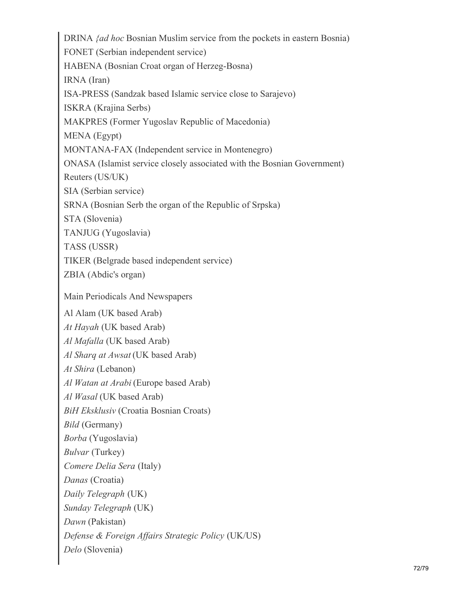DRINA *{ad hoc* Bosnian Muslim service from the pockets in eastern Bosnia) FONET (Serbian independent service) HABENA (Bosnian Croat organ of Herzeg-Bosna) IRNA (Iran) ISA-PRESS (Sandzak based Islamic service close to Sarajevo) ISKRA (Krajina Serbs) MAKPRES (Former Yugoslav Republic of Macedonia) MENA (Egypt) MONTANA-FAX (Independent service in Montenegro) ONASA (Islamist service closely associated with the Bosnian Government) Reuters (US/UK) SIA (Serbian service) SRNA (Bosnian Serb the organ of the Republic of Srpska) STA (Slovenia) TANJUG (Yugoslavia) TASS (USSR) TIKER (Belgrade based independent service) ZBIA (Abdic's organ) Main Periodicals And Newspapers Al Alam (UK based Arab) *At Hayah* (UK based Arab) *Al Mafalla* (UK based Arab) *Al Sharq at Awsat* (UK based Arab) *At Shira* (Lebanon) *Al Watan at Arabi* (Europe based Arab) *Al Wasal* (UK based Arab) *BiH Eksklusiv* (Croatia Bosnian Croats) *Bild* (Germany) *Borba* (Yugoslavia) *Bulvar* (Turkey) *Comere Delia Sera* (Italy) *Danas* (Croatia) *Daily Telegraph* (UK) *Sunday Telegraph* (UK) *Dawn* (Pakistan) *Defense & Foreign Af airs Strategic Policy* (UK/US) *Delo* (Slovenia)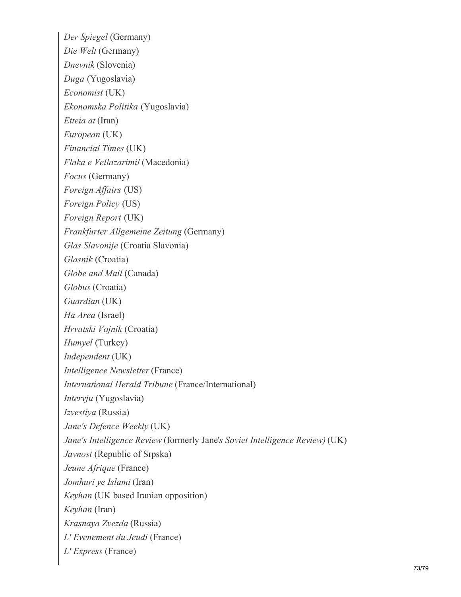*Der Spiegel* (Germany) *Die Welt* (Germany) *Dnevnik* (Slovenia) *Duga* (Yugoslavia) *Economist* (UK) *Ekonomska Politika* (Yugoslavia) *Etteia at* (Iran) *European* (UK) *Financial Times* (UK) *Flaka e Vellazarimil* (Macedonia) *Focus* (Germany) *Foreign Af airs* (US) *Foreign Policy* (US) *Foreign Report* (UK) *Frankfurter Allgemeine Zeitung* (Germany) *Glas Slavonije* (Croatia Slavonia) *Glasnik* (Croatia) *Globe and Mail* (Canada) *Globus* (Croatia) *Guardian* (UK) *Ha Area* (Israel) *Hrvatski Vojnik* (Croatia) *Humyel* (Turkey) *Independent* (UK) *Intelligence Newsletter* (France) *International Herald Tribune* (France/International) *Intervju* (Yugoslavia) *Izvestiya* (Russia) *Jane's Defence Weekly* (UK) *Jane's Intelligence Review* (formerly Jane'*s Soviet Intelligence Review)* (UK) *Javnost* (Republic of Srpska) *Jeune Afrique* (France) *Jomhuri ye Islami* (Iran) *Keyhan* (UK based Iranian opposition) *Keyhan* (Iran) *Krasnaya Zvezda* (Russia) *L' Evenement du Jeudi* (France) *L' Express* (France)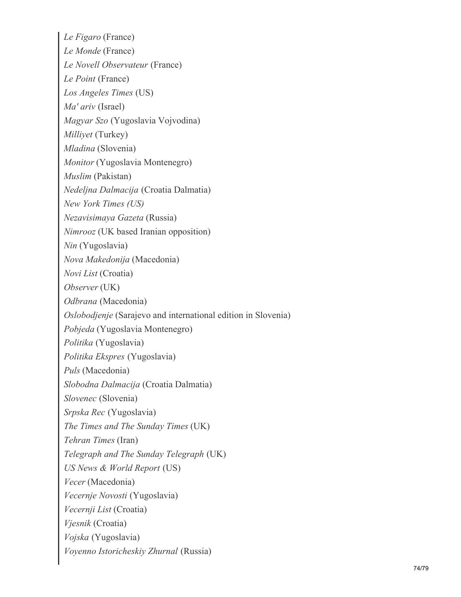*Le Figaro* (France) *Le Monde* (France) *Le Novell Observateur* (France) *Le Point* (France) *Los Angeles Times* (US) *Ma' ariv* (Israel) *Magyar Szo* (Yugoslavia Vojvodina) *Milliyet* (Turkey) *Mladina* (Slovenia) *Monitor* (Yugoslavia Montenegro) *Muslim* (Pakistan) *Nedeljna Dalmacija* (Croatia Dalmatia) *New York Times (US) Nezavisimaya Gazeta* (Russia) *Nimrooz* (UK based Iranian opposition) *Nin* (Yugoslavia) *Nova Makedonija* (Macedonia) *Novi List* (Croatia) *Observer* (UK) *Odbrana* (Macedonia) *Oslobodjenje* (Sarajevo and international edition in Slovenia) *Pobjeda* (Yugoslavia Montenegro) *Politika* (Yugoslavia) *Politika Ekspres* (Yugoslavia) *Puls* (Macedonia) *Slobodna Dalmacija* (Croatia Dalmatia) *Slovenec* (Slovenia) *Srpska Rec* (Yugoslavia) *The Times and The Sunday Times* (UK) *Tehran Times* (Iran) *Telegraph and The Sunday Telegraph* (UK) *US News & World Report* (US) *Vecer* (Macedonia) *Vecernje Novosti* (Yugoslavia) *Vecernji List* (Croatia) *Vjesnik* (Croatia) *Vojska* (Yugoslavia) *Voyenno Istoricheskiy Zhurnal* (Russia)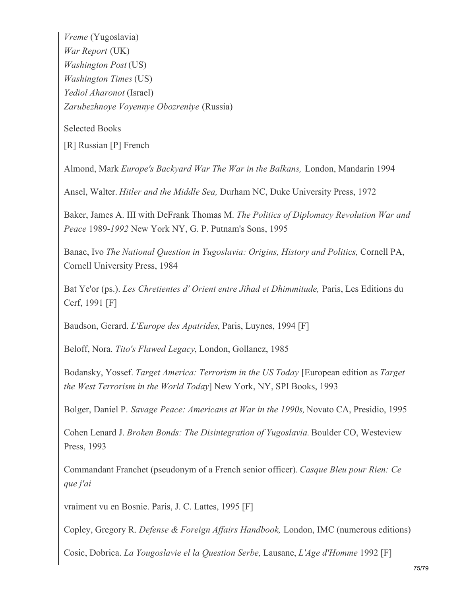*Vreme* (Yugoslavia) *War Report* (UK) *Washington Post* (US) *Washington Times* (US) *Yediol Aharonot* (Israel) *Zarubezhnoye Voyennye Obozreniye* (Russia)

Selected Books

[R] Russian [P] French

Almond, Mark *Europe's Backyard War The War in the Balkans,* London, Mandarin 1994

Ansel, Walter. *Hitler and the Middle Sea,* Durham NC, Duke University Press, 1972

Baker, James A. III with DeFrank Thomas M. *The Politics of Diplomacy Revolution War and Peace* 1989-*1992* New York NY, G. P. Putnam's Sons, 1995

Banac, Ivo *The National Question in Yugoslavia: Origins, History and Politics,* Cornell PA, Cornell University Press, 1984

Bat Ye'or (ps.). *Les Chretientes d' Orient entre Jihad et Dhimmitude,* Paris, Les Editions du Cerf, 1991 [F]

Baudson, Gerard. *L'Europe des Apatrides*, Paris, Luynes, 1994 [F]

Beloff, Nora. *Tito's Flawed Legacy*, London, Gollancz, 1985

Bodansky, Yossef. *Target America: Terrorism in the US Today* [European edition as *Target the West Terrorism in the World Today*] New York, NY, SPI Books, 1993

Bolger, Daniel P. *Savage Peace: Americans at War in the 1990s,* Novato CA, Presidio, 1995

Cohen Lenard J. *Broken Bonds: The Disintegration of Yugoslavia.* Boulder CO, Westeview Press, 1993

Commandant Franchet (pseudonym of a French senior officer). *Casque Bleu pour Rien: Ce que j'ai*

vraiment vu en Bosnie. Paris, J. C. Lattes, 1995 [F]

Copley, Gregory R. *Defense & Foreign Af airs Handbook,* London, IMC (numerous editions)

Cosic, Dobrica. *La Yougoslavie el la Question Serbe,* Lausane, *L'Age d'Homme* 1992 [F]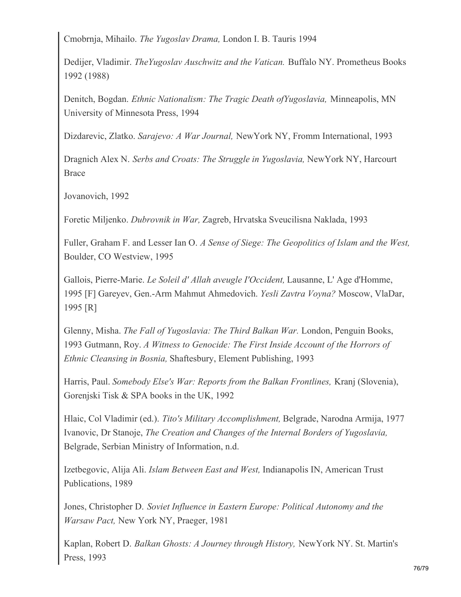Cmobrnja, Mihailo. *The Yugoslav Drama,* London I. B. Tauris 1994

Dedijer, Vladimir. *TheYugoslav Auschwitz and the Vatican.* Buffalo NY. Prometheus Books 1992 (1988)

Denitch, Bogdan. *Ethnic Nationalism: The Tragic Death ofYugoslavia,* Minneapolis, MN University of Minnesota Press, 1994

Dizdarevic, Zlatko. *Sarajevo: A War Journal,* NewYork NY, Fromm International, 1993

Dragnich Alex N. *Serbs and Croats: The Struggle in Yugoslavia,* NewYork NY, Harcourt Brace

Jovanovich, 1992

Foretic Miljenko. *Dubrovnik in War,* Zagreb, Hrvatska Sveucilisna Naklada, 1993

Fuller, Graham F. and Lesser Ian O. *A Sense of Siege: The Geopolitics of Islam and the West,* Boulder, CO Westview, 1995

Gallois, Pierre-Marie. *Le Soleil d' Allah aveugle I'Occident,* Lausanne, L' Age d'Homme, 1995 [F] Gareyev, Gen.-Arm Mahmut Ahmedovich. *Yesli Zavtra Voyna?* Moscow, VlaDar, 1995 [R]

Glenny, Misha. *The Fall of Yugoslavia: The Third Balkan War.* London, Penguin Books, 1993 Gutmann, Roy. *A Witness to Genocide: The First Inside Account of the Horrors of Ethnic Cleansing in Bosnia,* Shaftesbury, Element Publishing, 1993

Harris, Paul. *Somebody Else's War: Reports from the Balkan Frontlines,* Kranj (Slovenia), Gorenjski Tisk & SPA books in the UK, 1992

Hlaic, Col Vladimir (ed.). *Tito's Military Accomplishment,* Belgrade, Narodna Armija, 1977 Ivanovic, Dr Stanoje, *The Creation and Changes of the Internal Borders of Yugoslavia,* Belgrade, Serbian Ministry of Information, n.d.

Izetbegovic, Alija Ali. *Islam Between East and West,* Indianapolis IN, American Trust Publications, 1989

Jones, Christopher D. *Soviet Influence in Eastern Europe: Political Autonomy and the Warsaw Pact,* New York NY, Praeger, 1981

Kaplan, Robert D. *Balkan Ghosts: A Journey through History,* NewYork NY. St. Martin's Press, 1993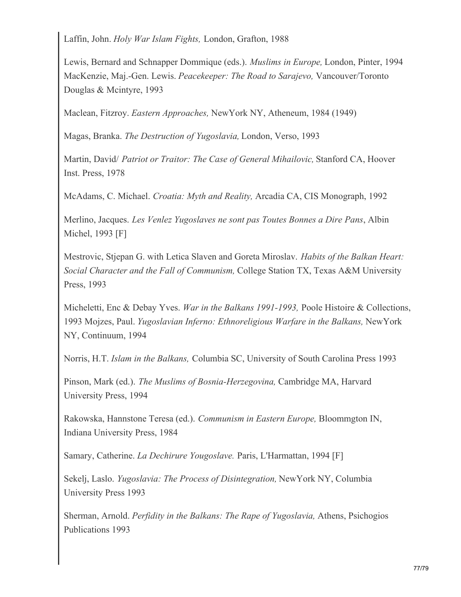Laffin, John. *Holy War Islam Fights,* London, Grafton, 1988

Lewis, Bernard and Schnapper Dommique (eds.). *Muslims in Europe,* London, Pinter, 1994 MacKenzie, Maj.-Gen. Lewis. *Peacekeeper: The Road to Sarajevo,* Vancouver/Toronto Douglas & Mcintyre, 1993

Maclean, Fitzroy. *Eastern Approaches,* NewYork NY, Atheneum, 1984 (1949)

Magas, Branka. *The Destruction of Yugoslavia,* London, Verso, 1993

Martin, David/ *Patriot or Traitor: The Case of General Mihailovic,* Stanford CA, Hoover Inst. Press, 1978

McAdams, C. Michael. *Croatia: Myth and Reality,* Arcadia CA, CIS Monograph, 1992

Merlino, Jacques. *Les Venlez Yugoslaves ne sont pas Toutes Bonnes a Dire Pans*, Albin Michel, 1993 [F]

Mestrovic, Stjepan G. with Letica Slaven and Goreta Miroslav. *Habits of the Balkan Heart: Social Character and the Fall of Communism,* College Station TX, Texas A&M University Press, 1993

Micheletti, Enc & Debay Yves. *War in the Balkans 1991-1993,* Poole Histoire & Collections, 1993 Mojzes, Paul. *Yugoslavian Inferno: Ethnoreligious Warfare in the Balkans,* NewYork NY, Continuum, 1994

Norris, H.T. *Islam in the Balkans,* Columbia SC, University of South Carolina Press 1993

Pinson, Mark (ed.). *The Muslims of Bosnia-Herzegovina,* Cambridge MA, Harvard University Press, 1994

Rakowska, Hannstone Teresa (ed.). *Communism in Eastern Europe,* Bloommgton IN, Indiana University Press, 1984

Samary, Catherine. *La Dechirure Yougoslave.* Paris, L'Harmattan, 1994 [F]

Sekelj, Laslo. *Yugoslavia: The Process of Disintegration,* NewYork NY, Columbia University Press 1993

Sherman, Arnold. *Perfidity in the Balkans: The Rape of Yugoslavia,* Athens, Psichogios Publications 1993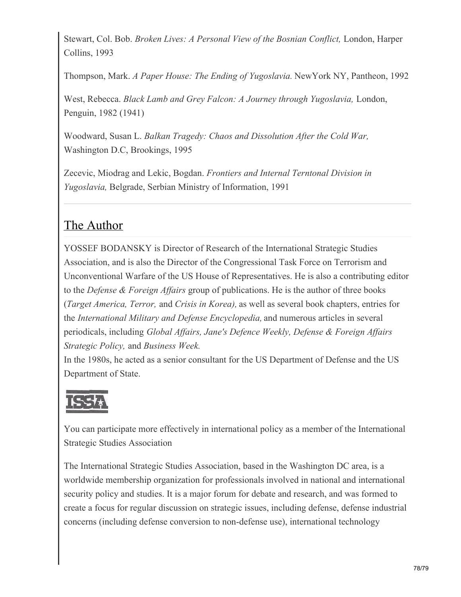Stewart, Col. Bob. *Broken Lives: A Personal View of the Bosnian Conflict,* London, Harper Collins, 1993

Thompson, Mark. *A Paper House: The Ending of Yugoslavia.* NewYork NY, Pantheon, 1992

West, Rebecca. *Black Lamb and Grey Falcon: A Journey through Yugoslavia,* London, Penguin, 1982 (1941)

Woodward, Susan L. *Balkan Tragedy: Chaos and Dissolution After the Cold War,* Washington D.C, Brookings, 1995

Zecevic, Miodrag and Lekic, Bogdan. *Frontiers and Internal Terntonal Division in Yugoslavia,* Belgrade, Serbian Ministry of Information, 1991

## The Author

YOSSEF BODANSKY is Director of Research of the International Strategic Studies Association, and is also the Director of the Congressional Task Force on Terrorism and Unconventional Warfare of the US House of Representatives. He is also a contributing editor to the *Defense & Foreign Af airs* group of publications. He is the author of three books (*Target America, Terror,* and *Crisis in Korea),* as well as several book chapters, entries for the *International Military and Defense Encyclopedia,* and numerous articles in several periodicals, including *Global Af airs, Jane's Defence Weekly, Defense & Foreign Af airs Strategic Policy,* and *Business Week.*

In the 1980s, he acted as a senior consultant for the US Department of Defense and the US Department of State.



You can participate more effectively in international policy as a member of the International Strategic Studies Association

The International Strategic Studies Association, based in the Washington DC area, is a worldwide membership organization for professionals involved in national and international security policy and studies. It is a major forum for debate and research, and was formed to create a focus for regular discussion on strategic issues, including defense, defense industrial concerns (including defense conversion to non-defense use), international technology